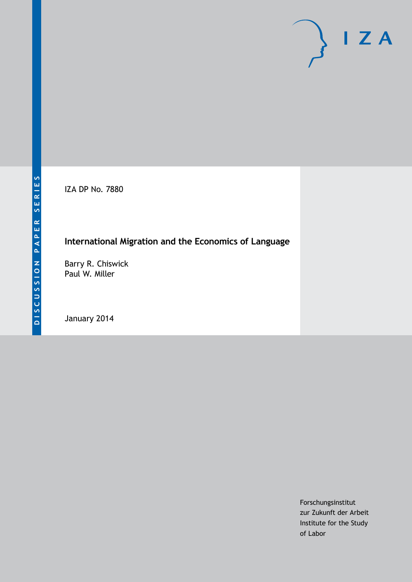IZA DP No. 7880

# **International Migration and the Economics of Language**

Barry R. Chiswick Paul W. Miller

January 2014

Forschungsinstitut zur Zukunft der Arbeit Institute for the Study of Labor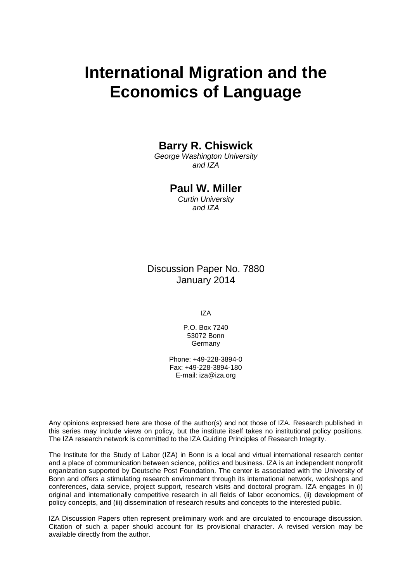# **International Migration and the Economics of Language**

# **Barry R. Chiswick**

*George Washington University and IZA*

## **Paul W. Miller**

*Curtin University and IZA*

Discussion Paper No. 7880 January 2014

IZA

P.O. Box 7240 53072 Bonn **Germany** 

Phone: +49-228-3894-0 Fax: +49-228-3894-180 E-mail: [iza@iza.org](mailto:iza@iza.org)

Any opinions expressed here are those of the author(s) and not those of IZA. Research published in this series may include views on policy, but the institute itself takes no institutional policy positions. The IZA research network is committed to the IZA Guiding Principles of Research Integrity.

The Institute for the Study of Labor (IZA) in Bonn is a local and virtual international research center and a place of communication between science, politics and business. IZA is an independent nonprofit organization supported by Deutsche Post Foundation. The center is associated with the University of Bonn and offers a stimulating research environment through its international network, workshops and conferences, data service, project support, research visits and doctoral program. IZA engages in (i) original and internationally competitive research in all fields of labor economics, (ii) development of policy concepts, and (iii) dissemination of research results and concepts to the interested public.

<span id="page-1-0"></span>IZA Discussion Papers often represent preliminary work and are circulated to encourage discussion. Citation of such a paper should account for its provisional character. A revised version may be available directly from the author.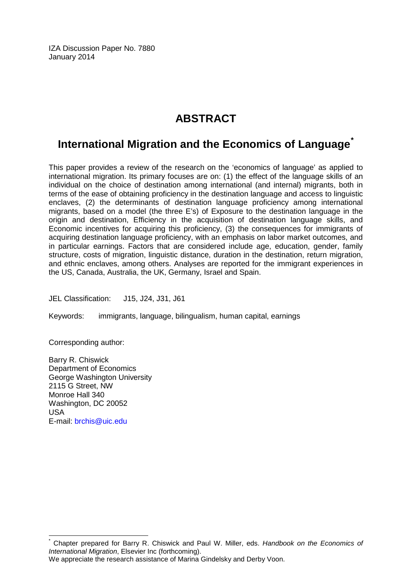IZA Discussion Paper No. 7880 January 2014

# **ABSTRACT**

# **International Migration and the Economics of Language[\\*](#page-1-0)**

This paper provides a review of the research on the 'economics of language' as applied to international migration. Its primary focuses are on: (1) the effect of the language skills of an individual on the choice of destination among international (and internal) migrants, both in terms of the ease of obtaining proficiency in the destination language and access to linguistic enclaves, (2) the determinants of destination language proficiency among international migrants, based on a model (the three E's) of Exposure to the destination language in the origin and destination, Efficiency in the acquisition of destination language skills, and Economic incentives for acquiring this proficiency, (3) the consequences for immigrants of acquiring destination language proficiency, with an emphasis on labor market outcomes, and in particular earnings. Factors that are considered include age, education, gender, family structure, costs of migration, linguistic distance, duration in the destination, return migration, and ethnic enclaves, among others. Analyses are reported for the immigrant experiences in the US, Canada, Australia, the UK, Germany, Israel and Spain.

JEL Classification: J15, J24, J31, J61

Keywords: immigrants, language, bilingualism, human capital, earnings

Corresponding author:

Barry R. Chiswick Department of Economics George Washington University 2115 G Street, NW Monroe Hall 340 Washington, DC 20052 USA E-mail: [brchis@uic.edu](mailto:brchis@uic.edu)

\* Chapter prepared for Barry R. Chiswick and Paul W. Miller, eds. *Handbook on the Economics of International Migration*, Elsevier Inc (forthcoming).

We appreciate the research assistance of Marina Gindelsky and Derby Voon.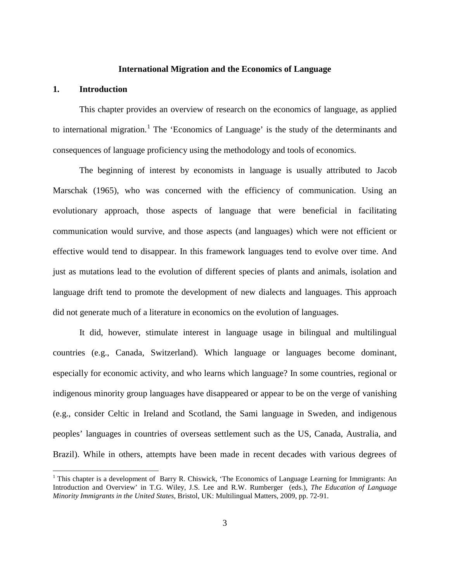#### **International Migration and the Economics of Language**

#### **1. Introduction**

This chapter provides an overview of research on the economics of language, as applied to international migration.<sup>1</sup> The 'Economics of Language' is the study of the determinants and consequences of language proficiency using the methodology and tools of economics.

The beginning of interest by economists in language is usually attributed to Jacob Marschak (1965), who was concerned with the efficiency of communication. Using an evolutionary approach, those aspects of language that were beneficial in facilitating communication would survive, and those aspects (and languages) which were not efficient or effective would tend to disappear. In this framework languages tend to evolve over time. And just as mutations lead to the evolution of different species of plants and animals, isolation and language drift tend to promote the development of new dialects and languages. This approach did not generate much of a literature in economics on the evolution of languages.

It did, however, stimulate interest in language usage in bilingual and multilingual countries (e.g., Canada, Switzerland). Which language or languages become dominant, especially for economic activity, and who learns which language? In some countries, regional or indigenous minority group languages have disappeared or appear to be on the verge of vanishing (e.g., consider Celtic in Ireland and Scotland, the Sami language in Sweden, and indigenous peoples' languages in countries of overseas settlement such as the US, Canada, Australia, and Brazil). While in others, attempts have been made in recent decades with various degrees of

<span id="page-3-0"></span><sup>&</sup>lt;sup>1</sup> This chapter is a development of Barry R. Chiswick, 'The Economics of Language Learning for Immigrants: An Introduction and Overview' in T.G. Wiley, J.S. Lee and R.W. Rumberger (eds.), *The Education of Language Minority Immigrants in the United States*, Bristol, UK: Multilingual Matters, 2009, pp. 72-91.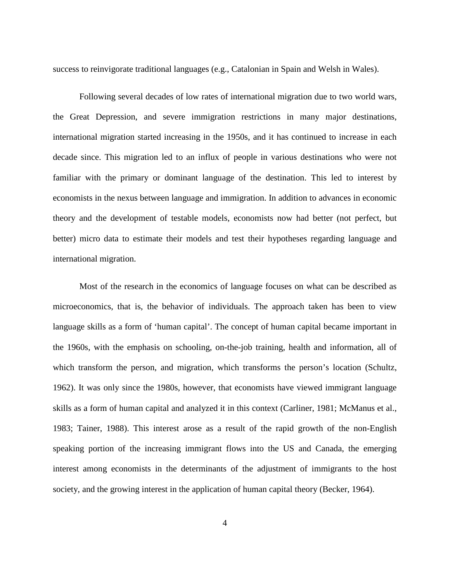success to reinvigorate traditional languages (e.g., Catalonian in Spain and Welsh in Wales).

Following several decades of low rates of international migration due to two world wars, the Great Depression, and severe immigration restrictions in many major destinations, international migration started increasing in the 1950s, and it has continued to increase in each decade since. This migration led to an influx of people in various destinations who were not familiar with the primary or dominant language of the destination. This led to interest by economists in the nexus between language and immigration. In addition to advances in economic theory and the development of testable models, economists now had better (not perfect, but better) micro data to estimate their models and test their hypotheses regarding language and international migration.

Most of the research in the economics of language focuses on what can be described as microeconomics, that is, the behavior of individuals. The approach taken has been to view language skills as a form of 'human capital'. The concept of human capital became important in the 1960s, with the emphasis on schooling, on-the-job training, health and information, all of which transform the person, and migration, which transforms the person's location (Schultz, 1962). It was only since the 1980s, however, that economists have viewed immigrant language skills as a form of human capital and analyzed it in this context (Carliner, 1981; McManus et al., 1983; Tainer, 1988). This interest arose as a result of the rapid growth of the non-English speaking portion of the increasing immigrant flows into the US and Canada, the emerging interest among economists in the determinants of the adjustment of immigrants to the host society, and the growing interest in the application of human capital theory (Becker, 1964).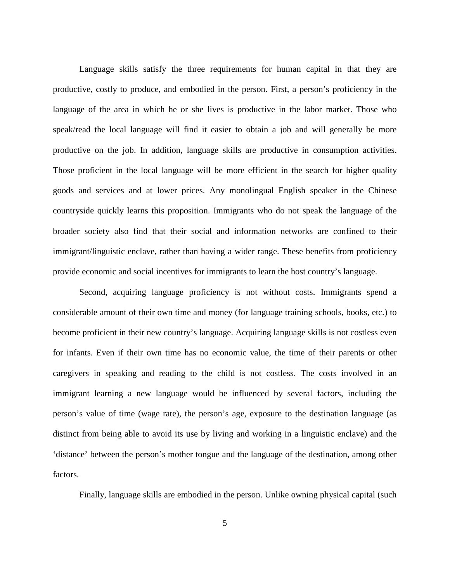Language skills satisfy the three requirements for human capital in that they are productive, costly to produce, and embodied in the person. First, a person's proficiency in the language of the area in which he or she lives is productive in the labor market. Those who speak/read the local language will find it easier to obtain a job and will generally be more productive on the job. In addition, language skills are productive in consumption activities. Those proficient in the local language will be more efficient in the search for higher quality goods and services and at lower prices. Any monolingual English speaker in the Chinese countryside quickly learns this proposition. Immigrants who do not speak the language of the broader society also find that their social and information networks are confined to their immigrant/linguistic enclave, rather than having a wider range. These benefits from proficiency provide economic and social incentives for immigrants to learn the host country's language.

Second, acquiring language proficiency is not without costs. Immigrants spend a considerable amount of their own time and money (for language training schools, books, etc.) to become proficient in their new country's language. Acquiring language skills is not costless even for infants. Even if their own time has no economic value, the time of their parents or other caregivers in speaking and reading to the child is not costless. The costs involved in an immigrant learning a new language would be influenced by several factors, including the person's value of time (wage rate), the person's age, exposure to the destination language (as distinct from being able to avoid its use by living and working in a linguistic enclave) and the 'distance' between the person's mother tongue and the language of the destination, among other factors.

Finally, language skills are embodied in the person. Unlike owning physical capital (such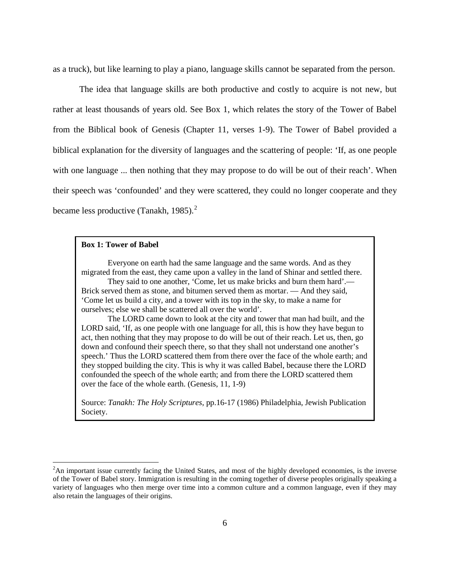as a truck), but like learning to play a piano, language skills cannot be separated from the person.

The idea that language skills are both productive and costly to acquire is not new, but rather at least thousands of years old. See Box 1, which relates the story of the Tower of Babel from the Biblical book of Genesis (Chapter 11, verses 1-9). The Tower of Babel provided a biblical explanation for the diversity of languages and the scattering of people: 'If, as one people with one language ... then nothing that they may propose to do will be out of their reach'. When their speech was 'confounded' and they were scattered, they could no longer cooperate and they became less productive (Tanakh, 1985).<sup>[2](#page-3-0)</sup>

#### **Box 1: Tower of Babel**

Everyone on earth had the same language and the same words. And as they migrated from the east, they came upon a valley in the land of Shinar and settled there. They said to one another, 'Come, let us make bricks and burn them hard'.— Brick served them as stone, and bitumen served them as mortar. — And they said, 'Come let us build a city, and a tower with its top in the sky, to make a name for ourselves; else we shall be scattered all over the world'.

The LORD came down to look at the city and tower that man had built, and the LORD said, 'If, as one people with one language for all, this is how they have begun to act, then nothing that they may propose to do will be out of their reach. Let us, then, go down and confound their speech there, so that they shall not understand one another's speech.' Thus the LORD scattered them from there over the face of the whole earth; and they stopped building the city. This is why it was called Babel, because there the LORD confounded the speech of the whole earth; and from there the LORD scattered them over the face of the whole earth. (Genesis, 11, 1-9)

Source: *Tanakh: The Holy Scriptures*, pp.16-17 (1986) Philadelphia, Jewish Publication Society.

<span id="page-6-0"></span> $\frac{1}{2}$ <sup>2</sup>An important issue currently facing the United States, and most of the highly developed economies, is the inverse of the Tower of Babel story. Immigration is resulting in the coming together of diverse peoples originally speaking a variety of languages who then merge over time into a common culture and a common language, even if they may also retain the languages of their origins.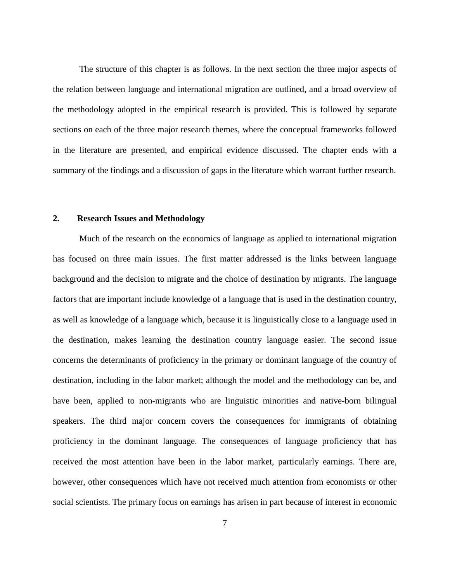The structure of this chapter is as follows. In the next section the three major aspects of the relation between language and international migration are outlined, and a broad overview of the methodology adopted in the empirical research is provided. This is followed by separate sections on each of the three major research themes, where the conceptual frameworks followed in the literature are presented, and empirical evidence discussed. The chapter ends with a summary of the findings and a discussion of gaps in the literature which warrant further research.

## **2. Research Issues and Methodology**

Much of the research on the economics of language as applied to international migration has focused on three main issues. The first matter addressed is the links between language background and the decision to migrate and the choice of destination by migrants. The language factors that are important include knowledge of a language that is used in the destination country, as well as knowledge of a language which, because it is linguistically close to a language used in the destination, makes learning the destination country language easier. The second issue concerns the determinants of proficiency in the primary or dominant language of the country of destination, including in the labor market; although the model and the methodology can be, and have been, applied to non-migrants who are linguistic minorities and native-born bilingual speakers. The third major concern covers the consequences for immigrants of obtaining proficiency in the dominant language. The consequences of language proficiency that has received the most attention have been in the labor market, particularly earnings. There are, however, other consequences which have not received much attention from economists or other social scientists. The primary focus on earnings has arisen in part because of interest in economic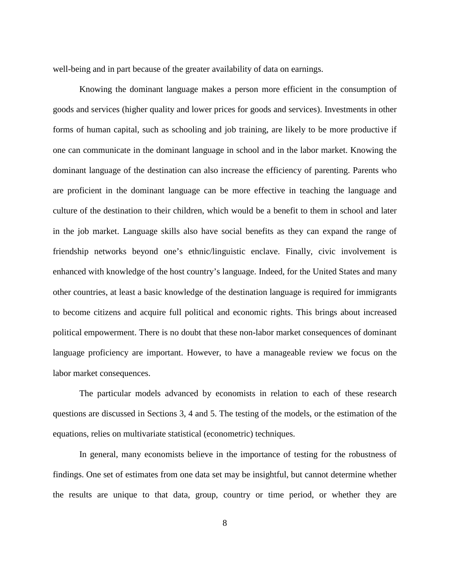well-being and in part because of the greater availability of data on earnings.

Knowing the dominant language makes a person more efficient in the consumption of goods and services (higher quality and lower prices for goods and services). Investments in other forms of human capital, such as schooling and job training, are likely to be more productive if one can communicate in the dominant language in school and in the labor market. Knowing the dominant language of the destination can also increase the efficiency of parenting. Parents who are proficient in the dominant language can be more effective in teaching the language and culture of the destination to their children, which would be a benefit to them in school and later in the job market. Language skills also have social benefits as they can expand the range of friendship networks beyond one's ethnic/linguistic enclave. Finally, civic involvement is enhanced with knowledge of the host country's language. Indeed, for the United States and many other countries, at least a basic knowledge of the destination language is required for immigrants to become citizens and acquire full political and economic rights. This brings about increased political empowerment. There is no doubt that these non-labor market consequences of dominant language proficiency are important. However, to have a manageable review we focus on the labor market consequences.

The particular models advanced by economists in relation to each of these research questions are discussed in Sections 3, 4 and 5. The testing of the models, or the estimation of the equations, relies on multivariate statistical (econometric) techniques.

In general, many economists believe in the importance of testing for the robustness of findings. One set of estimates from one data set may be insightful, but cannot determine whether the results are unique to that data, group, country or time period, or whether they are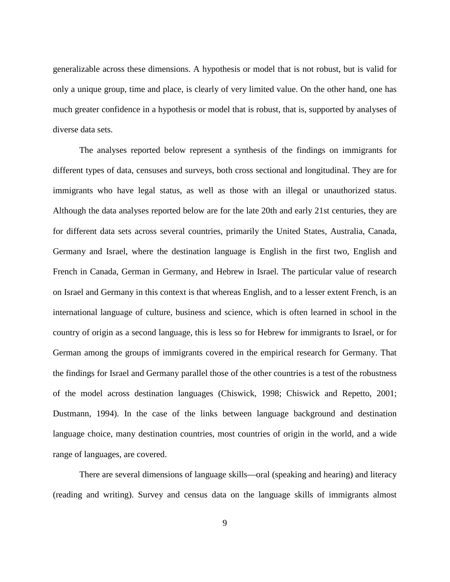generalizable across these dimensions. A hypothesis or model that is not robust, but is valid for only a unique group, time and place, is clearly of very limited value. On the other hand, one has much greater confidence in a hypothesis or model that is robust, that is, supported by analyses of diverse data sets.

The analyses reported below represent a synthesis of the findings on immigrants for different types of data, censuses and surveys, both cross sectional and longitudinal. They are for immigrants who have legal status, as well as those with an illegal or unauthorized status. Although the data analyses reported below are for the late 20th and early 21st centuries, they are for different data sets across several countries, primarily the United States, Australia, Canada, Germany and Israel, where the destination language is English in the first two, English and French in Canada, German in Germany, and Hebrew in Israel. The particular value of research on Israel and Germany in this context is that whereas English, and to a lesser extent French, is an international language of culture, business and science, which is often learned in school in the country of origin as a second language, this is less so for Hebrew for immigrants to Israel, or for German among the groups of immigrants covered in the empirical research for Germany. That the findings for Israel and Germany parallel those of the other countries is a test of the robustness of the model across destination languages (Chiswick, 1998; Chiswick and Repetto, 2001; Dustmann, 1994). In the case of the links between language background and destination language choice, many destination countries, most countries of origin in the world, and a wide range of languages, are covered.

There are several dimensions of language skills—oral (speaking and hearing) and literacy (reading and writing). Survey and census data on the language skills of immigrants almost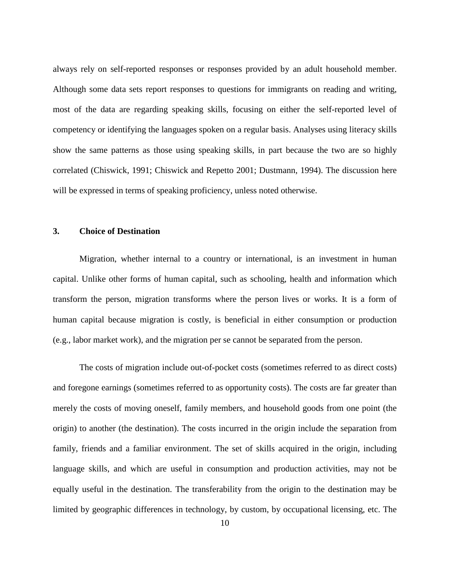always rely on self-reported responses or responses provided by an adult household member. Although some data sets report responses to questions for immigrants on reading and writing, most of the data are regarding speaking skills, focusing on either the self-reported level of competency or identifying the languages spoken on a regular basis. Analyses using literacy skills show the same patterns as those using speaking skills, in part because the two are so highly correlated (Chiswick, 1991; Chiswick and Repetto 2001; Dustmann, 1994). The discussion here will be expressed in terms of speaking proficiency, unless noted otherwise.

#### **3. Choice of Destination**

Migration, whether internal to a country or international, is an investment in human capital. Unlike other forms of human capital, such as schooling, health and information which transform the person, migration transforms where the person lives or works. It is a form of human capital because migration is costly, is beneficial in either consumption or production (e.g., labor market work), and the migration per se cannot be separated from the person.

The costs of migration include out-of-pocket costs (sometimes referred to as direct costs) and foregone earnings (sometimes referred to as opportunity costs). The costs are far greater than merely the costs of moving oneself, family members, and household goods from one point (the origin) to another (the destination). The costs incurred in the origin include the separation from family, friends and a familiar environment. The set of skills acquired in the origin, including language skills, and which are useful in consumption and production activities, may not be equally useful in the destination. The transferability from the origin to the destination may be limited by geographic differences in technology, by custom, by occupational licensing, etc. The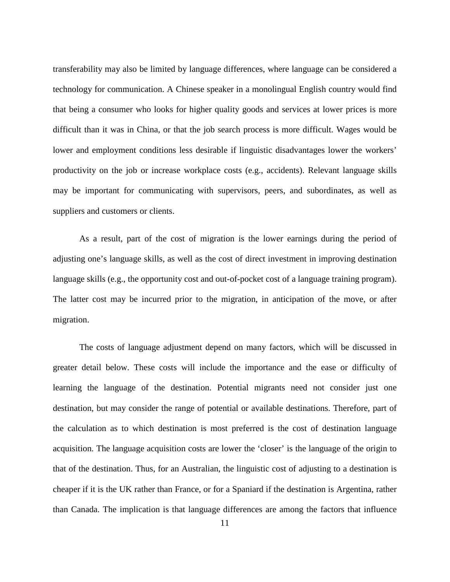transferability may also be limited by language differences, where language can be considered a technology for communication. A Chinese speaker in a monolingual English country would find that being a consumer who looks for higher quality goods and services at lower prices is more difficult than it was in China, or that the job search process is more difficult. Wages would be lower and employment conditions less desirable if linguistic disadvantages lower the workers' productivity on the job or increase workplace costs (e.g., accidents). Relevant language skills may be important for communicating with supervisors, peers, and subordinates, as well as suppliers and customers or clients.

As a result, part of the cost of migration is the lower earnings during the period of adjusting one's language skills, as well as the cost of direct investment in improving destination language skills (e.g., the opportunity cost and out-of-pocket cost of a language training program). The latter cost may be incurred prior to the migration, in anticipation of the move, or after migration.

The costs of language adjustment depend on many factors, which will be discussed in greater detail below. These costs will include the importance and the ease or difficulty of learning the language of the destination. Potential migrants need not consider just one destination, but may consider the range of potential or available destinations. Therefore, part of the calculation as to which destination is most preferred is the cost of destination language acquisition. The language acquisition costs are lower the 'closer' is the language of the origin to that of the destination. Thus, for an Australian, the linguistic cost of adjusting to a destination is cheaper if it is the UK rather than France, or for a Spaniard if the destination is Argentina, rather than Canada. The implication is that language differences are among the factors that influence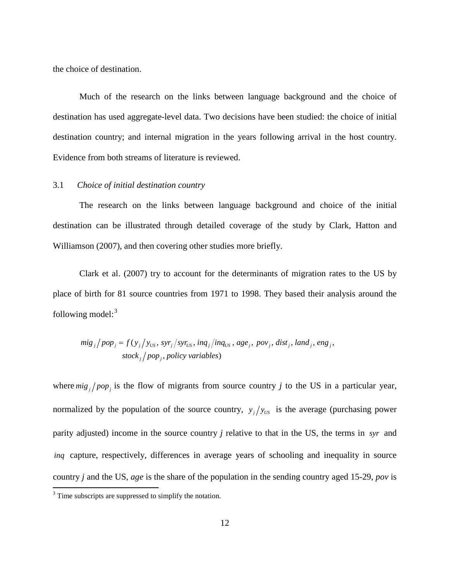the choice of destination.

Much of the research on the links between language background and the choice of destination has used aggregate-level data. Two decisions have been studied: the choice of initial destination country; and internal migration in the years following arrival in the host country. Evidence from both streams of literature is reviewed.

#### 3.1 *Choice of initial destination country*

The research on the links between language background and choice of the initial destination can be illustrated through detailed coverage of the study by Clark, Hatton and Williamson (2007), and then covering other studies more briefly.

Clark et al. (2007) try to account for the determinants of migration rates to the US by place of birth for 81 source countries from 1971 to 1998. They based their analysis around the following model: $3$ 

$$
mig_j / pop_j = f(y_j / y_{US}, syr_j / syr_{US}, inq_j / inq_{US}, age_j, pov_j, dist_j, land_j, eng_j, stock_j / pop_j, policy variables)
$$

where  $mig_j$  *pop<sub>i</sub>* is the flow of migrants from source country *j* to the US in a particular year, normalized by the population of the source country,  $y_j / y_{\text{US}}$  is the average (purchasing power parity adjusted) income in the source country *j* relative to that in the US, the terms in *syr* and *inq* capture, respectively, differences in average years of schooling and inequality in source country *j* and the US, *age* is the share of the population in the sending country aged 15-29, *pov* is

<span id="page-12-0"></span> $3$  Time subscripts are suppressed to simplify the notation.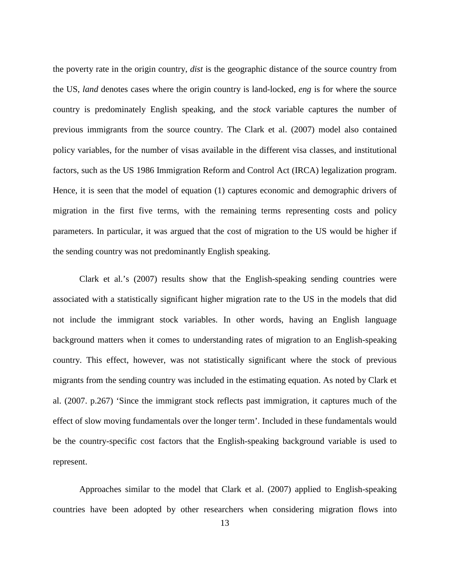the poverty rate in the origin country, *dist* is the geographic distance of the source country from the US, *land* denotes cases where the origin country is land-locked, *eng* is for where the source country is predominately English speaking, and the *stock* variable captures the number of previous immigrants from the source country. The Clark et al. (2007) model also contained policy variables, for the number of visas available in the different visa classes, and institutional factors, such as the US 1986 Immigration Reform and Control Act (IRCA) legalization program. Hence, it is seen that the model of equation (1) captures economic and demographic drivers of migration in the first five terms, with the remaining terms representing costs and policy parameters. In particular, it was argued that the cost of migration to the US would be higher if the sending country was not predominantly English speaking.

Clark et al.'s (2007) results show that the English-speaking sending countries were associated with a statistically significant higher migration rate to the US in the models that did not include the immigrant stock variables. In other words, having an English language background matters when it comes to understanding rates of migration to an English-speaking country. This effect, however, was not statistically significant where the stock of previous migrants from the sending country was included in the estimating equation. As noted by Clark et al. (2007. p.267) 'Since the immigrant stock reflects past immigration, it captures much of the effect of slow moving fundamentals over the longer term'. Included in these fundamentals would be the country-specific cost factors that the English-speaking background variable is used to represent.

Approaches similar to the model that Clark et al. (2007) applied to English-speaking countries have been adopted by other researchers when considering migration flows into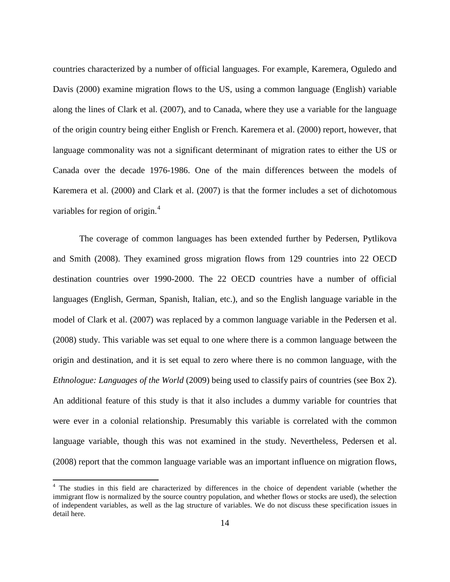countries characterized by a number of official languages. For example, Karemera, Oguledo and Davis (2000) examine migration flows to the US, using a common language (English) variable along the lines of Clark et al. (2007), and to Canada, where they use a variable for the language of the origin country being either English or French. Karemera et al. (2000) report, however, that language commonality was not a significant determinant of migration rates to either the US or Canada over the decade 1976-1986. One of the main differences between the models of Karemera et al. (2000) and Clark et al. (2007) is that the former includes a set of dichotomous variables for region of origin.<sup>[4](#page-12-0)</sup>

The coverage of common languages has been extended further by Pedersen, Pytlikova and Smith (2008). They examined gross migration flows from 129 countries into 22 OECD destination countries over 1990-2000. The 22 OECD countries have a number of official languages (English, German, Spanish, Italian, etc.), and so the English language variable in the model of Clark et al. (2007) was replaced by a common language variable in the Pedersen et al. (2008) study. This variable was set equal to one where there is a common language between the origin and destination, and it is set equal to zero where there is no common language, with the *Ethnologue: Languages of the World* (2009) being used to classify pairs of countries (see Box 2). An additional feature of this study is that it also includes a dummy variable for countries that were ever in a colonial relationship. Presumably this variable is correlated with the common language variable, though this was not examined in the study. Nevertheless, Pedersen et al. (2008) report that the common language variable was an important influence on migration flows,

<span id="page-14-0"></span><sup>&</sup>lt;sup>4</sup> The studies in this field are characterized by differences in the choice of dependent variable (whether the immigrant flow is normalized by the source country population, and whether flows or stocks are used), the selection of independent variables, as well as the lag structure of variables. We do not discuss these specification issues in detail here.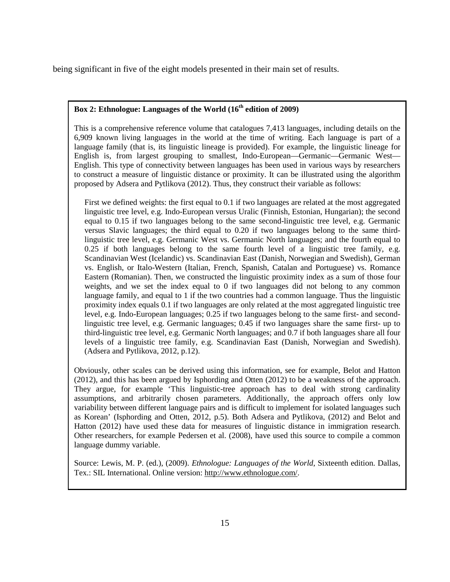being significant in five of the eight models presented in their main set of results.

## **Box 2: Ethnologue: Languages of the World (16th edition of 2009)**

This is a comprehensive reference volume that catalogues 7,413 languages, including details on the 6,909 known living languages in the world at the time of writing. Each language is part of a language family (that is, its linguistic lineage is provided). For example, the linguistic lineage for English is, from largest grouping to smallest, Indo-European—Germanic—Germanic West— English. This type of connectivity between languages has been used in various ways by researchers to construct a measure of linguistic distance or proximity. It can be illustrated using the algorithm proposed by Adsera and Pytlikova (2012). Thus, they construct their variable as follows:

First we defined weights: the first equal to 0.1 if two languages are related at the most aggregated linguistic tree level, e.g. Indo-European versus Uralic (Finnish, Estonian, Hungarian); the second equal to 0.15 if two languages belong to the same second-linguistic tree level, e.g. Germanic versus Slavic languages; the third equal to 0.20 if two languages belong to the same thirdlinguistic tree level, e.g. Germanic West vs. Germanic North languages; and the fourth equal to 0.25 if both languages belong to the same fourth level of a linguistic tree family, e.g. Scandinavian West (Icelandic) vs. Scandinavian East (Danish, Norwegian and Swedish), German vs. English, or Italo-Western (Italian, French, Spanish, Catalan and Portuguese) vs. Romance Eastern (Romanian). Then, we constructed the linguistic proximity index as a sum of those four weights, and we set the index equal to 0 if two languages did not belong to any common language family, and equal to 1 if the two countries had a common language. Thus the linguistic proximity index equals 0.1 if two languages are only related at the most aggregated linguistic tree level, e.g. Indo-European languages; 0.25 if two languages belong to the same first- and secondlinguistic tree level, e.g. Germanic languages; 0.45 if two languages share the same first- up to third-linguistic tree level, e.g. Germanic North languages; and 0.7 if both languages share all four levels of a linguistic tree family, e.g. Scandinavian East (Danish, Norwegian and Swedish). (Adsera and Pytlikova, 2012, p.12).

Obviously, other scales can be derived using this information, see for example, Belot and Hatton (2012), and this has been argued by Isphording and Otten (2012) to be a weakness of the approach. They argue, for example 'This linguistic-tree approach has to deal with strong cardinality assumptions, and arbitrarily chosen parameters. Additionally, the approach offers only low variability between different language pairs and is difficult to implement for isolated languages such as Korean' (Isphording and Otten, 2012, p.5). Both Adsera and Pytlikova, (2012) and Belot and Hatton (2012) have used these data for measures of linguistic distance in immigration research. Other researchers, for example Pedersen et al. (2008), have used this source to compile a common language dummy variable.

Source: Lewis, M. P. (ed.), (2009). *Ethnologue: Languages of the World*, Sixteenth edition. Dallas, Tex.: SIL International. Online version: [http://www.ethnologue.com/.](http://www.ethnologue.com/)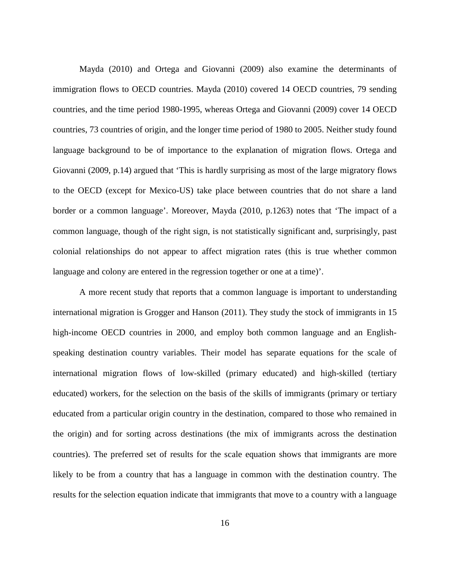Mayda (2010) and Ortega and Giovanni (2009) also examine the determinants of immigration flows to OECD countries. Mayda (2010) covered 14 OECD countries, 79 sending countries, and the time period 1980-1995, whereas Ortega and Giovanni (2009) cover 14 OECD countries, 73 countries of origin, and the longer time period of 1980 to 2005. Neither study found language background to be of importance to the explanation of migration flows. Ortega and Giovanni (2009, p.14) argued that 'This is hardly surprising as most of the large migratory flows to the OECD (except for Mexico-US) take place between countries that do not share a land border or a common language'. Moreover, Mayda (2010, p.1263) notes that 'The impact of a common language, though of the right sign, is not statistically significant and, surprisingly, past colonial relationships do not appear to affect migration rates (this is true whether common language and colony are entered in the regression together or one at a time)'.

A more recent study that reports that a common language is important to understanding international migration is Grogger and Hanson (2011). They study the stock of immigrants in 15 high-income OECD countries in 2000, and employ both common language and an Englishspeaking destination country variables. Their model has separate equations for the scale of international migration flows of low-skilled (primary educated) and high-skilled (tertiary educated) workers, for the selection on the basis of the skills of immigrants (primary or tertiary educated from a particular origin country in the destination, compared to those who remained in the origin) and for sorting across destinations (the mix of immigrants across the destination countries). The preferred set of results for the scale equation shows that immigrants are more likely to be from a country that has a language in common with the destination country. The results for the selection equation indicate that immigrants that move to a country with a language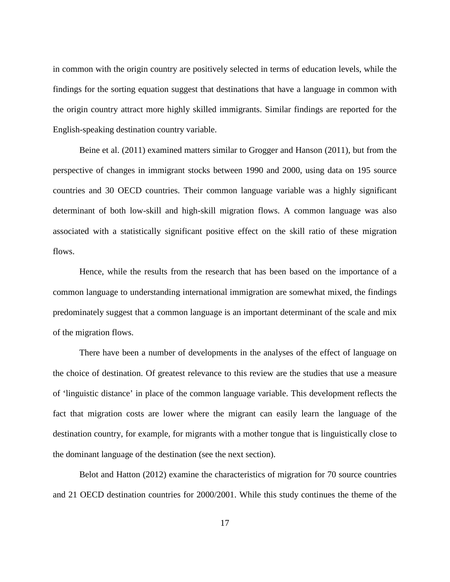in common with the origin country are positively selected in terms of education levels, while the findings for the sorting equation suggest that destinations that have a language in common with the origin country attract more highly skilled immigrants. Similar findings are reported for the English-speaking destination country variable.

Beine et al. (2011) examined matters similar to Grogger and Hanson (2011), but from the perspective of changes in immigrant stocks between 1990 and 2000, using data on 195 source countries and 30 OECD countries. Their common language variable was a highly significant determinant of both low-skill and high-skill migration flows. A common language was also associated with a statistically significant positive effect on the skill ratio of these migration flows.

Hence, while the results from the research that has been based on the importance of a common language to understanding international immigration are somewhat mixed, the findings predominately suggest that a common language is an important determinant of the scale and mix of the migration flows.

There have been a number of developments in the analyses of the effect of language on the choice of destination. Of greatest relevance to this review are the studies that use a measure of 'linguistic distance' in place of the common language variable. This development reflects the fact that migration costs are lower where the migrant can easily learn the language of the destination country, for example, for migrants with a mother tongue that is linguistically close to the dominant language of the destination (see the next section).

Belot and Hatton (2012) examine the characteristics of migration for 70 source countries and 21 OECD destination countries for 2000/2001. While this study continues the theme of the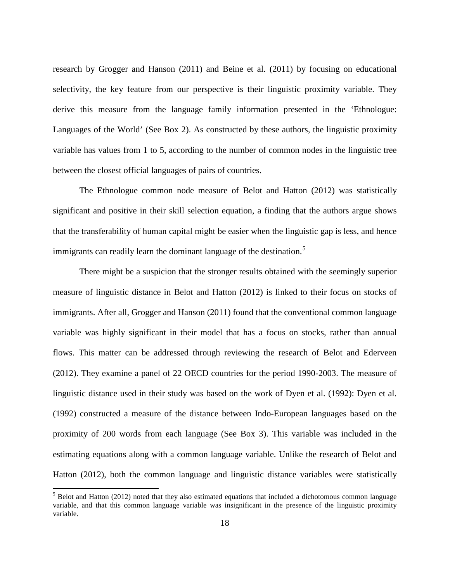research by Grogger and Hanson (2011) and Beine et al. (2011) by focusing on educational selectivity, the key feature from our perspective is their linguistic proximity variable. They derive this measure from the language family information presented in the 'Ethnologue: Languages of the World' (See Box 2). As constructed by these authors, the linguistic proximity variable has values from 1 to 5, according to the number of common nodes in the linguistic tree between the closest official languages of pairs of countries.

The Ethnologue common node measure of Belot and Hatton (2012) was statistically significant and positive in their skill selection equation, a finding that the authors argue shows that the transferability of human capital might be easier when the linguistic gap is less, and hence immigrants can readily learn the dominant language of the destination.<sup>[5](#page-14-0)</sup>

There might be a suspicion that the stronger results obtained with the seemingly superior measure of linguistic distance in Belot and Hatton (2012) is linked to their focus on stocks of immigrants. After all, Grogger and Hanson (2011) found that the conventional common language variable was highly significant in their model that has a focus on stocks, rather than annual flows. This matter can be addressed through reviewing the research of Belot and Ederveen (2012). They examine a panel of 22 OECD countries for the period 1990-2003. The measure of linguistic distance used in their study was based on the work of Dyen et al. (1992): Dyen et al. (1992) constructed a measure of the distance between Indo-European languages based on the proximity of 200 words from each language (See Box 3). This variable was included in the estimating equations along with a common language variable. Unlike the research of Belot and Hatton (2012), both the common language and linguistic distance variables were statistically

<span id="page-18-0"></span> $<sup>5</sup>$  Belot and Hatton (2012) noted that they also estimated equations that included a dichotomous common language</sup> variable, and that this common language variable was insignificant in the presence of the linguistic proximity variable.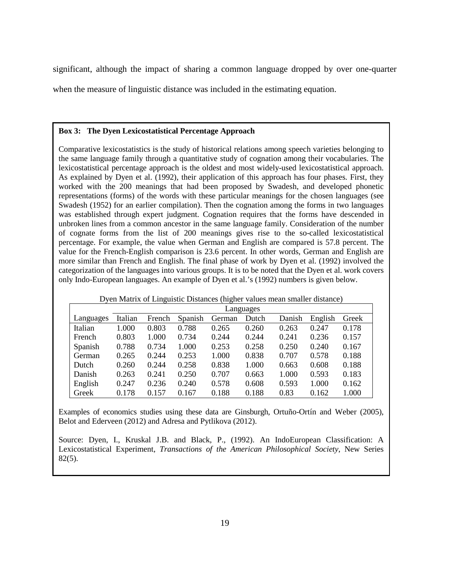significant, although the impact of sharing a common language dropped by over one-quarter

when the measure of linguistic distance was included in the estimating equation.

#### **Box 3: The Dyen Lexicostatistical Percentage Approach**

Comparative lexicostatistics is the study of historical relations among speech varieties belonging to the same language family through a quantitative study of cognation among their vocabularies. The lexicostatistical percentage approach is the oldest and most widely-used lexicostatistical approach. As explained by Dyen et al. (1992), their application of this approach has four phases. First, they worked with the 200 meanings that had been proposed by Swadesh, and developed phonetic representations (forms) of the words with these particular meanings for the chosen languages (see Swadesh (1952) for an earlier compilation). Then the cognation among the forms in two languages was established through expert judgment. Cognation requires that the forms have descended in unbroken lines from a common ancestor in the same language family. Consideration of the number of cognate forms from the list of 200 meanings gives rise to the so-called lexicostatistical percentage. For example, the value when German and English are compared is 57.8 percent. The value for the French-English comparison is 23.6 percent. In other words, German and English are more similar than French and English. The final phase of work by Dyen et al. (1992) involved the categorization of the languages into various groups. It is to be noted that the Dyen et al. work covers only Indo-European languages. An example of Dyen et al.'s (1992) numbers is given below.

|           | ັ<br>ັ<br>$\overline{\phantom{a}}$<br>Languages |        |         |        |       |        |         |       |
|-----------|-------------------------------------------------|--------|---------|--------|-------|--------|---------|-------|
| Languages | Italian                                         | French | Spanish | German | Dutch | Danish | English | Greek |
| Italian   | 1.000                                           | 0.803  | 0.788   | 0.265  | 0.260 | 0.263  | 0.247   | 0.178 |
| French    | 0.803                                           | 1.000  | 0.734   | 0.244  | 0.244 | 0.241  | 0.236   | 0.157 |
| Spanish   | 0.788                                           | 0.734  | 1.000   | 0.253  | 0.258 | 0.250  | 0.240   | 0.167 |
| German    | 0.265                                           | 0.244  | 0.253   | 1.000  | 0.838 | 0.707  | 0.578   | 0.188 |
| Dutch     | 0.260                                           | 0.244  | 0.258   | 0.838  | 1.000 | 0.663  | 0.608   | 0.188 |
| Danish    | 0.263                                           | 0.241  | 0.250   | 0.707  | 0.663 | 1.000  | 0.593   | 0.183 |
| English   | 0.247                                           | 0.236  | 0.240   | 0.578  | 0.608 | 0.593  | 1.000   | 0.162 |
| Greek     | 0.178                                           | 0.157  | 0.167   | 0.188  | 0.188 | 0.83   | 0.162   | 1.000 |

|  |  | Dyen Matrix of Linguistic Distances (higher values mean smaller distance) |  |
|--|--|---------------------------------------------------------------------------|--|
|  |  |                                                                           |  |

Examples of economics studies using these data are Ginsburgh, Ortuño-Ortín and Weber (2005), Belot and Ederveen (2012) and Adresa and Pytlikova (2012).

Source: Dyen, I., Kruskal J.B. and Black, P., (1992). An IndoEuropean Classification: A Lexicostatistical Experiment, *Transactions of the American Philosophical Society*, New Series 82(5).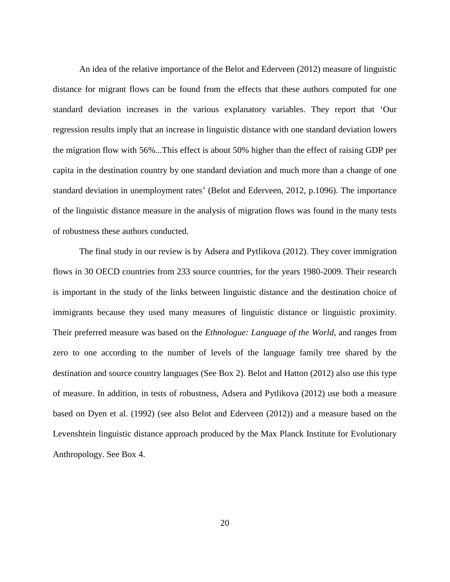An idea of the relative importance of the Belot and Ederveen (2012) measure of linguistic distance for migrant flows can be found from the effects that these authors computed for one standard deviation increases in the various explanatory variables. They report that 'Our regression results imply that an increase in linguistic distance with one standard deviation lowers the migration flow with 56%...This effect is about 50% higher than the effect of raising GDP per capita in the destination country by one standard deviation and much more than a change of one standard deviation in unemployment rates' (Belot and Ederveen, 2012, p.1096). The importance of the linguistic distance measure in the analysis of migration flows was found in the many tests of robustness these authors conducted.

The final study in our review is by Adsera and Pytlikova (2012). They cover immigration flows in 30 OECD countries from 233 source countries, for the years 1980-2009. Their research is important in the study of the links between linguistic distance and the destination choice of immigrants because they used many measures of linguistic distance or linguistic proximity. Their preferred measure was based on the *Ethnologue: Language of the World*, and ranges from zero to one according to the number of levels of the language family tree shared by the destination and source country languages (See Box 2). Belot and Hatton (2012) also use this type of measure. In addition, in tests of robustness, Adsera and Pytlikova (2012) use both a measure based on Dyen et al. (1992) (see also Belot and Ederveen (2012)) and a measure based on the Levenshtein linguistic distance approach produced by the Max Planck Institute for Evolutionary Anthropology. See Box 4.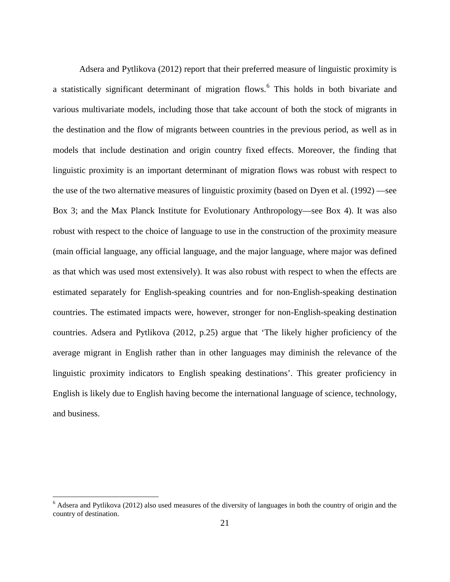Adsera and Pytlikova (2012) report that their preferred measure of linguistic proximity is a statistically significant determinant of migration flows.[6](#page-18-0) This holds in both bivariate and various multivariate models, including those that take account of both the stock of migrants in the destination and the flow of migrants between countries in the previous period, as well as in models that include destination and origin country fixed effects. Moreover, the finding that linguistic proximity is an important determinant of migration flows was robust with respect to the use of the two alternative measures of linguistic proximity (based on Dyen et al. (1992) —see Box 3; and the Max Planck Institute for Evolutionary Anthropology—see Box 4). It was also robust with respect to the choice of language to use in the construction of the proximity measure (main official language, any official language, and the major language, where major was defined as that which was used most extensively). It was also robust with respect to when the effects are estimated separately for English-speaking countries and for non-English-speaking destination countries. The estimated impacts were, however, stronger for non-English-speaking destination countries. Adsera and Pytlikova (2012, p.25) argue that 'The likely higher proficiency of the average migrant in English rather than in other languages may diminish the relevance of the linguistic proximity indicators to English speaking destinations'. This greater proficiency in English is likely due to English having become the international language of science, technology, and business.

<span id="page-21-0"></span><sup>&</sup>lt;sup>6</sup> Adsera and Pytlikova (2012) also used measures of the diversity of languages in both the country of origin and the country of destination.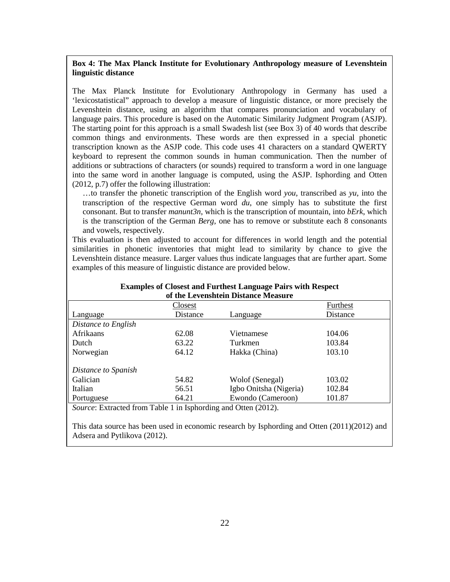#### **Box 4: The Max Planck Institute for Evolutionary Anthropology measure of Levenshtein linguistic distance**

The Max Planck Institute for Evolutionary Anthropology in Germany has used a 'lexicostatistical" approach to develop a measure of linguistic distance, or more precisely the Levenshtein distance, using an algorithm that compares pronunciation and vocabulary of language pairs. This procedure is based on the Automatic Similarity Judgment Program (ASJP). The starting point for this approach is a small Swadesh list (see Box 3) of 40 words that describe common things and environments. These words are then expressed in a special phonetic transcription known as the ASJP code. This code uses 41 characters on a standard QWERTY keyboard to represent the common sounds in human communication. Then the number of additions or subtractions of characters (or sounds) required to transform a word in one language into the same word in another language is computed, using the ASJP. Isphording and Otten (2012, p.7) offer the following illustration:

…to transfer the phonetic transcription of the English word *you*, transcribed as *yu*, into the transcription of the respective German word *du*, one simply has to substitute the first consonant. But to transfer *manunt3n*, which is the transcription of mountain, into *bErk*, which is the transcription of the German *Berg*, one has to remove or substitute each 8 consonants and vowels, respectively.

This evaluation is then adjusted to account for differences in world length and the potential similarities in phonetic inventories that might lead to similarity by chance to give the Levenshtein distance measure. Larger values thus indicate languages that are further apart. Some examples of this measure of linguistic distance are provided below.

| of the Levenshiem Distance Measure |          |                        |          |  |
|------------------------------------|----------|------------------------|----------|--|
|                                    | Closest  |                        | Furthest |  |
| Language                           | Distance | Language               | Distance |  |
| Distance to English                |          |                        |          |  |
| <b>Afrikaans</b>                   | 62.08    | Vietnamese             | 104.06   |  |
| Dutch                              | 63.22    | Turkmen                | 103.84   |  |
| Norwegian                          | 64.12    | Hakka (China)          | 103.10   |  |
| Distance to Spanish                |          |                        |          |  |
| Galician                           | 54.82    | Wolof (Senegal)        | 103.02   |  |
| Italian                            | 56.51    | Igbo Onitsha (Nigeria) | 102.84   |  |
| Portuguese                         | 64.21    | Ewondo (Cameroon)      | 101.87   |  |
|                                    |          |                        |          |  |

#### **Examples of Closest and Furthest Language Pairs with Respect of the Levenshtein Distance Measure**

*Source*: Extracted from Table 1 in Isphording and Otten (2012).

This data source has been used in economic research by Isphording and Otten (2011)(2012) and Adsera and Pytlikova (2012).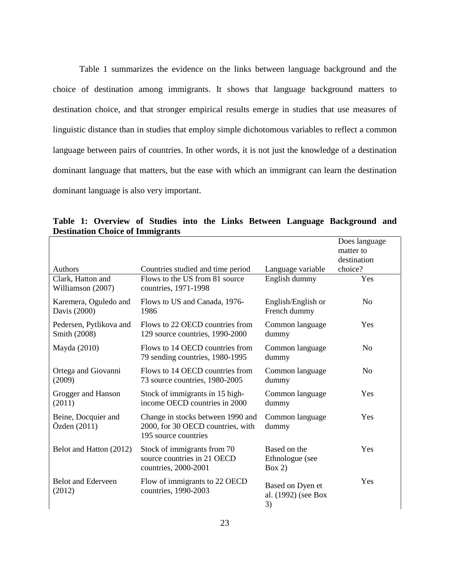Table 1 summarizes the evidence on the links between language background and the choice of destination among immigrants. It shows that language background matters to destination choice, and that stronger empirical results emerge in studies that use measures of linguistic distance than in studies that employ simple dichotomous variables to reflect a common language between pairs of countries. In other words, it is not just the knowledge of a destination dominant language that matters, but the ease with which an immigrant can learn the destination dominant language is also very important.

| Destination Choice of Immigrants        |                                                                                                |                                               |                                           |  |  |
|-----------------------------------------|------------------------------------------------------------------------------------------------|-----------------------------------------------|-------------------------------------------|--|--|
|                                         |                                                                                                |                                               | Does language<br>matter to<br>destination |  |  |
| <b>Authors</b>                          | Countries studied and time period                                                              | Language variable                             | choice?                                   |  |  |
| Clark, Hatton and<br>Williamson (2007)  | Flows to the US from 81 source<br>countries, 1971-1998                                         | English dummy                                 | Yes                                       |  |  |
| Karemera, Oguledo and<br>Davis (2000)   | Flows to US and Canada, 1976-<br>1986                                                          | English/English or<br>French dummy            | No                                        |  |  |
| Pedersen, Pytlikova and<br>Smith (2008) | Flows to 22 OECD countries from<br>129 source countries, 1990-2000                             | Common language<br>dummy                      | Yes                                       |  |  |
| Mayda (2010)                            | Flows to 14 OECD countries from<br>79 sending countries, 1980-1995                             | Common language<br>dummy                      | N <sub>o</sub>                            |  |  |
| Ortega and Giovanni<br>(2009)           | Flows to 14 OECD countries from<br>73 source countries, 1980-2005                              | Common language<br>dummy                      | N <sub>o</sub>                            |  |  |
| Grogger and Hanson<br>(2011)            | Stock of immigrants in 15 high-<br>income OECD countries in 2000                               | Common language<br>dummy                      | Yes                                       |  |  |
| Beine, Docquier and<br>Özden (2011)     | Change in stocks between 1990 and<br>2000, for 30 OECD countries, with<br>195 source countries | Common language<br>dummy                      | Yes                                       |  |  |
| Belot and Hatton (2012)                 | Stock of immigrants from 70<br>source countries in 21 OECD<br>countries, 2000-2001             | Based on the<br>Ethnologue (see<br>Box 2)     | Yes                                       |  |  |
| <b>Belot and Ederveen</b><br>(2012)     | Flow of immigrants to 22 OECD<br>countries, 1990-2003                                          | Based on Dyen et<br>al. (1992) (see Box<br>3) | Yes                                       |  |  |

**Table 1: Overview of Studies into the Links Between Language Background and Destination Choice of Immigrants**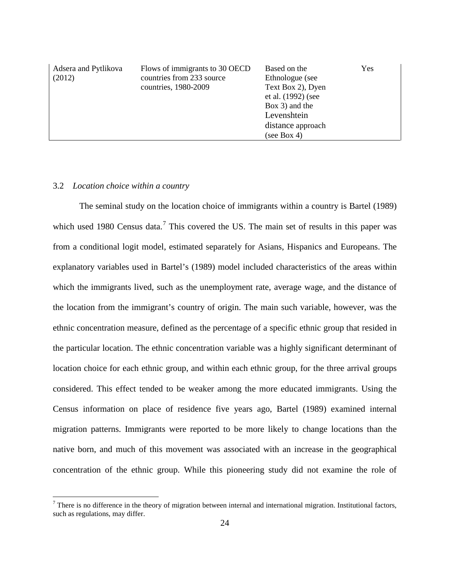| Adsera and Pytlikova<br>(2012) | Flows of immigrants to 30 OECD<br>countries from 233 source<br>countries, 1980-2009 | Based on the<br>Ethnologue (see<br>Text Box 2), Dyen<br>et al. (1992) (see<br>Box 3) and the<br>Levenshtein<br>distance approach<br>(see Box 4) | Yes |
|--------------------------------|-------------------------------------------------------------------------------------|-------------------------------------------------------------------------------------------------------------------------------------------------|-----|
|                                |                                                                                     |                                                                                                                                                 |     |

#### 3.2 *Location choice within a country*

The seminal study on the location choice of immigrants within a country is Bartel (1989) which used 1980 Census data.<sup>[7](#page-21-0)</sup> This covered the US. The main set of results in this paper was from a conditional logit model, estimated separately for Asians, Hispanics and Europeans. The explanatory variables used in Bartel's (1989) model included characteristics of the areas within which the immigrants lived, such as the unemployment rate, average wage, and the distance of the location from the immigrant's country of origin. The main such variable, however, was the ethnic concentration measure, defined as the percentage of a specific ethnic group that resided in the particular location. The ethnic concentration variable was a highly significant determinant of location choice for each ethnic group, and within each ethnic group, for the three arrival groups considered. This effect tended to be weaker among the more educated immigrants. Using the Census information on place of residence five years ago, Bartel (1989) examined internal migration patterns. Immigrants were reported to be more likely to change locations than the native born, and much of this movement was associated with an increase in the geographical concentration of the ethnic group. While this pioneering study did not examine the role of

<span id="page-24-0"></span> $<sup>7</sup>$  There is no difference in the theory of migration between internal and international migration. Institutional factors,</sup> such as regulations, may differ.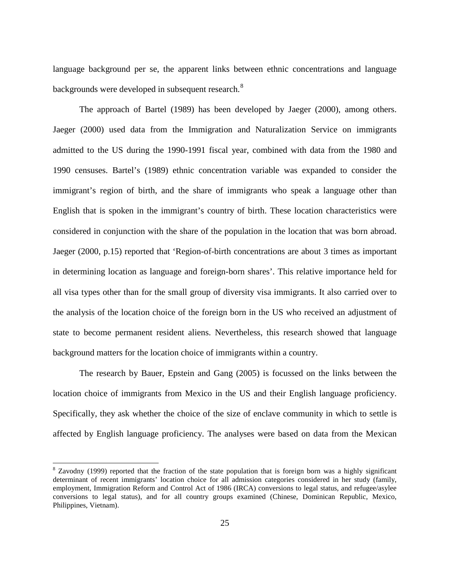language background per se, the apparent links between ethnic concentrations and language backgrounds were developed in subsequent research.<sup>[8](#page-24-0)</sup>

The approach of Bartel (1989) has been developed by Jaeger (2000), among others. Jaeger (2000) used data from the Immigration and Naturalization Service on immigrants admitted to the US during the 1990-1991 fiscal year, combined with data from the 1980 and 1990 censuses. Bartel's (1989) ethnic concentration variable was expanded to consider the immigrant's region of birth, and the share of immigrants who speak a language other than English that is spoken in the immigrant's country of birth. These location characteristics were considered in conjunction with the share of the population in the location that was born abroad. Jaeger (2000, p.15) reported that 'Region-of-birth concentrations are about 3 times as important in determining location as language and foreign-born shares'. This relative importance held for all visa types other than for the small group of diversity visa immigrants. It also carried over to the analysis of the location choice of the foreign born in the US who received an adjustment of state to become permanent resident aliens. Nevertheless, this research showed that language background matters for the location choice of immigrants within a country.

The research by Bauer, Epstein and Gang (2005) is focussed on the links between the location choice of immigrants from Mexico in the US and their English language proficiency. Specifically, they ask whether the choice of the size of enclave community in which to settle is affected by English language proficiency. The analyses were based on data from the Mexican

<span id="page-25-0"></span> $8$  Zavodny (1999) reported that the fraction of the state population that is foreign born was a highly significant determinant of recent immigrants' location choice for all admission categories considered in her study (family, employment, Immigration Reform and Control Act of 1986 (IRCA) conversions to legal status, and refugee/asylee conversions to legal status), and for all country groups examined (Chinese, Dominican Republic, Mexico, Philippines, Vietnam).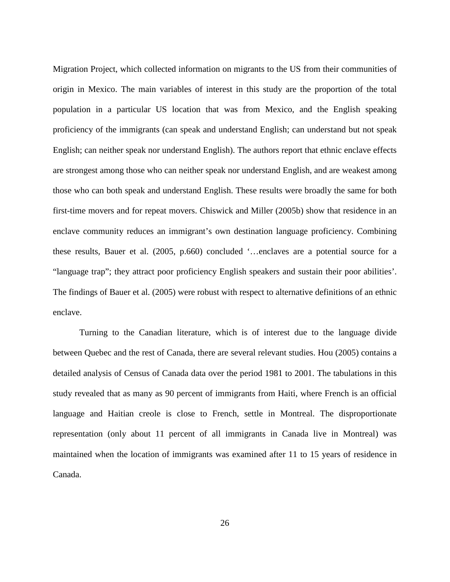Migration Project, which collected information on migrants to the US from their communities of origin in Mexico. The main variables of interest in this study are the proportion of the total population in a particular US location that was from Mexico, and the English speaking proficiency of the immigrants (can speak and understand English; can understand but not speak English; can neither speak nor understand English). The authors report that ethnic enclave effects are strongest among those who can neither speak nor understand English, and are weakest among those who can both speak and understand English. These results were broadly the same for both first-time movers and for repeat movers. Chiswick and Miller (2005b) show that residence in an enclave community reduces an immigrant's own destination language proficiency. Combining these results, Bauer et al. (2005, p.660) concluded '…enclaves are a potential source for a "language trap"; they attract poor proficiency English speakers and sustain their poor abilities'. The findings of Bauer et al. (2005) were robust with respect to alternative definitions of an ethnic enclave.

Turning to the Canadian literature, which is of interest due to the language divide between Quebec and the rest of Canada, there are several relevant studies. Hou (2005) contains a detailed analysis of Census of Canada data over the period 1981 to 2001. The tabulations in this study revealed that as many as 90 percent of immigrants from Haiti, where French is an official language and Haitian creole is close to French, settle in Montreal. The disproportionate representation (only about 11 percent of all immigrants in Canada live in Montreal) was maintained when the location of immigrants was examined after 11 to 15 years of residence in Canada.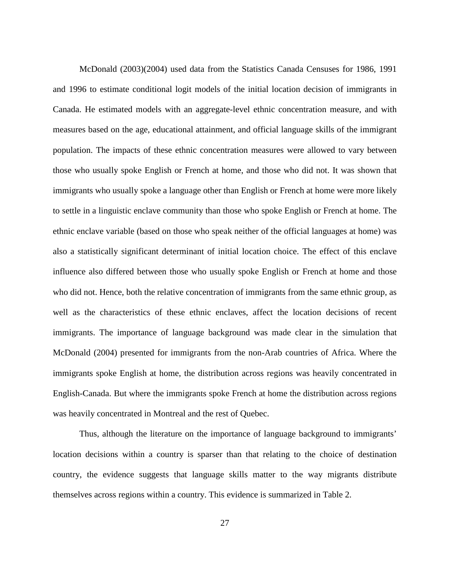McDonald (2003)(2004) used data from the Statistics Canada Censuses for 1986, 1991 and 1996 to estimate conditional logit models of the initial location decision of immigrants in Canada. He estimated models with an aggregate-level ethnic concentration measure, and with measures based on the age, educational attainment, and official language skills of the immigrant population. The impacts of these ethnic concentration measures were allowed to vary between those who usually spoke English or French at home, and those who did not. It was shown that immigrants who usually spoke a language other than English or French at home were more likely to settle in a linguistic enclave community than those who spoke English or French at home. The ethnic enclave variable (based on those who speak neither of the official languages at home) was also a statistically significant determinant of initial location choice. The effect of this enclave influence also differed between those who usually spoke English or French at home and those who did not. Hence, both the relative concentration of immigrants from the same ethnic group, as well as the characteristics of these ethnic enclaves, affect the location decisions of recent immigrants. The importance of language background was made clear in the simulation that McDonald (2004) presented for immigrants from the non-Arab countries of Africa. Where the immigrants spoke English at home, the distribution across regions was heavily concentrated in English-Canada. But where the immigrants spoke French at home the distribution across regions was heavily concentrated in Montreal and the rest of Quebec.

Thus, although the literature on the importance of language background to immigrants' location decisions within a country is sparser than that relating to the choice of destination country, the evidence suggests that language skills matter to the way migrants distribute themselves across regions within a country. This evidence is summarized in Table 2.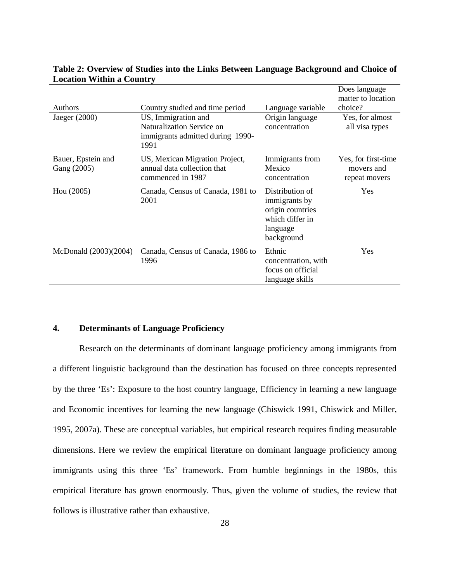|                                   |                                                                                              |                                                                                                   | Does language                                      |
|-----------------------------------|----------------------------------------------------------------------------------------------|---------------------------------------------------------------------------------------------------|----------------------------------------------------|
|                                   |                                                                                              |                                                                                                   | matter to location                                 |
| <b>Authors</b>                    | Country studied and time period                                                              | Language variable                                                                                 | choice?                                            |
| Jaeger $(2000)$                   | US, Immigration and<br>Naturalization Service on<br>immigrants admitted during 1990-<br>1991 | Origin language<br>concentration                                                                  | Yes, for almost<br>all visa types                  |
| Bauer, Epstein and<br>Gang (2005) | US, Mexican Migration Project,<br>annual data collection that<br>commenced in 1987           | Immigrants from<br>Mexico<br>concentration                                                        | Yes, for first-time<br>movers and<br>repeat movers |
| Hou $(2005)$                      | Canada, Census of Canada, 1981 to<br>2001                                                    | Distribution of<br>immigrants by<br>origin countries<br>which differ in<br>language<br>background | <b>Yes</b>                                         |
| McDonald (2003)(2004)             | Canada, Census of Canada, 1986 to<br>1996                                                    | Ethnic<br>concentration, with<br>focus on official<br>language skills                             | <b>Yes</b>                                         |

## **Table 2: Overview of Studies into the Links Between Language Background and Choice of Location Within a Country**

#### **4. Determinants of Language Proficiency**

Research on the determinants of dominant language proficiency among immigrants from a different linguistic background than the destination has focused on three concepts represented by the three 'Es': Exposure to the host country language, Efficiency in learning a new language and Economic incentives for learning the new language (Chiswick 1991, Chiswick and Miller, 1995, 2007a). These are conceptual variables, but empirical research requires finding measurable dimensions. Here we review the empirical literature on dominant language proficiency among immigrants using this three 'Es' framework. From humble beginnings in the 1980s, this empirical literature has grown enormously. Thus, given the volume of studies, the review that follows is illustrative rather than exhaustive.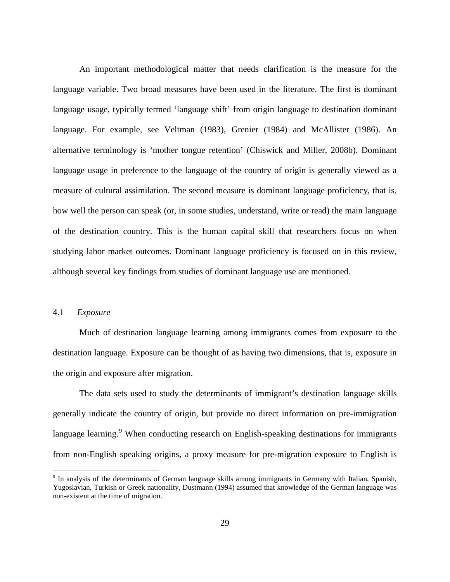An important methodological matter that needs clarification is the measure for the language variable. Two broad measures have been used in the literature. The first is dominant language usage, typically termed 'language shift' from origin language to destination dominant language. For example, see Veltman (1983), Grenier (1984) and McAllister (1986). An alternative terminology is 'mother tongue retention' (Chiswick and Miller, 2008b). Dominant language usage in preference to the language of the country of origin is generally viewed as a measure of cultural assimilation. The second measure is dominant language proficiency, that is, how well the person can speak (or, in some studies, understand, write or read) the main language of the destination country. This is the human capital skill that researchers focus on when studying labor market outcomes. Dominant language proficiency is focused on in this review, although several key findings from studies of dominant language use are mentioned.

#### 4.1 *Exposure*

Much of destination language learning among immigrants comes from exposure to the destination language. Exposure can be thought of as having two dimensions, that is, exposure in the origin and exposure after migration.

The data sets used to study the determinants of immigrant's destination language skills generally indicate the country of origin, but provide no direct information on pre-immigration language learning.<sup>[9](#page-25-0)</sup> When conducting research on English-speaking destinations for immigrants from non-English speaking origins, a proxy measure for pre-migration exposure to English is

<span id="page-29-0"></span><sup>9</sup> In analysis of the determinants of German language skills among immigrants in Germany with Italian, Spanish, Yugoslavian, Turkish or Greek nationality, Dustmann (1994) assumed that knowledge of the German language was non-existent at the time of migration.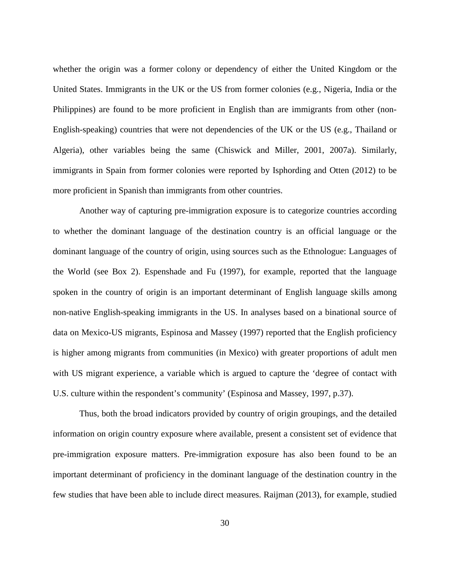whether the origin was a former colony or dependency of either the United Kingdom or the United States. Immigrants in the UK or the US from former colonies (e.g., Nigeria, India or the Philippines) are found to be more proficient in English than are immigrants from other (non-English-speaking) countries that were not dependencies of the UK or the US (e.g., Thailand or Algeria), other variables being the same (Chiswick and Miller, 2001, 2007a). Similarly, immigrants in Spain from former colonies were reported by Isphording and Otten (2012) to be more proficient in Spanish than immigrants from other countries.

Another way of capturing pre-immigration exposure is to categorize countries according to whether the dominant language of the destination country is an official language or the dominant language of the country of origin, using sources such as the Ethnologue: Languages of the World (see Box 2). Espenshade and Fu (1997), for example, reported that the language spoken in the country of origin is an important determinant of English language skills among non-native English-speaking immigrants in the US. In analyses based on a binational source of data on Mexico-US migrants, Espinosa and Massey (1997) reported that the English proficiency is higher among migrants from communities (in Mexico) with greater proportions of adult men with US migrant experience, a variable which is argued to capture the 'degree of contact with U.S. culture within the respondent's community' (Espinosa and Massey, 1997, p.37).

Thus, both the broad indicators provided by country of origin groupings, and the detailed information on origin country exposure where available, present a consistent set of evidence that pre-immigration exposure matters. Pre-immigration exposure has also been found to be an important determinant of proficiency in the dominant language of the destination country in the few studies that have been able to include direct measures. Raijman (2013), for example, studied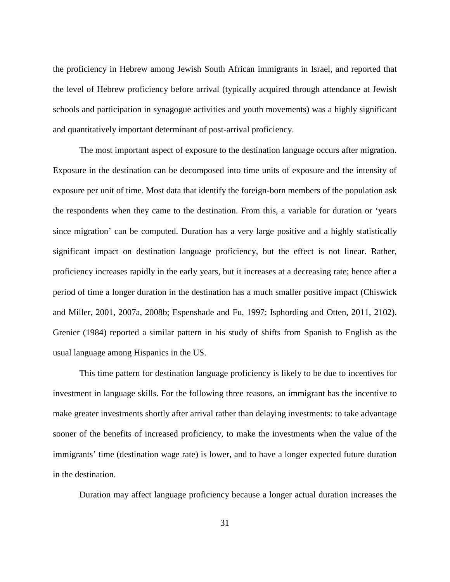the proficiency in Hebrew among Jewish South African immigrants in Israel, and reported that the level of Hebrew proficiency before arrival (typically acquired through attendance at Jewish schools and participation in synagogue activities and youth movements) was a highly significant and quantitatively important determinant of post-arrival proficiency.

The most important aspect of exposure to the destination language occurs after migration. Exposure in the destination can be decomposed into time units of exposure and the intensity of exposure per unit of time. Most data that identify the foreign-born members of the population ask the respondents when they came to the destination. From this, a variable for duration or 'years since migration' can be computed. Duration has a very large positive and a highly statistically significant impact on destination language proficiency, but the effect is not linear. Rather, proficiency increases rapidly in the early years, but it increases at a decreasing rate; hence after a period of time a longer duration in the destination has a much smaller positive impact (Chiswick and Miller, 2001, 2007a, 2008b; Espenshade and Fu, 1997; Isphording and Otten, 2011, 2102). Grenier (1984) reported a similar pattern in his study of shifts from Spanish to English as the usual language among Hispanics in the US.

This time pattern for destination language proficiency is likely to be due to incentives for investment in language skills. For the following three reasons, an immigrant has the incentive to make greater investments shortly after arrival rather than delaying investments: to take advantage sooner of the benefits of increased proficiency, to make the investments when the value of the immigrants' time (destination wage rate) is lower, and to have a longer expected future duration in the destination.

Duration may affect language proficiency because a longer actual duration increases the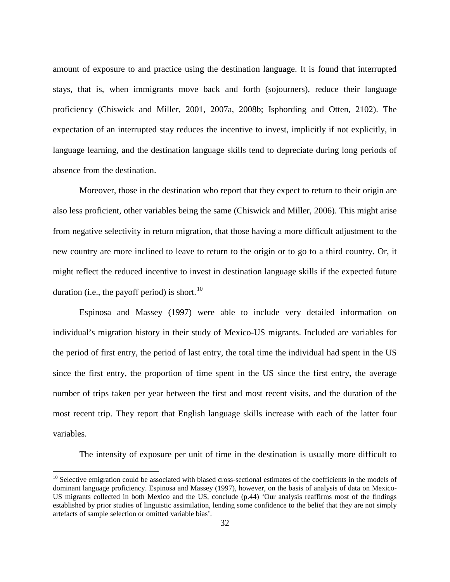amount of exposure to and practice using the destination language. It is found that interrupted stays, that is, when immigrants move back and forth (sojourners), reduce their language proficiency (Chiswick and Miller, 2001, 2007a, 2008b; Isphording and Otten, 2102). The expectation of an interrupted stay reduces the incentive to invest, implicitly if not explicitly, in language learning, and the destination language skills tend to depreciate during long periods of absence from the destination.

Moreover, those in the destination who report that they expect to return to their origin are also less proficient, other variables being the same (Chiswick and Miller, 2006). This might arise from negative selectivity in return migration, that those having a more difficult adjustment to the new country are more inclined to leave to return to the origin or to go to a third country. Or, it might reflect the reduced incentive to invest in destination language skills if the expected future duration (i.e., the payoff period) is short.<sup>[10](#page-29-0)</sup>

Espinosa and Massey (1997) were able to include very detailed information on individual's migration history in their study of Mexico-US migrants. Included are variables for the period of first entry, the period of last entry, the total time the individual had spent in the US since the first entry, the proportion of time spent in the US since the first entry, the average number of trips taken per year between the first and most recent visits, and the duration of the most recent trip. They report that English language skills increase with each of the latter four variables.

The intensity of exposure per unit of time in the destination is usually more difficult to

<span id="page-32-0"></span> $10$  Selective emigration could be associated with biased cross-sectional estimates of the coefficients in the models of dominant language proficiency. Espinosa and Massey (1997), however, on the basis of analysis of data on Mexico-US migrants collected in both Mexico and the US, conclude (p.44) 'Our analysis reaffirms most of the findings established by prior studies of linguistic assimilation, lending some confidence to the belief that they are not simply artefacts of sample selection or omitted variable bias'.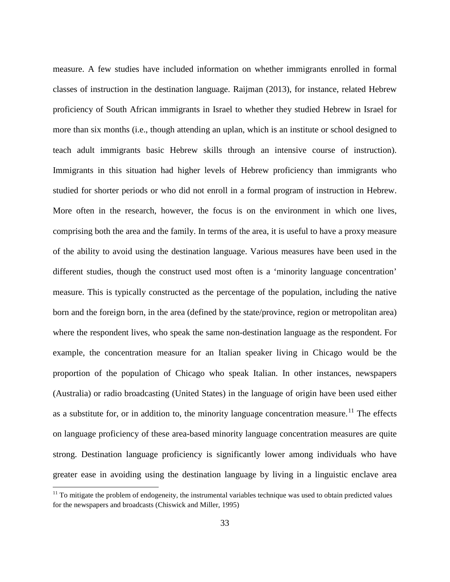measure. A few studies have included information on whether immigrants enrolled in formal classes of instruction in the destination language. Raijman (2013), for instance, related Hebrew proficiency of South African immigrants in Israel to whether they studied Hebrew in Israel for more than six months (i.e., though attending an uplan, which is an institute or school designed to teach adult immigrants basic Hebrew skills through an intensive course of instruction). Immigrants in this situation had higher levels of Hebrew proficiency than immigrants who studied for shorter periods or who did not enroll in a formal program of instruction in Hebrew. More often in the research, however, the focus is on the environment in which one lives, comprising both the area and the family. In terms of the area, it is useful to have a proxy measure of the ability to avoid using the destination language. Various measures have been used in the different studies, though the construct used most often is a 'minority language concentration' measure. This is typically constructed as the percentage of the population, including the native born and the foreign born, in the area (defined by the state/province, region or metropolitan area) where the respondent lives, who speak the same non-destination language as the respondent. For example, the concentration measure for an Italian speaker living in Chicago would be the proportion of the population of Chicago who speak Italian. In other instances, newspapers (Australia) or radio broadcasting (United States) in the language of origin have been used either as a substitute for, or in addition to, the minority language concentration measure.<sup>[11](#page-32-0)</sup> The effects on language proficiency of these area-based minority language concentration measures are quite strong. Destination language proficiency is significantly lower among individuals who have greater ease in avoiding using the destination language by living in a linguistic enclave area

 $\overline{\phantom{a}}$ 

<span id="page-33-0"></span> $11$  To mitigate the problem of endogeneity, the instrumental variables technique was used to obtain predicted values for the newspapers and broadcasts (Chiswick and Miller, 1995)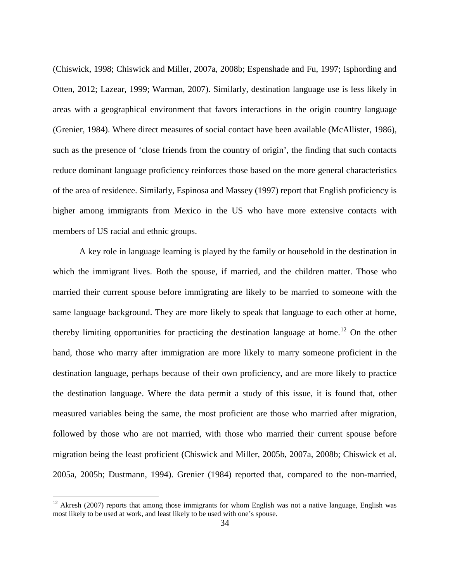(Chiswick, 1998; Chiswick and Miller, 2007a, 2008b; Espenshade and Fu, 1997; Isphording and Otten, 2012; Lazear, 1999; Warman, 2007). Similarly, destination language use is less likely in areas with a geographical environment that favors interactions in the origin country language (Grenier, 1984). Where direct measures of social contact have been available (McAllister, 1986), such as the presence of 'close friends from the country of origin', the finding that such contacts reduce dominant language proficiency reinforces those based on the more general characteristics of the area of residence. Similarly, Espinosa and Massey (1997) report that English proficiency is higher among immigrants from Mexico in the US who have more extensive contacts with members of US racial and ethnic groups.

A key role in language learning is played by the family or household in the destination in which the immigrant lives. Both the spouse, if married, and the children matter. Those who married their current spouse before immigrating are likely to be married to someone with the same language background. They are more likely to speak that language to each other at home, thereby limiting opportunities for practicing the destination language at home.<sup>[12](#page-33-0)</sup> On the other hand, those who marry after immigration are more likely to marry someone proficient in the destination language, perhaps because of their own proficiency, and are more likely to practice the destination language. Where the data permit a study of this issue, it is found that, other measured variables being the same, the most proficient are those who married after migration, followed by those who are not married, with those who married their current spouse before migration being the least proficient (Chiswick and Miller, 2005b, 2007a, 2008b; Chiswick et al. 2005a, 2005b; Dustmann, 1994). Grenier (1984) reported that, compared to the non-married,

 $12$  Akresh (2007) reports that among those immigrants for whom English was not a native language, English was most likely to be used at work, and least likely to be used with one's spouse.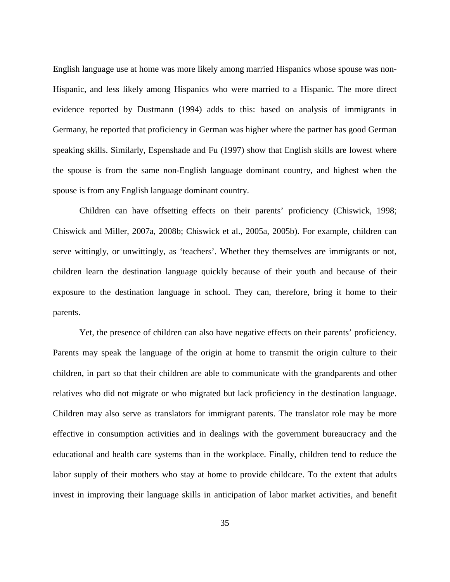English language use at home was more likely among married Hispanics whose spouse was non-Hispanic, and less likely among Hispanics who were married to a Hispanic. The more direct evidence reported by Dustmann (1994) adds to this: based on analysis of immigrants in Germany, he reported that proficiency in German was higher where the partner has good German speaking skills. Similarly, Espenshade and Fu (1997) show that English skills are lowest where the spouse is from the same non-English language dominant country, and highest when the spouse is from any English language dominant country.

Children can have offsetting effects on their parents' proficiency (Chiswick, 1998; Chiswick and Miller, 2007a, 2008b; Chiswick et al., 2005a, 2005b). For example, children can serve wittingly, or unwittingly, as 'teachers'. Whether they themselves are immigrants or not, children learn the destination language quickly because of their youth and because of their exposure to the destination language in school. They can, therefore, bring it home to their parents.

Yet, the presence of children can also have negative effects on their parents' proficiency. Parents may speak the language of the origin at home to transmit the origin culture to their children, in part so that their children are able to communicate with the grandparents and other relatives who did not migrate or who migrated but lack proficiency in the destination language. Children may also serve as translators for immigrant parents. The translator role may be more effective in consumption activities and in dealings with the government bureaucracy and the educational and health care systems than in the workplace. Finally, children tend to reduce the labor supply of their mothers who stay at home to provide childcare. To the extent that adults invest in improving their language skills in anticipation of labor market activities, and benefit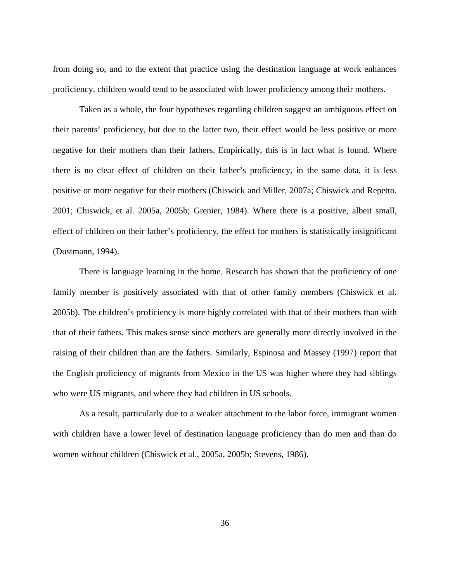from doing so, and to the extent that practice using the destination language at work enhances proficiency, children would tend to be associated with lower proficiency among their mothers.

Taken as a whole, the four hypotheses regarding children suggest an ambiguous effect on their parents' proficiency, but due to the latter two, their effect would be less positive or more negative for their mothers than their fathers. Empirically, this is in fact what is found. Where there is no clear effect of children on their father's proficiency, in the same data, it is less positive or more negative for their mothers (Chiswick and Miller, 2007a; Chiswick and Repetto, 2001; Chiswick, et al. 2005a, 2005b; Grenier, 1984). Where there is a positive, albeit small, effect of children on their father's proficiency, the effect for mothers is statistically insignificant (Dustmann, 1994).

There is language learning in the home. Research has shown that the proficiency of one family member is positively associated with that of other family members (Chiswick et al. 2005b). The children's proficiency is more highly correlated with that of their mothers than with that of their fathers. This makes sense since mothers are generally more directly involved in the raising of their children than are the fathers. Similarly, Espinosa and Massey (1997) report that the English proficiency of migrants from Mexico in the US was higher where they had siblings who were US migrants, and where they had children in US schools.

As a result, particularly due to a weaker attachment to the labor force, immigrant women with children have a lower level of destination language proficiency than do men and than do women without children (Chiswick et al., 2005a, 2005b; Stevens, 1986).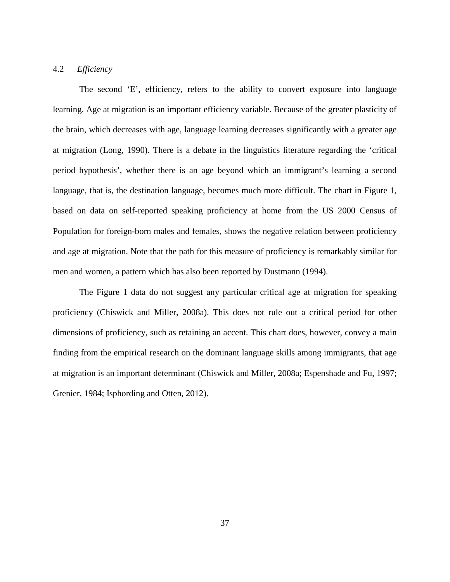## 4.2 *Efficiency*

The second 'E', efficiency, refers to the ability to convert exposure into language learning. Age at migration is an important efficiency variable. Because of the greater plasticity of the brain, which decreases with age, language learning decreases significantly with a greater age at migration (Long, 1990). There is a debate in the linguistics literature regarding the 'critical period hypothesis', whether there is an age beyond which an immigrant's learning a second language, that is, the destination language, becomes much more difficult. The chart in Figure 1, based on data on self-reported speaking proficiency at home from the US 2000 Census of Population for foreign-born males and females, shows the negative relation between proficiency and age at migration. Note that the path for this measure of proficiency is remarkably similar for men and women, a pattern which has also been reported by Dustmann (1994).

The Figure 1 data do not suggest any particular critical age at migration for speaking proficiency (Chiswick and Miller, 2008a). This does not rule out a critical period for other dimensions of proficiency, such as retaining an accent. This chart does, however, convey a main finding from the empirical research on the dominant language skills among immigrants, that age at migration is an important determinant (Chiswick and Miller, 2008a; Espenshade and Fu, 1997; Grenier, 1984; Isphording and Otten, 2012).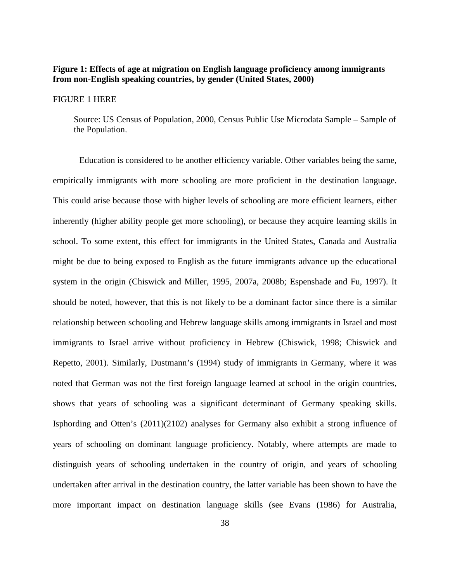## **Figure 1: Effects of age at migration on English language proficiency among immigrants from non-English speaking countries, by gender (United States, 2000)**

### FIGURE 1 HERE

Source: US Census of Population, 2000, Census Public Use Microdata Sample – Sample of the Population.

Education is considered to be another efficiency variable. Other variables being the same, empirically immigrants with more schooling are more proficient in the destination language. This could arise because those with higher levels of schooling are more efficient learners, either inherently (higher ability people get more schooling), or because they acquire learning skills in school. To some extent, this effect for immigrants in the United States, Canada and Australia might be due to being exposed to English as the future immigrants advance up the educational system in the origin (Chiswick and Miller, 1995, 2007a, 2008b; Espenshade and Fu, 1997). It should be noted, however, that this is not likely to be a dominant factor since there is a similar relationship between schooling and Hebrew language skills among immigrants in Israel and most immigrants to Israel arrive without proficiency in Hebrew (Chiswick, 1998; Chiswick and Repetto, 2001). Similarly, Dustmann's (1994) study of immigrants in Germany, where it was noted that German was not the first foreign language learned at school in the origin countries, shows that years of schooling was a significant determinant of Germany speaking skills. Isphording and Otten's (2011)(2102) analyses for Germany also exhibit a strong influence of years of schooling on dominant language proficiency. Notably, where attempts are made to distinguish years of schooling undertaken in the country of origin, and years of schooling undertaken after arrival in the destination country, the latter variable has been shown to have the more important impact on destination language skills (see Evans (1986) for Australia,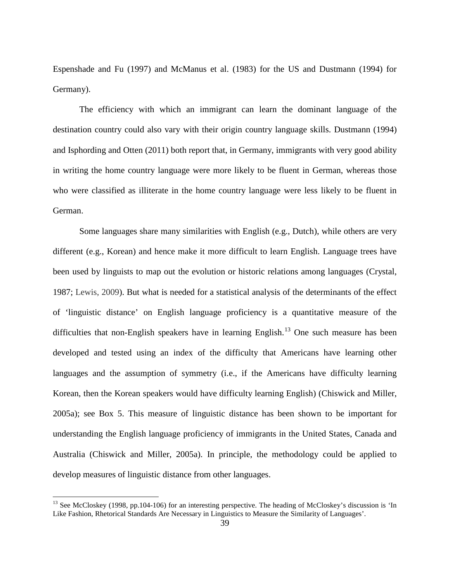Espenshade and Fu (1997) and McManus et al. (1983) for the US and Dustmann (1994) for Germany).

The efficiency with which an immigrant can learn the dominant language of the destination country could also vary with their origin country language skills. Dustmann (1994) and Isphording and Otten (2011) both report that, in Germany, immigrants with very good ability in writing the home country language were more likely to be fluent in German, whereas those who were classified as illiterate in the home country language were less likely to be fluent in German.

Some languages share many similarities with English (e.g., Dutch), while others are very different (e.g., Korean) and hence make it more difficult to learn English. Language trees have been used by linguists to map out the evolution or historic relations among languages (Crystal, 1987; Lewis, 2009). But what is needed for a statistical analysis of the determinants of the effect of 'linguistic distance' on English language proficiency is a quantitative measure of the difficulties that non-English speakers have in learning English.<sup>[13](#page-34-0)</sup> One such measure has been developed and tested using an index of the difficulty that Americans have learning other languages and the assumption of symmetry (i.e., if the Americans have difficulty learning Korean, then the Korean speakers would have difficulty learning English) (Chiswick and Miller, 2005a); see Box 5. This measure of linguistic distance has been shown to be important for understanding the English language proficiency of immigrants in the United States, Canada and Australia (Chiswick and Miller, 2005a). In principle, the methodology could be applied to develop measures of linguistic distance from other languages.

<span id="page-39-0"></span> $13$  See McCloskey (1998, pp.104-106) for an interesting perspective. The heading of McCloskey's discussion is 'In Like Fashion, Rhetorical Standards Are Necessary in Linguistics to Measure the Similarity of Languages'.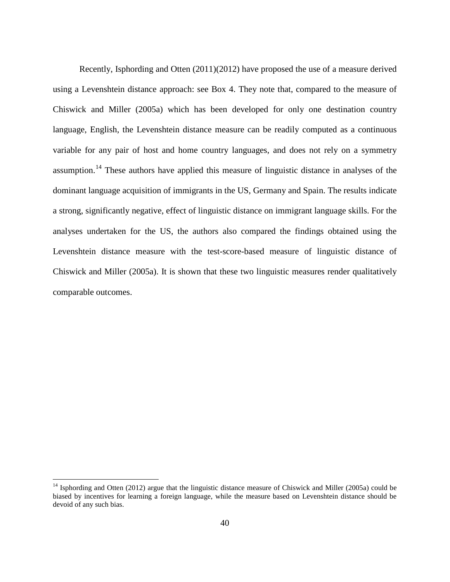Recently, Isphording and Otten (2011)(2012) have proposed the use of a measure derived using a Levenshtein distance approach: see Box 4. They note that, compared to the measure of Chiswick and Miller (2005a) which has been developed for only one destination country language, English, the Levenshtein distance measure can be readily computed as a continuous variable for any pair of host and home country languages, and does not rely on a symmetry assumption.[14](#page-39-0) These authors have applied this measure of linguistic distance in analyses of the dominant language acquisition of immigrants in the US, Germany and Spain. The results indicate a strong, significantly negative, effect of linguistic distance on immigrant language skills. For the analyses undertaken for the US, the authors also compared the findings obtained using the Levenshtein distance measure with the test-score-based measure of linguistic distance of Chiswick and Miller (2005a). It is shown that these two linguistic measures render qualitatively comparable outcomes.

<span id="page-40-0"></span><sup>&</sup>lt;sup>14</sup> Isphording and Otten (2012) argue that the linguistic distance measure of Chiswick and Miller (2005a) could be biased by incentives for learning a foreign language, while the measure based on Levenshtein distance should be devoid of any such bias.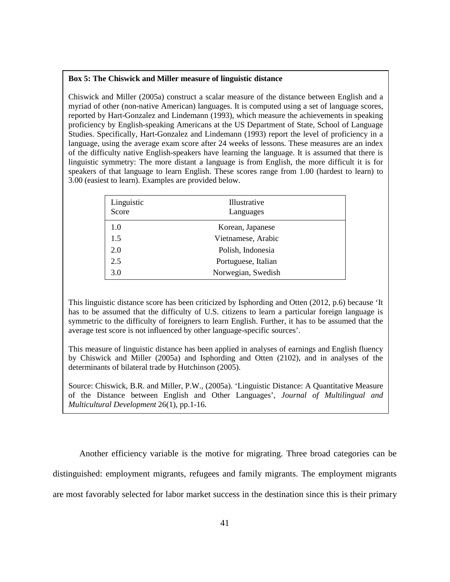#### **Box 5: The Chiswick and Miller measure of linguistic distance**

Chiswick and Miller (2005a) construct a scalar measure of the distance between English and a myriad of other (non-native American) languages. It is computed using a set of language scores, reported by Hart-Gonzalez and Lindemann (1993), which measure the achievements in speaking proficiency by English-speaking Americans at the US Department of State, School of Language Studies. Specifically, Hart-Gonzalez and Lindemann (1993) report the level of proficiency in a language, using the average exam score after 24 weeks of lessons. These measures are an index of the difficulty native English-speakers have learning the language. It is assumed that there is linguistic symmetry: The more distant a language is from English, the more difficult it is for speakers of that language to learn English. These scores range from 1.00 (hardest to learn) to 3.00 (easiest to learn). Examples are provided below.

| Linguistic<br>Score | <b>Illustrative</b><br>Languages |  |
|---------------------|----------------------------------|--|
| 1.0                 | Korean, Japanese                 |  |
| 1.5                 | Vietnamese, Arabic               |  |
| 2.0                 | Polish, Indonesia                |  |
| 2.5                 | Portuguese, Italian              |  |
| 3.0                 | Norwegian, Swedish               |  |

This linguistic distance score has been criticized by Isphording and Otten (2012, p.6) because 'It has to be assumed that the difficulty of U.S. citizens to learn a particular foreign language is symmetric to the difficulty of foreigners to learn English. Further, it has to be assumed that the average test score is not influenced by other language-specific sources'.

This measure of linguistic distance has been applied in analyses of earnings and English fluency by Chiswick and Miller (2005a) and Isphording and Otten (2102), and in analyses of the determinants of bilateral trade by Hutchinson (2005).

Source: Chiswick, B.R. and Miller, P.W., (2005a). 'Linguistic Distance: A Quantitative Measure of the Distance between English and Other Languages', *Journal of Multilingual and Multicultural Development* 26(1), pp.1-16.

Another efficiency variable is the motive for migrating. Three broad categories can be distinguished: employment migrants, refugees and family migrants. The employment migrants are most favorably selected for labor market success in the destination since this is their primary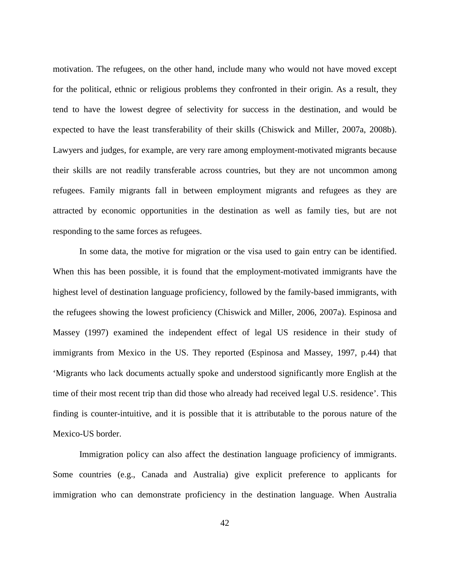motivation. The refugees, on the other hand, include many who would not have moved except for the political, ethnic or religious problems they confronted in their origin. As a result, they tend to have the lowest degree of selectivity for success in the destination, and would be expected to have the least transferability of their skills (Chiswick and Miller, 2007a, 2008b). Lawyers and judges, for example, are very rare among employment-motivated migrants because their skills are not readily transferable across countries, but they are not uncommon among refugees. Family migrants fall in between employment migrants and refugees as they are attracted by economic opportunities in the destination as well as family ties, but are not responding to the same forces as refugees.

In some data, the motive for migration or the visa used to gain entry can be identified. When this has been possible, it is found that the employment-motivated immigrants have the highest level of destination language proficiency, followed by the family-based immigrants, with the refugees showing the lowest proficiency (Chiswick and Miller, 2006, 2007a). Espinosa and Massey (1997) examined the independent effect of legal US residence in their study of immigrants from Mexico in the US. They reported (Espinosa and Massey, 1997, p.44) that 'Migrants who lack documents actually spoke and understood significantly more English at the time of their most recent trip than did those who already had received legal U.S. residence'. This finding is counter-intuitive, and it is possible that it is attributable to the porous nature of the Mexico-US border.

Immigration policy can also affect the destination language proficiency of immigrants. Some countries (e.g., Canada and Australia) give explicit preference to applicants for immigration who can demonstrate proficiency in the destination language. When Australia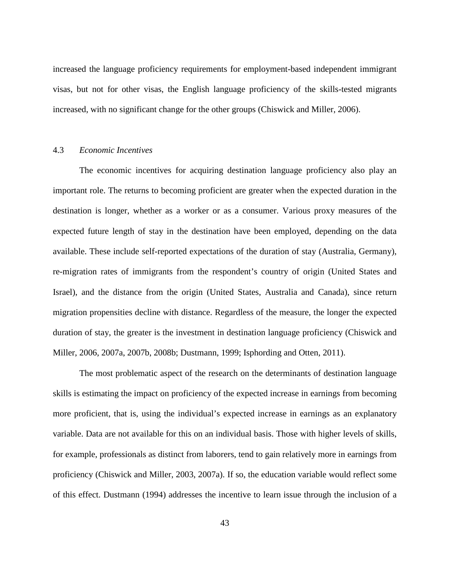increased the language proficiency requirements for employment-based independent immigrant visas, but not for other visas, the English language proficiency of the skills-tested migrants increased, with no significant change for the other groups (Chiswick and Miller, 2006).

#### 4.3 *Economic Incentives*

The economic incentives for acquiring destination language proficiency also play an important role. The returns to becoming proficient are greater when the expected duration in the destination is longer, whether as a worker or as a consumer. Various proxy measures of the expected future length of stay in the destination have been employed, depending on the data available. These include self-reported expectations of the duration of stay (Australia, Germany), re-migration rates of immigrants from the respondent's country of origin (United States and Israel), and the distance from the origin (United States, Australia and Canada), since return migration propensities decline with distance. Regardless of the measure, the longer the expected duration of stay, the greater is the investment in destination language proficiency (Chiswick and Miller, 2006, 2007a, 2007b, 2008b; Dustmann, 1999; Isphording and Otten, 2011).

The most problematic aspect of the research on the determinants of destination language skills is estimating the impact on proficiency of the expected increase in earnings from becoming more proficient, that is, using the individual's expected increase in earnings as an explanatory variable. Data are not available for this on an individual basis. Those with higher levels of skills, for example, professionals as distinct from laborers, tend to gain relatively more in earnings from proficiency (Chiswick and Miller, 2003, 2007a). If so, the education variable would reflect some of this effect. Dustmann (1994) addresses the incentive to learn issue through the inclusion of a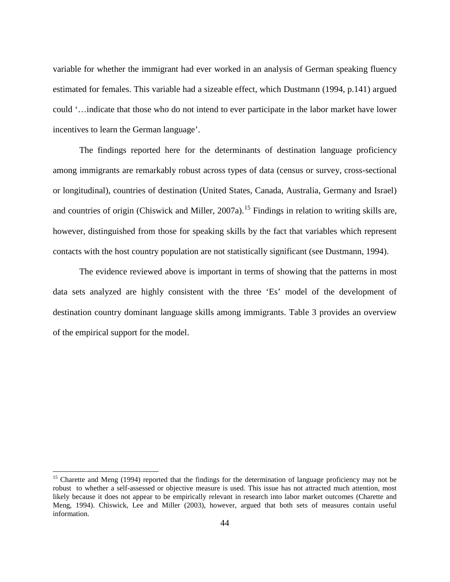variable for whether the immigrant had ever worked in an analysis of German speaking fluency estimated for females. This variable had a sizeable effect, which Dustmann (1994, p.141) argued could '…indicate that those who do not intend to ever participate in the labor market have lower incentives to learn the German language'.

The findings reported here for the determinants of destination language proficiency among immigrants are remarkably robust across types of data (census or survey, cross-sectional or longitudinal), countries of destination (United States, Canada, Australia, Germany and Israel) and countries of origin (Chiswick and Miller, 2007a).<sup>[15](#page-40-0)</sup> Findings in relation to writing skills are, however, distinguished from those for speaking skills by the fact that variables which represent contacts with the host country population are not statistically significant (see Dustmann, 1994).

The evidence reviewed above is important in terms of showing that the patterns in most data sets analyzed are highly consistent with the three 'Es' model of the development of destination country dominant language skills among immigrants. Table 3 provides an overview of the empirical support for the model.

<span id="page-44-0"></span><sup>&</sup>lt;sup>15</sup> Charette and Meng (1994) reported that the findings for the determination of language proficiency may not be robust to whether a self-assessed or objective measure is used. This issue has not attracted much attention, most likely because it does not appear to be empirically relevant in research into labor market outcomes (Charette and Meng, 1994). Chiswick, Lee and Miller (2003), however, argued that both sets of measures contain useful information.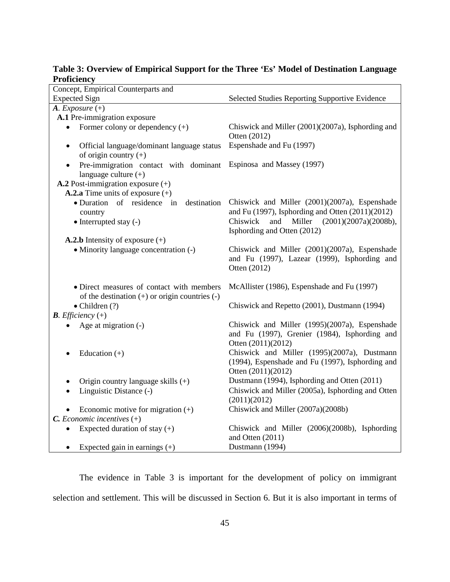**Table 3: Overview of Empirical Support for the Three 'Es' Model of Destination Language Proficiency**

| Concept, Empirical Counterparts and                                                             |                                                                                                                                                                                                |  |  |
|-------------------------------------------------------------------------------------------------|------------------------------------------------------------------------------------------------------------------------------------------------------------------------------------------------|--|--|
| <b>Expected Sign</b>                                                                            | Selected Studies Reporting Supportive Evidence                                                                                                                                                 |  |  |
| $A.$ Exposure $(+)$                                                                             |                                                                                                                                                                                                |  |  |
| A.1 Pre-immigration exposure                                                                    |                                                                                                                                                                                                |  |  |
| Former colony or dependency $(+)$<br>$\bullet$                                                  | Chiswick and Miller (2001)(2007a), Isphording and<br>Otten (2012)                                                                                                                              |  |  |
| Official language/dominant language status<br>$\bullet$<br>of origin country $(+)$              | Espenshade and Fu (1997)                                                                                                                                                                       |  |  |
| Pre-immigration contact with dominant<br>$\bullet$<br>language culture $(+)$                    | Espinosa and Massey (1997)                                                                                                                                                                     |  |  |
| A.2 Post-immigration exposure $(+)$                                                             |                                                                                                                                                                                                |  |  |
| <b>A.2.a</b> Time units of exposure $(+)$                                                       |                                                                                                                                                                                                |  |  |
| · Duration of residence in<br>destination<br>country<br>$\bullet$ Interrupted stay $(-)$        | Chiswick and Miller (2001)(2007a), Espenshade<br>and Fu $(1997)$ , Isphording and Otten $(2011)(2012)$<br>$(2001)(2007a)(2008b)$ ,<br>Chiswick<br>and<br>Miller<br>Isphording and Otten (2012) |  |  |
| <b>A.2.b</b> Intensity of exposure $(+)$                                                        |                                                                                                                                                                                                |  |  |
| • Minority language concentration (-)                                                           | Chiswick and Miller (2001)(2007a), Espenshade<br>and Fu (1997), Lazear (1999), Isphording and<br>Otten (2012)                                                                                  |  |  |
| • Direct measures of contact with members<br>of the destination $(+)$ or origin countries $(-)$ | McAllister (1986), Espenshade and Fu (1997)                                                                                                                                                    |  |  |
| $\bullet$ Children (?)                                                                          | Chiswick and Repetto (2001), Dustmann (1994)                                                                                                                                                   |  |  |
| <b>B.</b> Efficiency $(+)$                                                                      |                                                                                                                                                                                                |  |  |
| Age at migration (-)                                                                            | Chiswick and Miller (1995)(2007a), Espenshade<br>and Fu (1997), Grenier (1984), Isphording and<br>Otten (2011)(2012)                                                                           |  |  |
| Education $(+)$                                                                                 | Chiswick and Miller (1995)(2007a), Dustmann<br>(1994), Espenshade and Fu (1997), Isphording and<br>Otten (2011)(2012)                                                                          |  |  |
| Origin country language skills $(+)$<br>$\bullet$                                               | Dustmann (1994), Isphording and Otten (2011)                                                                                                                                                   |  |  |
| Linguistic Distance (-)<br>$\bullet$                                                            | Chiswick and Miller (2005a), Isphording and Otten<br>(2011)(2012)                                                                                                                              |  |  |
| Economic motive for migration $(+)$                                                             | Chiswick and Miller (2007a)(2008b)                                                                                                                                                             |  |  |
| $C.$ Economic incentives $(+)$                                                                  |                                                                                                                                                                                                |  |  |
| Expected duration of stay $(+)$<br>$\bullet$                                                    | Chiswick and Miller (2006)(2008b), Isphording<br>and Otten (2011)                                                                                                                              |  |  |
| Expected gain in earnings $(+)$<br>$\bullet$                                                    | Dustmann (1994)                                                                                                                                                                                |  |  |

The evidence in Table 3 is important for the development of policy on immigrant selection and settlement. This will be discussed in Section 6. But it is also important in terms of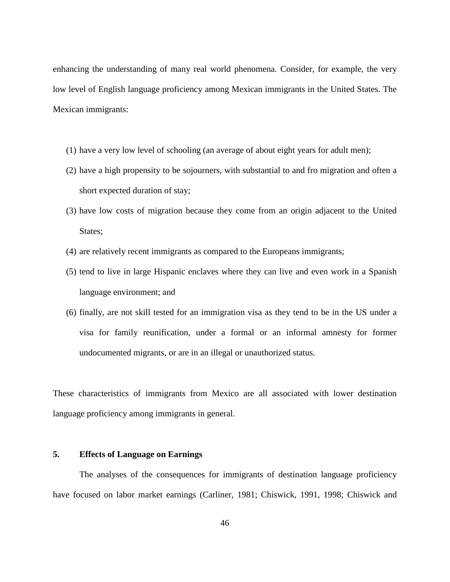enhancing the understanding of many real world phenomena. Consider, for example, the very low level of English language proficiency among Mexican immigrants in the United States. The Mexican immigrants:

- (1) have a very low level of schooling (an average of about eight years for adult men);
- (2) have a high propensity to be sojourners, with substantial to and fro migration and often a short expected duration of stay;
- (3) have low costs of migration because they come from an origin adjacent to the United States;
- (4) are relatively recent immigrants as compared to the Europeans immigrants;
- (5) tend to live in large Hispanic enclaves where they can live and even work in a Spanish language environment; and
- (6) finally, are not skill tested for an immigration visa as they tend to be in the US under a visa for family reunification, under a formal or an informal amnesty for former undocumented migrants, or are in an illegal or unauthorized status.

These characteristics of immigrants from Mexico are all associated with lower destination language proficiency among immigrants in general.

# **5. Effects of Language on Earnings**

The analyses of the consequences for immigrants of destination language proficiency have focused on labor market earnings (Carliner, 1981; Chiswick, 1991, 1998; Chiswick and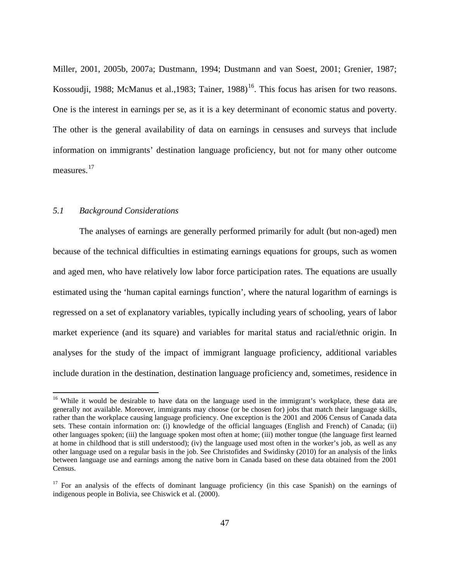Miller, 2001, 2005b, 2007a; Dustmann, 1994; Dustmann and van Soest, 2001; Grenier, 1987; Kossoudji, 1988; McManus et al., 1983; Tainer, 1988)<sup>16</sup>. This focus has arisen for two reasons. One is the interest in earnings per se, as it is a key determinant of economic status and poverty. The other is the general availability of data on earnings in censuses and surveys that include information on immigrants' destination language proficiency, but not for many other outcome measures.<sup>[17](#page-47-0)</sup>

## *5.1 Background Considerations*

The analyses of earnings are generally performed primarily for adult (but non-aged) men because of the technical difficulties in estimating earnings equations for groups, such as women and aged men, who have relatively low labor force participation rates. The equations are usually estimated using the 'human capital earnings function', where the natural logarithm of earnings is regressed on a set of explanatory variables, typically including years of schooling, years of labor market experience (and its square) and variables for marital status and racial/ethnic origin. In analyses for the study of the impact of immigrant language proficiency, additional variables include duration in the destination, destination language proficiency and, sometimes, residence in

<sup>&</sup>lt;sup>16</sup> While it would be desirable to have data on the language used in the immigrant's workplace, these data are generally not available. Moreover, immigrants may choose (or be chosen for) jobs that match their language skills, rather than the workplace causing language proficiency. One exception is the 2001 and 2006 Census of Canada data sets. These contain information on: (i) knowledge of the official languages (English and French) of Canada; (ii) other languages spoken; (iii) the language spoken most often at home; (iii) mother tongue (the language first learned at home in childhood that is still understood); (iv) the language used most often in the worker's job, as well as any other language used on a regular basis in the job. See Christofides and Swidinsky (2010) for an analysis of the links between language use and earnings among the native born in Canada based on these data obtained from the 2001 Census.

<span id="page-47-1"></span><span id="page-47-0"></span> $17$  For an analysis of the effects of dominant language proficiency (in this case Spanish) on the earnings of indigenous people in Bolivia, see Chiswick et al. (2000).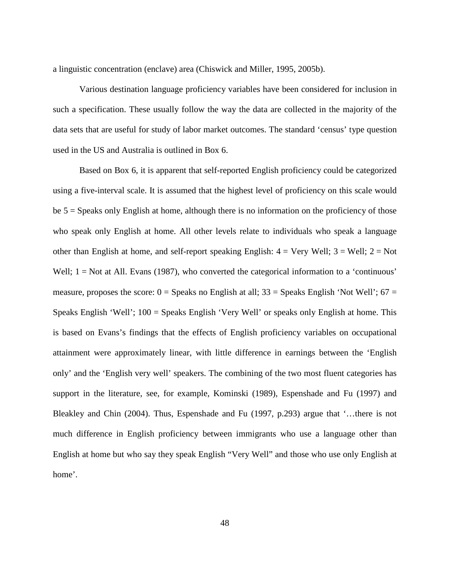a linguistic concentration (enclave) area (Chiswick and Miller, 1995, 2005b).

Various destination language proficiency variables have been considered for inclusion in such a specification. These usually follow the way the data are collected in the majority of the data sets that are useful for study of labor market outcomes. The standard 'census' type question used in the US and Australia is outlined in Box 6.

Based on Box 6, it is apparent that self-reported English proficiency could be categorized using a five-interval scale. It is assumed that the highest level of proficiency on this scale would  $be 5 = Speaks only English at home, although there is no information on the proficiency of those$ who speak only English at home. All other levels relate to individuals who speak a language other than English at home, and self-report speaking English:  $4 = V$ ery Well;  $3 = W$ ell;  $2 = Not$ Well; 1 = Not at All. Evans (1987), who converted the categorical information to a 'continuous' measure, proposes the score:  $0 =$  Speaks no English at all;  $33 =$  Speaks English 'Not Well';  $67 =$ Speaks English 'Well'; 100 = Speaks English 'Very Well' or speaks only English at home. This is based on Evans's findings that the effects of English proficiency variables on occupational attainment were approximately linear, with little difference in earnings between the 'English only' and the 'English very well' speakers. The combining of the two most fluent categories has support in the literature, see, for example, Kominski (1989), Espenshade and Fu (1997) and Bleakley and Chin (2004). Thus, Espenshade and Fu (1997, p.293) argue that '…there is not much difference in English proficiency between immigrants who use a language other than English at home but who say they speak English "Very Well" and those who use only English at home'.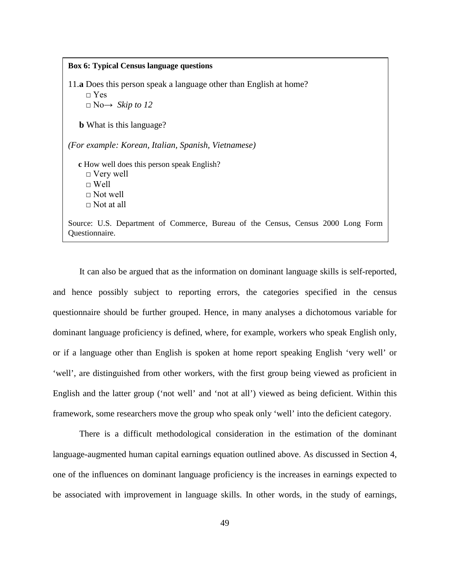**Box 6: Typical Census language questions** 11.**a** Does this person speak a language other than English at home?  $\neg$  Yes  $\Box$  No $\rightarrow$  *Skip to 12*  **b** What is this language? *(For example: Korean, Italian, Spanish, Vietnamese)*   **c** How well does this person speak English? □ Very well  $\sqcap$  Well □ Not well  $\Box$  Not at all

Source: U.S. Department of Commerce, Bureau of the Census, Census 2000 Long Form Questionnaire.

It can also be argued that as the information on dominant language skills is self-reported, and hence possibly subject to reporting errors, the categories specified in the census questionnaire should be further grouped. Hence, in many analyses a dichotomous variable for dominant language proficiency is defined, where, for example, workers who speak English only, or if a language other than English is spoken at home report speaking English 'very well' or 'well', are distinguished from other workers, with the first group being viewed as proficient in English and the latter group ('not well' and 'not at all') viewed as being deficient. Within this framework, some researchers move the group who speak only 'well' into the deficient category.

There is a difficult methodological consideration in the estimation of the dominant language-augmented human capital earnings equation outlined above. As discussed in Section 4, one of the influences on dominant language proficiency is the increases in earnings expected to be associated with improvement in language skills. In other words, in the study of earnings,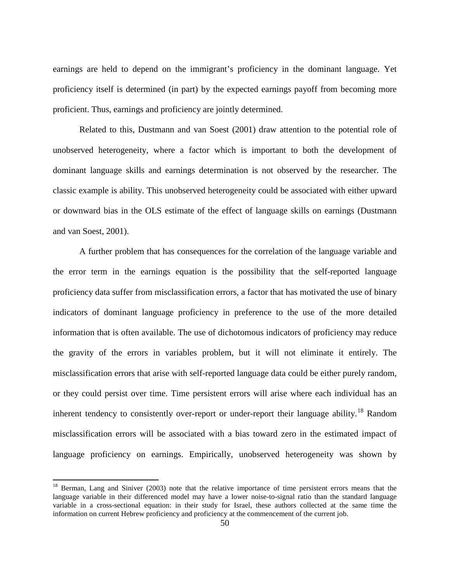earnings are held to depend on the immigrant's proficiency in the dominant language. Yet proficiency itself is determined (in part) by the expected earnings payoff from becoming more proficient. Thus, earnings and proficiency are jointly determined.

Related to this, Dustmann and van Soest (2001) draw attention to the potential role of unobserved heterogeneity, where a factor which is important to both the development of dominant language skills and earnings determination is not observed by the researcher. The classic example is ability. This unobserved heterogeneity could be associated with either upward or downward bias in the OLS estimate of the effect of language skills on earnings (Dustmann and van Soest, 2001).

A further problem that has consequences for the correlation of the language variable and the error term in the earnings equation is the possibility that the self-reported language proficiency data suffer from misclassification errors, a factor that has motivated the use of binary indicators of dominant language proficiency in preference to the use of the more detailed information that is often available. The use of dichotomous indicators of proficiency may reduce the gravity of the errors in variables problem, but it will not eliminate it entirely. The misclassification errors that arise with self-reported language data could be either purely random, or they could persist over time. Time persistent errors will arise where each individual has an inherent tendency to consistently over-report or under-report their language ability.<sup>[18](#page-47-1)</sup> Random misclassification errors will be associated with a bias toward zero in the estimated impact of language proficiency on earnings. Empirically, unobserved heterogeneity was shown by

<span id="page-50-0"></span><sup>&</sup>lt;sup>18</sup> Berman, Lang and Siniver (2003) note that the relative importance of time persistent errors means that the language variable in their differenced model may have a lower noise-to-signal ratio than the standard language variable in a cross-sectional equation: in their study for Israel, these authors collected at the same time the information on current Hebrew proficiency and proficiency at the commencement of the current job.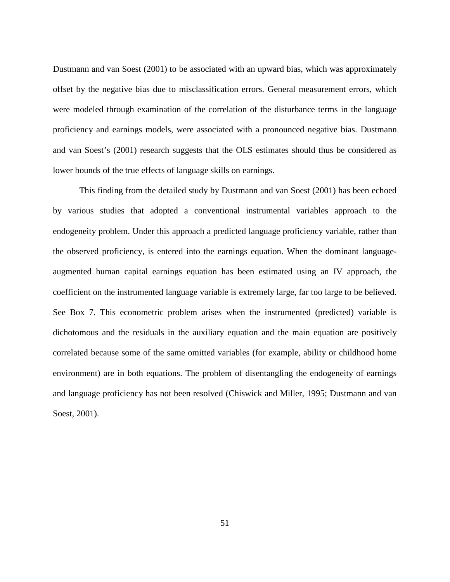Dustmann and van Soest (2001) to be associated with an upward bias, which was approximately offset by the negative bias due to misclassification errors. General measurement errors, which were modeled through examination of the correlation of the disturbance terms in the language proficiency and earnings models, were associated with a pronounced negative bias. Dustmann and van Soest's (2001) research suggests that the OLS estimates should thus be considered as lower bounds of the true effects of language skills on earnings.

This finding from the detailed study by Dustmann and van Soest (2001) has been echoed by various studies that adopted a conventional instrumental variables approach to the endogeneity problem. Under this approach a predicted language proficiency variable, rather than the observed proficiency, is entered into the earnings equation. When the dominant languageaugmented human capital earnings equation has been estimated using an IV approach, the coefficient on the instrumented language variable is extremely large, far too large to be believed. See Box 7. This econometric problem arises when the instrumented (predicted) variable is dichotomous and the residuals in the auxiliary equation and the main equation are positively correlated because some of the same omitted variables (for example, ability or childhood home environment) are in both equations. The problem of disentangling the endogeneity of earnings and language proficiency has not been resolved (Chiswick and Miller, 1995; Dustmann and van Soest, 2001).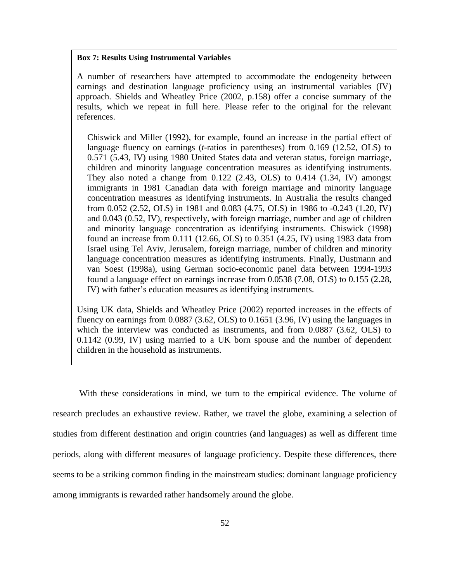#### **Box 7: Results Using Instrumental Variables**

A number of researchers have attempted to accommodate the endogeneity between earnings and destination language proficiency using an instrumental variables (IV) approach. Shields and Wheatley Price (2002, p.158) offer a concise summary of the results, which we repeat in full here. Please refer to the original for the relevant references.

Chiswick and Miller (1992), for example, found an increase in the partial effect of language fluency on earnings (*t*-ratios in parentheses) from 0.169 (12.52, OLS) to 0.571 (5.43, IV) using 1980 United States data and veteran status, foreign marriage, children and minority language concentration measures as identifying instruments. They also noted a change from  $0.122$   $(2.43, OLS)$  to  $0.414$   $(1.34, IV)$  amongst immigrants in 1981 Canadian data with foreign marriage and minority language concentration measures as identifying instruments. In Australia the results changed from 0.052 (2.52, OLS) in 1981 and 0.083 (4.75, OLS) in 1986 to -0.243 (1.20, IV) and 0.043 (0.52, IV), respectively, with foreign marriage, number and age of children and minority language concentration as identifying instruments. Chiswick (1998) found an increase from 0.111 (12.66, OLS) to 0.351 (4.25, IV) using 1983 data from Israel using Tel Aviv, Jerusalem, foreign marriage, number of children and minority language concentration measures as identifying instruments. Finally, Dustmann and van Soest (1998a), using German socio-economic panel data between 1994-1993 found a language effect on earnings increase from 0.0538 (7.08, OLS) to 0.155 (2.28, IV) with father's education measures as identifying instruments.

Using UK data, Shields and Wheatley Price (2002) reported increases in the effects of fluency on earnings from  $0.0887$  (3.62, OLS) to  $0.1651$  (3.96, IV) using the languages in which the interview was conducted as instruments, and from 0.0887 (3.62, OLS) to 0.1142 (0.99, IV) using married to a UK born spouse and the number of dependent children in the household as instruments.

With these considerations in mind, we turn to the empirical evidence. The volume of research precludes an exhaustive review. Rather, we travel the globe, examining a selection of studies from different destination and origin countries (and languages) as well as different time periods, along with different measures of language proficiency. Despite these differences, there seems to be a striking common finding in the mainstream studies: dominant language proficiency among immigrants is rewarded rather handsomely around the globe.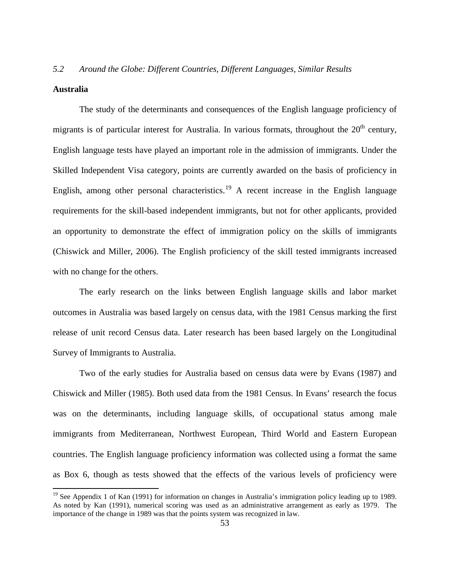## *5.2 Around the Globe: Different Countries, Different Languages, Similar Results*

## **Australia**

The study of the determinants and consequences of the English language proficiency of migrants is of particular interest for Australia. In various formats, throughout the  $20<sup>th</sup>$  century, English language tests have played an important role in the admission of immigrants. Under the Skilled Independent Visa category, points are currently awarded on the basis of proficiency in English, among other personal characteristics.<sup>[19](#page-50-0)</sup> A recent increase in the English language requirements for the skill-based independent immigrants, but not for other applicants, provided an opportunity to demonstrate the effect of immigration policy on the skills of immigrants (Chiswick and Miller, 2006). The English proficiency of the skill tested immigrants increased with no change for the others.

The early research on the links between English language skills and labor market outcomes in Australia was based largely on census data, with the 1981 Census marking the first release of unit record Census data. Later research has been based largely on the Longitudinal Survey of Immigrants to Australia.

Two of the early studies for Australia based on census data were by Evans (1987) and Chiswick and Miller (1985). Both used data from the 1981 Census. In Evans' research the focus was on the determinants, including language skills, of occupational status among male immigrants from Mediterranean, Northwest European, Third World and Eastern European countries. The English language proficiency information was collected using a format the same as Box 6, though as tests showed that the effects of the various levels of proficiency were

<span id="page-53-0"></span><sup>&</sup>lt;sup>19</sup> See Appendix 1 of Kan (1991) for information on changes in Australia's immigration policy leading up to 1989. As noted by Kan (1991), numerical scoring was used as an administrative arrangement as early as 1979. The importance of the change in 1989 was that the points system was recognized in law.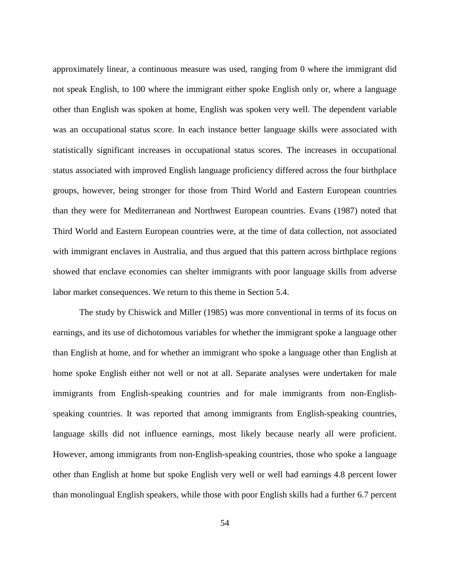approximately linear, a continuous measure was used, ranging from 0 where the immigrant did not speak English, to 100 where the immigrant either spoke English only or, where a language other than English was spoken at home, English was spoken very well. The dependent variable was an occupational status score. In each instance better language skills were associated with statistically significant increases in occupational status scores. The increases in occupational status associated with improved English language proficiency differed across the four birthplace groups, however, being stronger for those from Third World and Eastern European countries than they were for Mediterranean and Northwest European countries. Evans (1987) noted that Third World and Eastern European countries were, at the time of data collection, not associated with immigrant enclaves in Australia, and thus argued that this pattern across birthplace regions showed that enclave economies can shelter immigrants with poor language skills from adverse labor market consequences. We return to this theme in Section 5.4.

The study by Chiswick and Miller (1985) was more conventional in terms of its focus on earnings, and its use of dichotomous variables for whether the immigrant spoke a language other than English at home, and for whether an immigrant who spoke a language other than English at home spoke English either not well or not at all. Separate analyses were undertaken for male immigrants from English-speaking countries and for male immigrants from non-Englishspeaking countries. It was reported that among immigrants from English-speaking countries, language skills did not influence earnings, most likely because nearly all were proficient. However, among immigrants from non-English-speaking countries, those who spoke a language other than English at home but spoke English very well or well had earnings 4.8 percent lower than monolingual English speakers, while those with poor English skills had a further 6.7 percent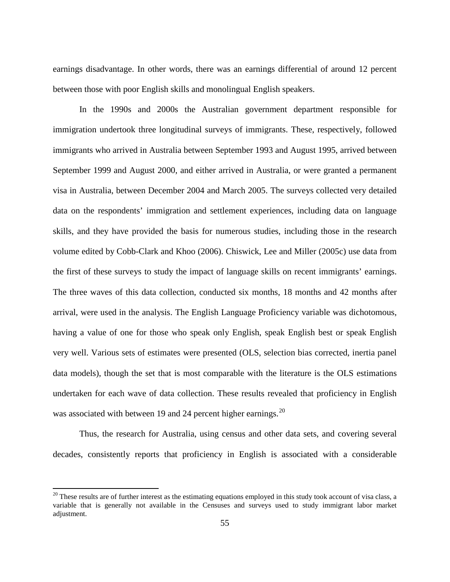earnings disadvantage. In other words, there was an earnings differential of around 12 percent between those with poor English skills and monolingual English speakers.

In the 1990s and 2000s the Australian government department responsible for immigration undertook three longitudinal surveys of immigrants. These, respectively, followed immigrants who arrived in Australia between September 1993 and August 1995, arrived between September 1999 and August 2000, and either arrived in Australia, or were granted a permanent visa in Australia, between December 2004 and March 2005. The surveys collected very detailed data on the respondents' immigration and settlement experiences, including data on language skills, and they have provided the basis for numerous studies, including those in the research volume edited by Cobb-Clark and Khoo (2006). Chiswick, Lee and Miller (2005c) use data from the first of these surveys to study the impact of language skills on recent immigrants' earnings. The three waves of this data collection, conducted six months, 18 months and 42 months after arrival, were used in the analysis. The English Language Proficiency variable was dichotomous, having a value of one for those who speak only English, speak English best or speak English very well. Various sets of estimates were presented (OLS, selection bias corrected, inertia panel data models), though the set that is most comparable with the literature is the OLS estimations undertaken for each wave of data collection. These results revealed that proficiency in English was associated with between 19 and 24 percent higher earnings.<sup>[20](#page-53-0)</sup>

Thus, the research for Australia, using census and other data sets, and covering several decades, consistently reports that proficiency in English is associated with a considerable

<span id="page-55-0"></span> $20$  These results are of further interest as the estimating equations employed in this study took account of visa class, a variable that is generally not available in the Censuses and surveys used to study immigrant labor market adjustment.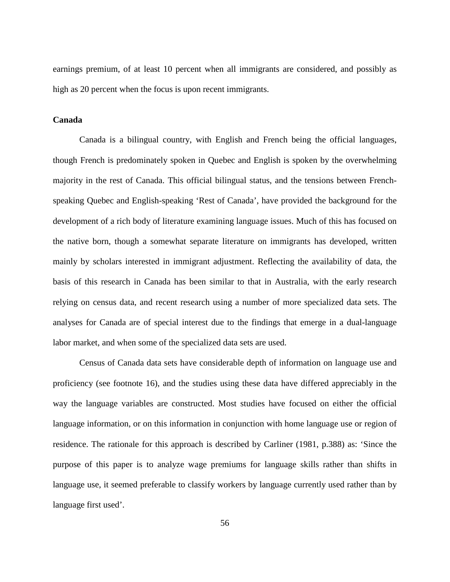earnings premium, of at least 10 percent when all immigrants are considered, and possibly as high as 20 percent when the focus is upon recent immigrants.

#### **Canada**

Canada is a bilingual country, with English and French being the official languages, though French is predominately spoken in Quebec and English is spoken by the overwhelming majority in the rest of Canada. This official bilingual status, and the tensions between Frenchspeaking Quebec and English-speaking 'Rest of Canada', have provided the background for the development of a rich body of literature examining language issues. Much of this has focused on the native born, though a somewhat separate literature on immigrants has developed, written mainly by scholars interested in immigrant adjustment. Reflecting the availability of data, the basis of this research in Canada has been similar to that in Australia, with the early research relying on census data, and recent research using a number of more specialized data sets. The analyses for Canada are of special interest due to the findings that emerge in a dual-language labor market, and when some of the specialized data sets are used.

Census of Canada data sets have considerable depth of information on language use and proficiency (see footnote 16), and the studies using these data have differed appreciably in the way the language variables are constructed. Most studies have focused on either the official language information, or on this information in conjunction with home language use or region of residence. The rationale for this approach is described by Carliner (1981, p.388) as: 'Since the purpose of this paper is to analyze wage premiums for language skills rather than shifts in language use, it seemed preferable to classify workers by language currently used rather than by language first used'.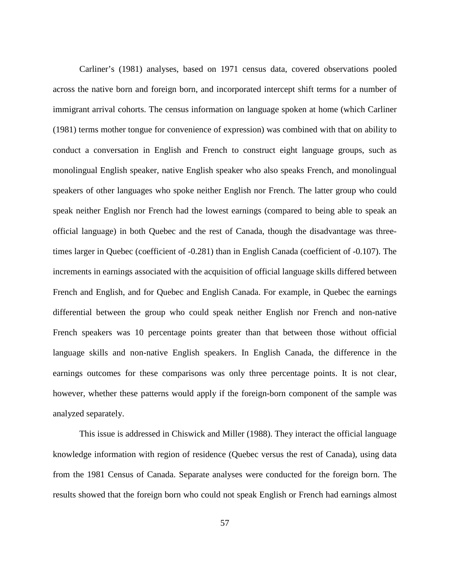Carliner's (1981) analyses, based on 1971 census data, covered observations pooled across the native born and foreign born, and incorporated intercept shift terms for a number of immigrant arrival cohorts. The census information on language spoken at home (which Carliner (1981) terms mother tongue for convenience of expression) was combined with that on ability to conduct a conversation in English and French to construct eight language groups, such as monolingual English speaker, native English speaker who also speaks French, and monolingual speakers of other languages who spoke neither English nor French. The latter group who could speak neither English nor French had the lowest earnings (compared to being able to speak an official language) in both Quebec and the rest of Canada, though the disadvantage was threetimes larger in Quebec (coefficient of -0.281) than in English Canada (coefficient of -0.107). The increments in earnings associated with the acquisition of official language skills differed between French and English, and for Quebec and English Canada. For example, in Quebec the earnings differential between the group who could speak neither English nor French and non-native French speakers was 10 percentage points greater than that between those without official language skills and non-native English speakers. In English Canada, the difference in the earnings outcomes for these comparisons was only three percentage points. It is not clear, however, whether these patterns would apply if the foreign-born component of the sample was analyzed separately.

This issue is addressed in Chiswick and Miller (1988). They interact the official language knowledge information with region of residence (Quebec versus the rest of Canada), using data from the 1981 Census of Canada. Separate analyses were conducted for the foreign born. The results showed that the foreign born who could not speak English or French had earnings almost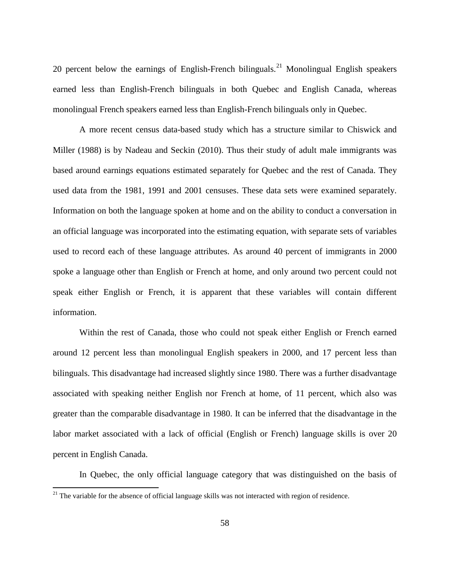20 percent below the earnings of English-French bilinguals.<sup>[21](#page-55-0)</sup> Monolingual English speakers earned less than English-French bilinguals in both Quebec and English Canada, whereas monolingual French speakers earned less than English-French bilinguals only in Quebec.

A more recent census data-based study which has a structure similar to Chiswick and Miller (1988) is by Nadeau and Seckin (2010). Thus their study of adult male immigrants was based around earnings equations estimated separately for Quebec and the rest of Canada. They used data from the 1981, 1991 and 2001 censuses. These data sets were examined separately. Information on both the language spoken at home and on the ability to conduct a conversation in an official language was incorporated into the estimating equation, with separate sets of variables used to record each of these language attributes. As around 40 percent of immigrants in 2000 spoke a language other than English or French at home, and only around two percent could not speak either English or French, it is apparent that these variables will contain different information.

Within the rest of Canada, those who could not speak either English or French earned around 12 percent less than monolingual English speakers in 2000, and 17 percent less than bilinguals. This disadvantage had increased slightly since 1980. There was a further disadvantage associated with speaking neither English nor French at home, of 11 percent, which also was greater than the comparable disadvantage in 1980. It can be inferred that the disadvantage in the labor market associated with a lack of official (English or French) language skills is over 20 percent in English Canada.

In Quebec, the only official language category that was distinguished on the basis of

<span id="page-58-0"></span> $21$  The variable for the absence of official language skills was not interacted with region of residence.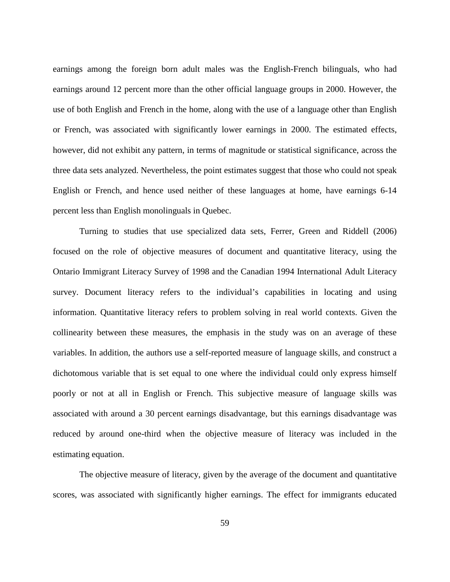earnings among the foreign born adult males was the English-French bilinguals, who had earnings around 12 percent more than the other official language groups in 2000. However, the use of both English and French in the home, along with the use of a language other than English or French, was associated with significantly lower earnings in 2000. The estimated effects, however, did not exhibit any pattern, in terms of magnitude or statistical significance, across the three data sets analyzed. Nevertheless, the point estimates suggest that those who could not speak English or French, and hence used neither of these languages at home, have earnings 6-14 percent less than English monolinguals in Quebec.

Turning to studies that use specialized data sets, Ferrer, Green and Riddell (2006) focused on the role of objective measures of document and quantitative literacy, using the Ontario Immigrant Literacy Survey of 1998 and the Canadian 1994 International Adult Literacy survey. Document literacy refers to the individual's capabilities in locating and using information. Quantitative literacy refers to problem solving in real world contexts. Given the collinearity between these measures, the emphasis in the study was on an average of these variables. In addition, the authors use a self-reported measure of language skills, and construct a dichotomous variable that is set equal to one where the individual could only express himself poorly or not at all in English or French. This subjective measure of language skills was associated with around a 30 percent earnings disadvantage, but this earnings disadvantage was reduced by around one-third when the objective measure of literacy was included in the estimating equation.

The objective measure of literacy, given by the average of the document and quantitative scores, was associated with significantly higher earnings. The effect for immigrants educated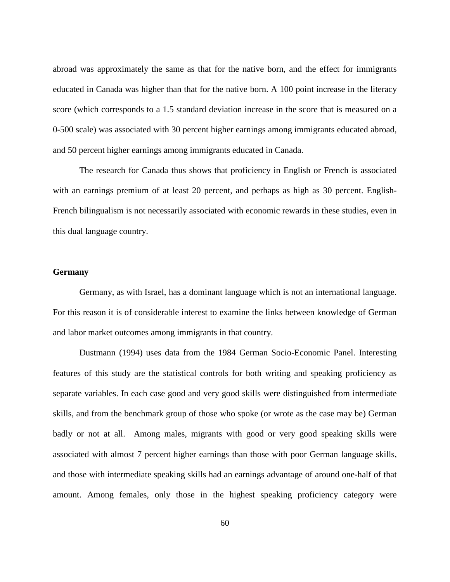abroad was approximately the same as that for the native born, and the effect for immigrants educated in Canada was higher than that for the native born. A 100 point increase in the literacy score (which corresponds to a 1.5 standard deviation increase in the score that is measured on a 0-500 scale) was associated with 30 percent higher earnings among immigrants educated abroad, and 50 percent higher earnings among immigrants educated in Canada.

The research for Canada thus shows that proficiency in English or French is associated with an earnings premium of at least 20 percent, and perhaps as high as 30 percent. English-French bilingualism is not necessarily associated with economic rewards in these studies, even in this dual language country.

## **Germany**

Germany, as with Israel, has a dominant language which is not an international language. For this reason it is of considerable interest to examine the links between knowledge of German and labor market outcomes among immigrants in that country.

Dustmann (1994) uses data from the 1984 German Socio-Economic Panel. Interesting features of this study are the statistical controls for both writing and speaking proficiency as separate variables. In each case good and very good skills were distinguished from intermediate skills, and from the benchmark group of those who spoke (or wrote as the case may be) German badly or not at all. Among males, migrants with good or very good speaking skills were associated with almost 7 percent higher earnings than those with poor German language skills, and those with intermediate speaking skills had an earnings advantage of around one-half of that amount. Among females, only those in the highest speaking proficiency category were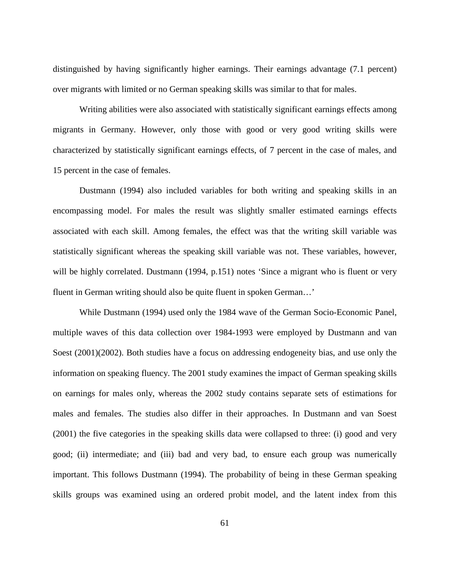distinguished by having significantly higher earnings. Their earnings advantage (7.1 percent) over migrants with limited or no German speaking skills was similar to that for males.

Writing abilities were also associated with statistically significant earnings effects among migrants in Germany. However, only those with good or very good writing skills were characterized by statistically significant earnings effects, of 7 percent in the case of males, and 15 percent in the case of females.

Dustmann (1994) also included variables for both writing and speaking skills in an encompassing model. For males the result was slightly smaller estimated earnings effects associated with each skill. Among females, the effect was that the writing skill variable was statistically significant whereas the speaking skill variable was not. These variables, however, will be highly correlated. Dustmann (1994, p.151) notes 'Since a migrant who is fluent or very fluent in German writing should also be quite fluent in spoken German…'

While Dustmann (1994) used only the 1984 wave of the German Socio-Economic Panel, multiple waves of this data collection over 1984-1993 were employed by Dustmann and van Soest (2001)(2002). Both studies have a focus on addressing endogeneity bias, and use only the information on speaking fluency. The 2001 study examines the impact of German speaking skills on earnings for males only, whereas the 2002 study contains separate sets of estimations for males and females. The studies also differ in their approaches. In Dustmann and van Soest (2001) the five categories in the speaking skills data were collapsed to three: (i) good and very good; (ii) intermediate; and (iii) bad and very bad, to ensure each group was numerically important. This follows Dustmann (1994). The probability of being in these German speaking skills groups was examined using an ordered probit model, and the latent index from this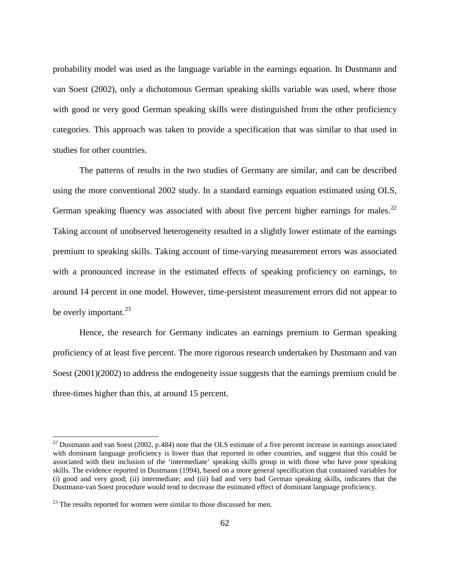probability model was used as the language variable in the earnings equation. In Dustmann and van Soest (2002), only a dichotomous German speaking skills variable was used, where those with good or very good German speaking skills were distinguished from the other proficiency categories. This approach was taken to provide a specification that was similar to that used in studies for other countries.

The patterns of results in the two studies of Germany are similar, and can be described using the more conventional 2002 study. In a standard earnings equation estimated using OLS, German speaking fluency was associated with about five percent higher earnings for males.<sup>[22](#page-58-0)</sup> Taking account of unobserved heterogeneity resulted in a slightly lower estimate of the earnings premium to speaking skills. Taking account of time-varying measurement errors was associated with a pronounced increase in the estimated effects of speaking proficiency on earnings, to around 14 percent in one model. However, time-persistent measurement errors did not appear to be overly important.  $23$ 

Hence, the research for Germany indicates an earnings premium to German speaking proficiency of at least five percent. The more rigorous research undertaken by Dustmann and van Soest  $(2001)(2002)$  to address the endogeneity issue suggests that the earnings premium could be three-times higher than this, at around 15 percent.

<span id="page-62-1"></span> $22$  Dustmann and van Soest (2002, p.484) note that the OLS estimate of a five percent increase in earnings associated with dominant language proficiency is lower than that reported in other countries, and suggest that this could be associated with their inclusion of the 'intermediate' speaking skills group in with those who have poor speaking skills. The evidence reported in Dustmann (1994), based on a more general specification that contained variables for (i) good and very good; (ii) intermediate; and (iii) bad and very bad German speaking skills, indicates that the Dustmann-van Soest procedure would tend to decrease the estimated effect of dominant language proficiency.

<span id="page-62-0"></span> $23$  The results reported for women were similar to those discussed for men.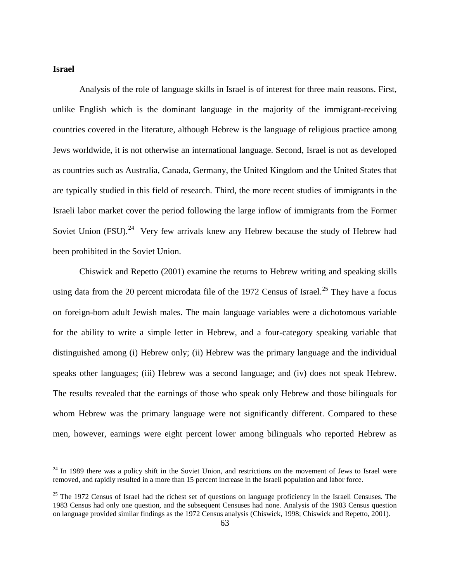## **Israel**

Analysis of the role of language skills in Israel is of interest for three main reasons. First, unlike English which is the dominant language in the majority of the immigrant-receiving countries covered in the literature, although Hebrew is the language of religious practice among Jews worldwide, it is not otherwise an international language. Second, Israel is not as developed as countries such as Australia, Canada, Germany, the United Kingdom and the United States that are typically studied in this field of research. Third, the more recent studies of immigrants in the Israeli labor market cover the period following the large inflow of immigrants from the Former Soviet Union (FSU).<sup>24</sup> Very few arrivals knew any Hebrew because the study of Hebrew had been prohibited in the Soviet Union.

Chiswick and Repetto (2001) examine the returns to Hebrew writing and speaking skills using data from the 20 percent microdata file of the 1972 Census of Israel.<sup>[25](#page-63-0)</sup> They have a focus on foreign-born adult Jewish males. The main language variables were a dichotomous variable for the ability to write a simple letter in Hebrew, and a four-category speaking variable that distinguished among (i) Hebrew only; (ii) Hebrew was the primary language and the individual speaks other languages; (iii) Hebrew was a second language; and (iv) does not speak Hebrew. The results revealed that the earnings of those who speak only Hebrew and those bilinguals for whom Hebrew was the primary language were not significantly different. Compared to these men, however, earnings were eight percent lower among bilinguals who reported Hebrew as

<span id="page-63-1"></span><sup>&</sup>lt;sup>24</sup> In 1989 there was a policy shift in the Soviet Union, and restrictions on the movement of Jews to Israel were removed, and rapidly resulted in a more than 15 percent increase in the Israeli population and labor force.

<span id="page-63-0"></span> $25$  The 1972 Census of Israel had the richest set of questions on language proficiency in the Israeli Censuses. The 1983 Census had only one question, and the subsequent Censuses had none. Analysis of the 1983 Census question on language provided similar findings as the 1972 Census analysis (Chiswick, 1998; Chiswick and Repetto, 2001).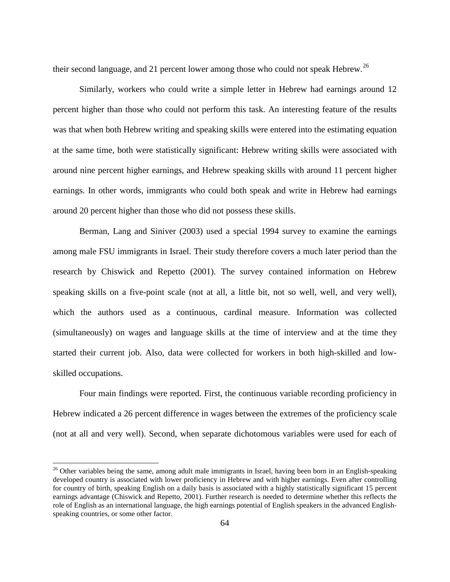their second language, and 21 percent lower among those who could not speak Hebrew.<sup>[26](#page-63-1)</sup>

Similarly, workers who could write a simple letter in Hebrew had earnings around 12 percent higher than those who could not perform this task. An interesting feature of the results was that when both Hebrew writing and speaking skills were entered into the estimating equation at the same time, both were statistically significant: Hebrew writing skills were associated with around nine percent higher earnings, and Hebrew speaking skills with around 11 percent higher earnings. In other words, immigrants who could both speak and write in Hebrew had earnings around 20 percent higher than those who did not possess these skills.

Berman, Lang and Siniver (2003) used a special 1994 survey to examine the earnings among male FSU immigrants in Israel. Their study therefore covers a much later period than the research by Chiswick and Repetto (2001). The survey contained information on Hebrew speaking skills on a five-point scale (not at all, a little bit, not so well, well, and very well), which the authors used as a continuous, cardinal measure. Information was collected (simultaneously) on wages and language skills at the time of interview and at the time they started their current job. Also, data were collected for workers in both high-skilled and lowskilled occupations.

Four main findings were reported. First, the continuous variable recording proficiency in Hebrew indicated a 26 percent difference in wages between the extremes of the proficiency scale (not at all and very well). Second, when separate dichotomous variables were used for each of

<span id="page-64-0"></span><sup>&</sup>lt;sup>26</sup> Other variables being the same, among adult male immigrants in Israel, having been born in an English-speaking developed country is associated with lower proficiency in Hebrew and with higher earnings. Even after controlling for country of birth, speaking English on a daily basis is associated with a highly statistically significant 15 percent earnings advantage (Chiswick and Repetto, 2001). Further research is needed to determine whether this reflects the role of English as an international language, the high earnings potential of English speakers in the advanced Englishspeaking countries, or some other factor.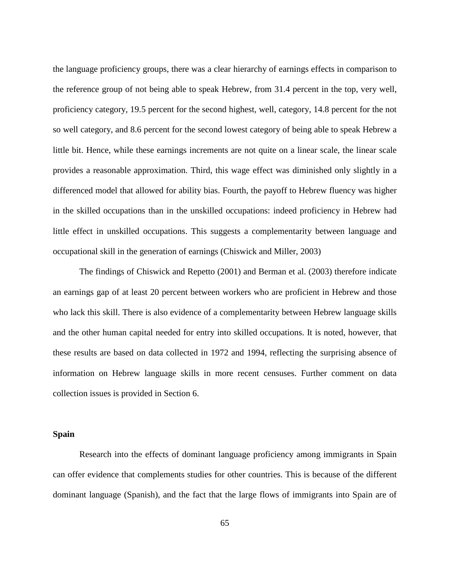the language proficiency groups, there was a clear hierarchy of earnings effects in comparison to the reference group of not being able to speak Hebrew, from 31.4 percent in the top, very well, proficiency category, 19.5 percent for the second highest, well, category, 14.8 percent for the not so well category, and 8.6 percent for the second lowest category of being able to speak Hebrew a little bit. Hence, while these earnings increments are not quite on a linear scale, the linear scale provides a reasonable approximation. Third, this wage effect was diminished only slightly in a differenced model that allowed for ability bias. Fourth, the payoff to Hebrew fluency was higher in the skilled occupations than in the unskilled occupations: indeed proficiency in Hebrew had little effect in unskilled occupations. This suggests a complementarity between language and occupational skill in the generation of earnings (Chiswick and Miller, 2003)

The findings of Chiswick and Repetto (2001) and Berman et al. (2003) therefore indicate an earnings gap of at least 20 percent between workers who are proficient in Hebrew and those who lack this skill. There is also evidence of a complementarity between Hebrew language skills and the other human capital needed for entry into skilled occupations. It is noted, however, that these results are based on data collected in 1972 and 1994, reflecting the surprising absence of information on Hebrew language skills in more recent censuses. Further comment on data collection issues is provided in Section 6.

## **Spain**

Research into the effects of dominant language proficiency among immigrants in Spain can offer evidence that complements studies for other countries. This is because of the different dominant language (Spanish), and the fact that the large flows of immigrants into Spain are of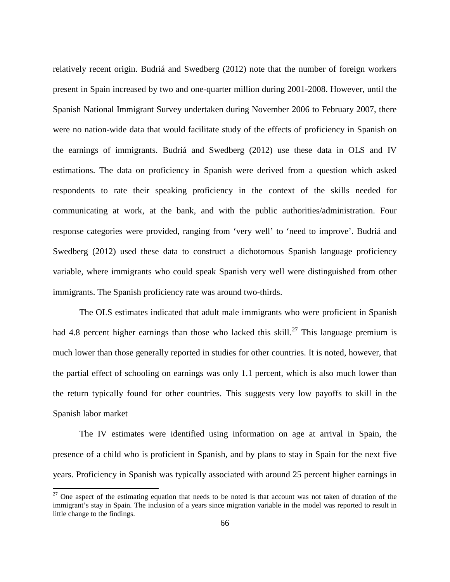relatively recent origin. Budriá and Swedberg (2012) note that the number of foreign workers present in Spain increased by two and one-quarter million during 2001-2008. However, until the Spanish National Immigrant Survey undertaken during November 2006 to February 2007, there were no nation-wide data that would facilitate study of the effects of proficiency in Spanish on the earnings of immigrants. Budriá and Swedberg (2012) use these data in OLS and IV estimations. The data on proficiency in Spanish were derived from a question which asked respondents to rate their speaking proficiency in the context of the skills needed for communicating at work, at the bank, and with the public authorities/administration. Four response categories were provided, ranging from 'very well' to 'need to improve'. Budriá and Swedberg (2012) used these data to construct a dichotomous Spanish language proficiency variable, where immigrants who could speak Spanish very well were distinguished from other immigrants. The Spanish proficiency rate was around two-thirds.

The OLS estimates indicated that adult male immigrants who were proficient in Spanish had 4.8 percent higher earnings than those who lacked this skill.<sup>[27](#page-64-0)</sup> This language premium is much lower than those generally reported in studies for other countries. It is noted, however, that the partial effect of schooling on earnings was only 1.1 percent, which is also much lower than the return typically found for other countries. This suggests very low payoffs to skill in the Spanish labor market

The IV estimates were identified using information on age at arrival in Spain, the presence of a child who is proficient in Spanish, and by plans to stay in Spain for the next five years. Proficiency in Spanish was typically associated with around 25 percent higher earnings in

 $27$  One aspect of the estimating equation that needs to be noted is that account was not taken of duration of the immigrant's stay in Spain. The inclusion of a years since migration variable in the model was reported to result in little change to the findings.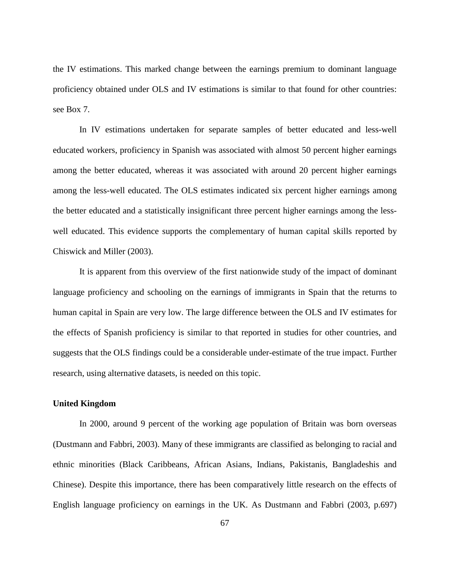the IV estimations. This marked change between the earnings premium to dominant language proficiency obtained under OLS and IV estimations is similar to that found for other countries: see Box 7.

In IV estimations undertaken for separate samples of better educated and less-well educated workers, proficiency in Spanish was associated with almost 50 percent higher earnings among the better educated, whereas it was associated with around 20 percent higher earnings among the less-well educated. The OLS estimates indicated six percent higher earnings among the better educated and a statistically insignificant three percent higher earnings among the lesswell educated. This evidence supports the complementary of human capital skills reported by Chiswick and Miller (2003).

It is apparent from this overview of the first nationwide study of the impact of dominant language proficiency and schooling on the earnings of immigrants in Spain that the returns to human capital in Spain are very low. The large difference between the OLS and IV estimates for the effects of Spanish proficiency is similar to that reported in studies for other countries, and suggests that the OLS findings could be a considerable under-estimate of the true impact. Further research, using alternative datasets, is needed on this topic.

### **United Kingdom**

In 2000, around 9 percent of the working age population of Britain was born overseas (Dustmann and Fabbri, 2003). Many of these immigrants are classified as belonging to racial and ethnic minorities (Black Caribbeans, African Asians, Indians, Pakistanis, Bangladeshis and Chinese). Despite this importance, there has been comparatively little research on the effects of English language proficiency on earnings in the UK. As Dustmann and Fabbri (2003, p.697)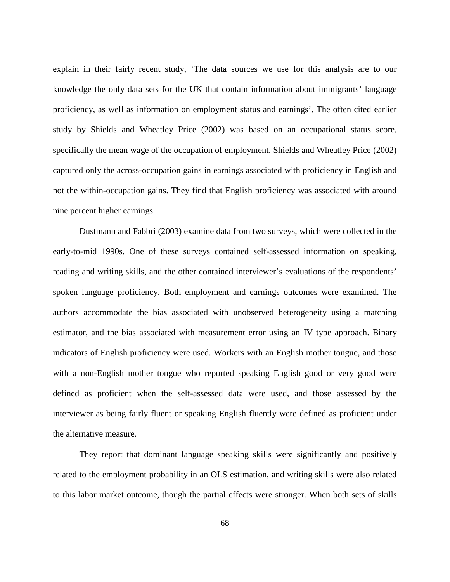explain in their fairly recent study, 'The data sources we use for this analysis are to our knowledge the only data sets for the UK that contain information about immigrants' language proficiency, as well as information on employment status and earnings'. The often cited earlier study by Shields and Wheatley Price (2002) was based on an occupational status score, specifically the mean wage of the occupation of employment. Shields and Wheatley Price (2002) captured only the across-occupation gains in earnings associated with proficiency in English and not the within-occupation gains. They find that English proficiency was associated with around nine percent higher earnings.

Dustmann and Fabbri (2003) examine data from two surveys, which were collected in the early-to-mid 1990s. One of these surveys contained self-assessed information on speaking, reading and writing skills, and the other contained interviewer's evaluations of the respondents' spoken language proficiency. Both employment and earnings outcomes were examined. The authors accommodate the bias associated with unobserved heterogeneity using a matching estimator, and the bias associated with measurement error using an IV type approach. Binary indicators of English proficiency were used. Workers with an English mother tongue, and those with a non-English mother tongue who reported speaking English good or very good were defined as proficient when the self-assessed data were used, and those assessed by the interviewer as being fairly fluent or speaking English fluently were defined as proficient under the alternative measure.

They report that dominant language speaking skills were significantly and positively related to the employment probability in an OLS estimation, and writing skills were also related to this labor market outcome, though the partial effects were stronger. When both sets of skills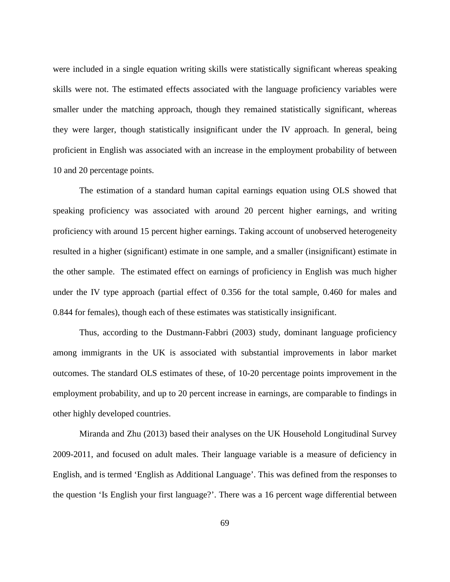were included in a single equation writing skills were statistically significant whereas speaking skills were not. The estimated effects associated with the language proficiency variables were smaller under the matching approach, though they remained statistically significant, whereas they were larger, though statistically insignificant under the IV approach. In general, being proficient in English was associated with an increase in the employment probability of between 10 and 20 percentage points.

The estimation of a standard human capital earnings equation using OLS showed that speaking proficiency was associated with around 20 percent higher earnings, and writing proficiency with around 15 percent higher earnings. Taking account of unobserved heterogeneity resulted in a higher (significant) estimate in one sample, and a smaller (insignificant) estimate in the other sample. The estimated effect on earnings of proficiency in English was much higher under the IV type approach (partial effect of 0.356 for the total sample, 0.460 for males and 0.844 for females), though each of these estimates was statistically insignificant.

Thus, according to the Dustmann-Fabbri (2003) study, dominant language proficiency among immigrants in the UK is associated with substantial improvements in labor market outcomes. The standard OLS estimates of these, of 10-20 percentage points improvement in the employment probability, and up to 20 percent increase in earnings, are comparable to findings in other highly developed countries.

Miranda and Zhu (2013) based their analyses on the UK Household Longitudinal Survey 2009-2011, and focused on adult males. Their language variable is a measure of deficiency in English, and is termed 'English as Additional Language'. This was defined from the responses to the question 'Is English your first language?'. There was a 16 percent wage differential between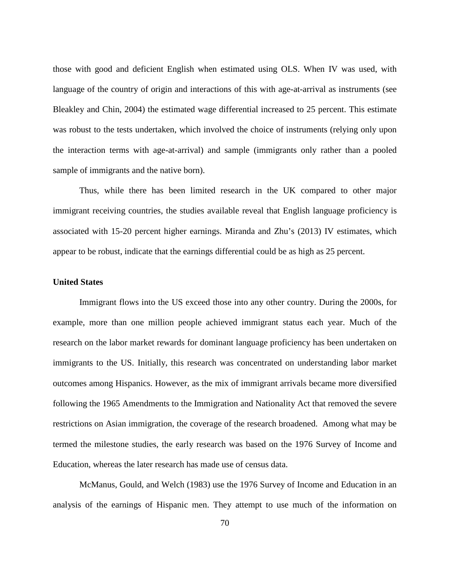those with good and deficient English when estimated using OLS. When IV was used, with language of the country of origin and interactions of this with age-at-arrival as instruments (see Bleakley and Chin, 2004) the estimated wage differential increased to 25 percent. This estimate was robust to the tests undertaken, which involved the choice of instruments (relying only upon the interaction terms with age-at-arrival) and sample (immigrants only rather than a pooled sample of immigrants and the native born).

Thus, while there has been limited research in the UK compared to other major immigrant receiving countries, the studies available reveal that English language proficiency is associated with 15-20 percent higher earnings. Miranda and Zhu's (2013) IV estimates, which appear to be robust, indicate that the earnings differential could be as high as 25 percent.

### **United States**

Immigrant flows into the US exceed those into any other country. During the 2000s, for example, more than one million people achieved immigrant status each year. Much of the research on the labor market rewards for dominant language proficiency has been undertaken on immigrants to the US. Initially, this research was concentrated on understanding labor market outcomes among Hispanics. However, as the mix of immigrant arrivals became more diversified following the 1965 Amendments to the Immigration and Nationality Act that removed the severe restrictions on Asian immigration, the coverage of the research broadened. Among what may be termed the milestone studies, the early research was based on the 1976 Survey of Income and Education, whereas the later research has made use of census data.

McManus, Gould, and Welch (1983) use the 1976 Survey of Income and Education in an analysis of the earnings of Hispanic men. They attempt to use much of the information on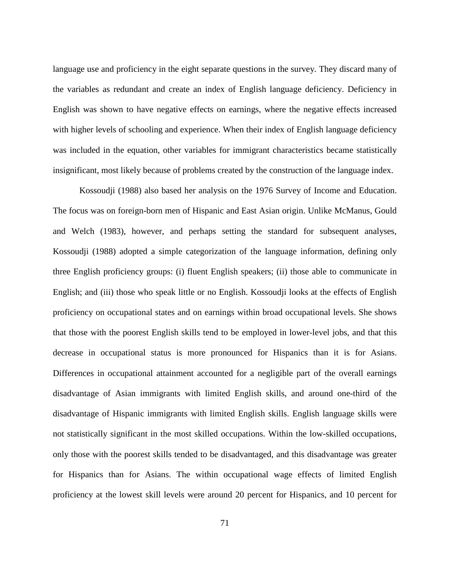language use and proficiency in the eight separate questions in the survey. They discard many of the variables as redundant and create an index of English language deficiency. Deficiency in English was shown to have negative effects on earnings, where the negative effects increased with higher levels of schooling and experience. When their index of English language deficiency was included in the equation, other variables for immigrant characteristics became statistically insignificant, most likely because of problems created by the construction of the language index.

Kossoudji (1988) also based her analysis on the 1976 Survey of Income and Education. The focus was on foreign-born men of Hispanic and East Asian origin. Unlike McManus, Gould and Welch (1983), however, and perhaps setting the standard for subsequent analyses, Kossoudji (1988) adopted a simple categorization of the language information, defining only three English proficiency groups: (i) fluent English speakers; (ii) those able to communicate in English; and (iii) those who speak little or no English. Kossoudji looks at the effects of English proficiency on occupational states and on earnings within broad occupational levels. She shows that those with the poorest English skills tend to be employed in lower-level jobs, and that this decrease in occupational status is more pronounced for Hispanics than it is for Asians. Differences in occupational attainment accounted for a negligible part of the overall earnings disadvantage of Asian immigrants with limited English skills, and around one-third of the disadvantage of Hispanic immigrants with limited English skills. English language skills were not statistically significant in the most skilled occupations. Within the low-skilled occupations, only those with the poorest skills tended to be disadvantaged, and this disadvantage was greater for Hispanics than for Asians. The within occupational wage effects of limited English proficiency at the lowest skill levels were around 20 percent for Hispanics, and 10 percent for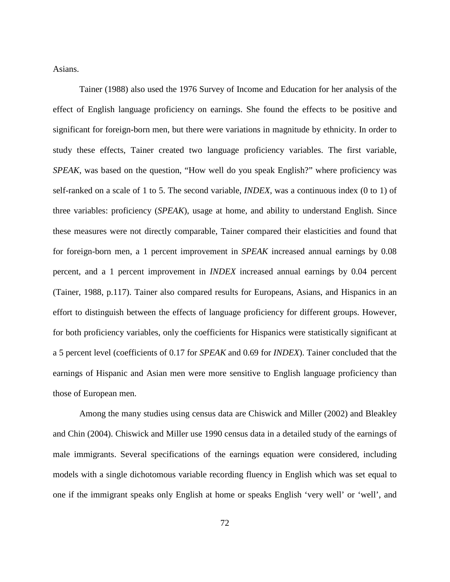Asians.

Tainer (1988) also used the 1976 Survey of Income and Education for her analysis of the effect of English language proficiency on earnings. She found the effects to be positive and significant for foreign-born men, but there were variations in magnitude by ethnicity. In order to study these effects, Tainer created two language proficiency variables. The first variable, *SPEAK*, was based on the question, "How well do you speak English?" where proficiency was self-ranked on a scale of 1 to 5. The second variable, *INDEX*, was a continuous index (0 to 1) of three variables: proficiency (*SPEAK*), usage at home, and ability to understand English. Since these measures were not directly comparable, Tainer compared their elasticities and found that for foreign-born men, a 1 percent improvement in *SPEAK* increased annual earnings by 0.08 percent, and a 1 percent improvement in *INDEX* increased annual earnings by 0.04 percent (Tainer, 1988, p.117). Tainer also compared results for Europeans, Asians, and Hispanics in an effort to distinguish between the effects of language proficiency for different groups. However, for both proficiency variables, only the coefficients for Hispanics were statistically significant at a 5 percent level (coefficients of 0.17 for *SPEAK* and 0.69 for *INDEX*). Tainer concluded that the earnings of Hispanic and Asian men were more sensitive to English language proficiency than those of European men.

Among the many studies using census data are Chiswick and Miller (2002) and Bleakley and Chin (2004). Chiswick and Miller use 1990 census data in a detailed study of the earnings of male immigrants. Several specifications of the earnings equation were considered, including models with a single dichotomous variable recording fluency in English which was set equal to one if the immigrant speaks only English at home or speaks English 'very well' or 'well', and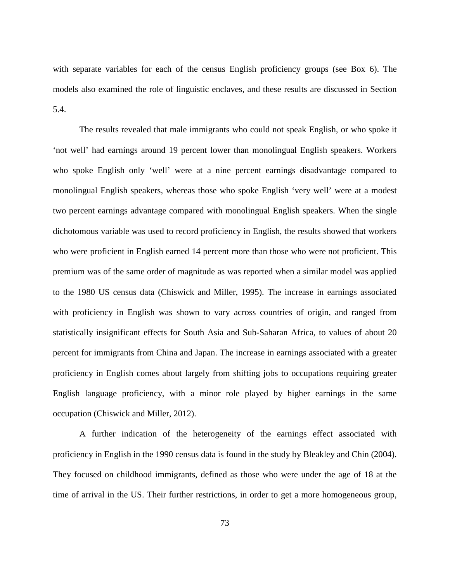with separate variables for each of the census English proficiency groups (see Box 6). The models also examined the role of linguistic enclaves, and these results are discussed in Section 5.4.

The results revealed that male immigrants who could not speak English, or who spoke it 'not well' had earnings around 19 percent lower than monolingual English speakers. Workers who spoke English only 'well' were at a nine percent earnings disadvantage compared to monolingual English speakers, whereas those who spoke English 'very well' were at a modest two percent earnings advantage compared with monolingual English speakers. When the single dichotomous variable was used to record proficiency in English, the results showed that workers who were proficient in English earned 14 percent more than those who were not proficient. This premium was of the same order of magnitude as was reported when a similar model was applied to the 1980 US census data (Chiswick and Miller, 1995). The increase in earnings associated with proficiency in English was shown to vary across countries of origin, and ranged from statistically insignificant effects for South Asia and Sub-Saharan Africa, to values of about 20 percent for immigrants from China and Japan. The increase in earnings associated with a greater proficiency in English comes about largely from shifting jobs to occupations requiring greater English language proficiency, with a minor role played by higher earnings in the same occupation (Chiswick and Miller, 2012).

A further indication of the heterogeneity of the earnings effect associated with proficiency in English in the 1990 census data is found in the study by Bleakley and Chin (2004). They focused on childhood immigrants, defined as those who were under the age of 18 at the time of arrival in the US. Their further restrictions, in order to get a more homogeneous group,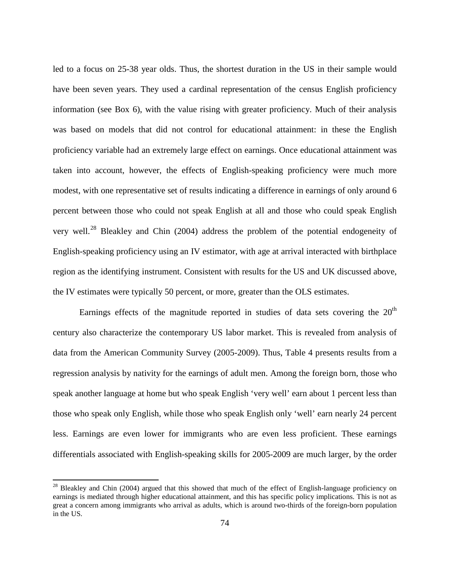led to a focus on 25-38 year olds. Thus, the shortest duration in the US in their sample would have been seven years. They used a cardinal representation of the census English proficiency information (see Box 6), with the value rising with greater proficiency. Much of their analysis was based on models that did not control for educational attainment: in these the English proficiency variable had an extremely large effect on earnings. Once educational attainment was taken into account, however, the effects of English-speaking proficiency were much more modest, with one representative set of results indicating a difference in earnings of only around 6 percent between those who could not speak English at all and those who could speak English very well.<sup>[28](#page-66-0)</sup> Bleakley and Chin (2004) address the problem of the potential endogeneity of English-speaking proficiency using an IV estimator, with age at arrival interacted with birthplace region as the identifying instrument. Consistent with results for the US and UK discussed above, the IV estimates were typically 50 percent, or more, greater than the OLS estimates.

Earnings effects of the magnitude reported in studies of data sets covering the  $20<sup>th</sup>$ century also characterize the contemporary US labor market. This is revealed from analysis of data from the American Community Survey (2005-2009). Thus, Table 4 presents results from a regression analysis by nativity for the earnings of adult men. Among the foreign born, those who speak another language at home but who speak English 'very well' earn about 1 percent less than those who speak only English, while those who speak English only 'well' earn nearly 24 percent less. Earnings are even lower for immigrants who are even less proficient. These earnings differentials associated with English-speaking skills for 2005-2009 are much larger, by the order

<span id="page-74-0"></span><sup>&</sup>lt;sup>28</sup> Bleakley and Chin (2004) argued that this showed that much of the effect of English-language proficiency on earnings is mediated through higher educational attainment, and this has specific policy implications. This is not as great a concern among immigrants who arrival as adults, which is around two-thirds of the foreign-born population in the US.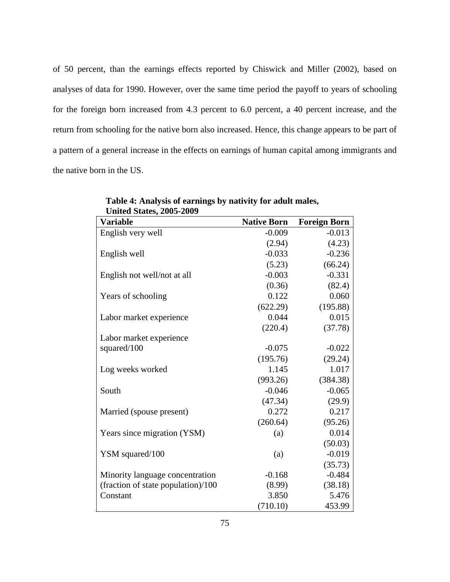of 50 percent, than the earnings effects reported by Chiswick and Miller (2002), based on analyses of data for 1990. However, over the same time period the payoff to years of schooling for the foreign born increased from 4.3 percent to 6.0 percent, a 40 percent increase, and the return from schooling for the native born also increased. Hence, this change appears to be part of a pattern of a general increase in the effects on earnings of human capital among immigrants and the native born in the US.

| <b>Variable</b>                    | <b>Native Born</b> | <b>Foreign Born</b> |
|------------------------------------|--------------------|---------------------|
| English very well                  | $-0.009$           | $-0.013$            |
|                                    | (2.94)             | (4.23)              |
| English well                       | $-0.033$           | $-0.236$            |
|                                    | (5.23)             | (66.24)             |
| English not well/not at all        | $-0.003$           | $-0.331$            |
|                                    | (0.36)             | (82.4)              |
| Years of schooling                 | 0.122              | 0.060               |
|                                    | (622.29)           | (195.88)            |
| Labor market experience            | 0.044              | 0.015               |
|                                    | (220.4)            | (37.78)             |
| Labor market experience            |                    |                     |
| squared/100                        | $-0.075$           | $-0.022$            |
|                                    | (195.76)           | (29.24)             |
| Log weeks worked                   | 1.145              | 1.017               |
|                                    | (993.26)           | (384.38)            |
| South                              | $-0.046$           | $-0.065$            |
|                                    | (47.34)            | (29.9)              |
| Married (spouse present)           | 0.272              | 0.217               |
|                                    | (260.64)           | (95.26)             |
| Years since migration (YSM)        | (a)                | 0.014               |
|                                    |                    | (50.03)             |
| YSM squared/100                    | (a)                | $-0.019$            |
|                                    |                    | (35.73)             |
| Minority language concentration    | $-0.168$           | $-0.484$            |
| (fraction of state population)/100 | (8.99)             | (38.18)             |
| Constant                           | 3.850              | 5.476               |
|                                    | (710.10)           | 453.99              |

**Table 4: Analysis of earnings by nativity for adult males, United States, 2005-2009**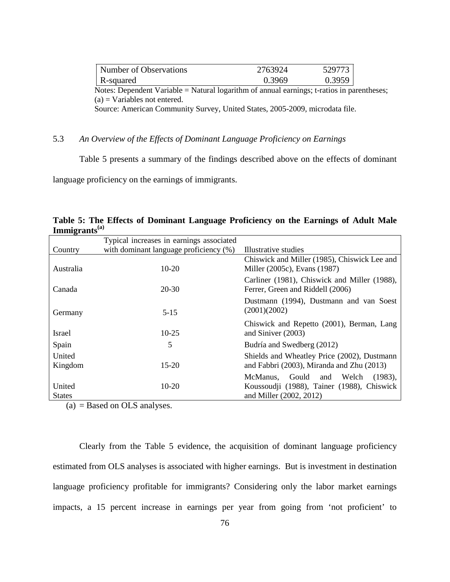| Number of Observations                                                                     | 2763924 | 529773 |  |  |
|--------------------------------------------------------------------------------------------|---------|--------|--|--|
| R-squared                                                                                  | 0.3969  | 0.3959 |  |  |
| Notes: Dependent Variable = Natural logarithm of annual earnings; t-ratios in parentheses; |         |        |  |  |
| $(a)$ = Variables not entered.                                                             |         |        |  |  |
| Source: American Community Survey, United States, 2005-2009, microdata file.               |         |        |  |  |

## 5.3 *An Overview of the Effects of Dominant Language Proficiency on Earnings*

Table 5 presents a summary of the findings described above on the effects of dominant language proficiency on the earnings of immigrants.

**Table 5: The Effects of Dominant Language Proficiency on the Earnings of Adult Male Immigrants(a)**

| o.                      | Typical increases in earnings associated |                                                                                                                    |
|-------------------------|------------------------------------------|--------------------------------------------------------------------------------------------------------------------|
| Country                 | with dominant language proficiency (%)   | Illustrative studies                                                                                               |
| Australia               | $10-20$                                  | Chiswick and Miller (1985), Chiswick Lee and<br>Miller (2005c), Evans (1987)                                       |
| Canada                  | 20-30                                    | Carliner (1981), Chiswick and Miller (1988),<br>Ferrer, Green and Riddell (2006)                                   |
| Germany                 | $5-15$                                   | Dustmann (1994), Dustmann and van Soest<br>(2001)(2002)                                                            |
| <b>Israel</b>           | $10-25$                                  | Chiswick and Repetto (2001), Berman, Lang<br>and Siniver (2003)                                                    |
| Spain                   | 5                                        | Budría and Swedberg (2012)                                                                                         |
| United<br>Kingdom       | 15-20                                    | Shields and Wheatley Price (2002), Dustmann<br>and Fabbri (2003), Miranda and Zhu (2013)                           |
| United<br><b>States</b> | $10-20$                                  | McManus, Gould<br>and Welch<br>$(1983)$ .<br>Koussoudji (1988), Tainer (1988), Chiswick<br>and Miller (2002, 2012) |

(a) = Based on OLS analyses.

Clearly from the Table 5 evidence, the acquisition of dominant language proficiency estimated from OLS analyses is associated with higher earnings. But is investment in destination language proficiency profitable for immigrants? Considering only the labor market earnings impacts, a 15 percent increase in earnings per year from going from 'not proficient' to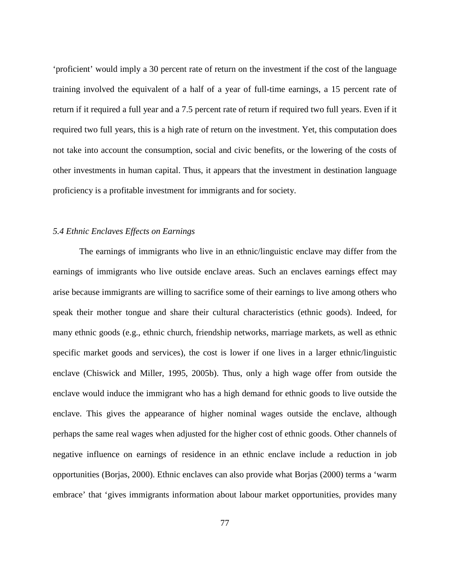'proficient' would imply a 30 percent rate of return on the investment if the cost of the language training involved the equivalent of a half of a year of full-time earnings, a 15 percent rate of return if it required a full year and a 7.5 percent rate of return if required two full years. Even if it required two full years, this is a high rate of return on the investment. Yet, this computation does not take into account the consumption, social and civic benefits, or the lowering of the costs of other investments in human capital. Thus, it appears that the investment in destination language proficiency is a profitable investment for immigrants and for society.

## *5.4 Ethnic Enclaves Effects on Earnings*

The earnings of immigrants who live in an ethnic/linguistic enclave may differ from the earnings of immigrants who live outside enclave areas. Such an enclaves earnings effect may arise because immigrants are willing to sacrifice some of their earnings to live among others who speak their mother tongue and share their cultural characteristics (ethnic goods). Indeed, for many ethnic goods (e.g., ethnic church, friendship networks, marriage markets, as well as ethnic specific market goods and services), the cost is lower if one lives in a larger ethnic/linguistic enclave (Chiswick and Miller, 1995, 2005b). Thus, only a high wage offer from outside the enclave would induce the immigrant who has a high demand for ethnic goods to live outside the enclave. This gives the appearance of higher nominal wages outside the enclave, although perhaps the same real wages when adjusted for the higher cost of ethnic goods. Other channels of negative influence on earnings of residence in an ethnic enclave include a reduction in job opportunities (Borjas, 2000). Ethnic enclaves can also provide what Borjas (2000) terms a 'warm embrace' that 'gives immigrants information about labour market opportunities, provides many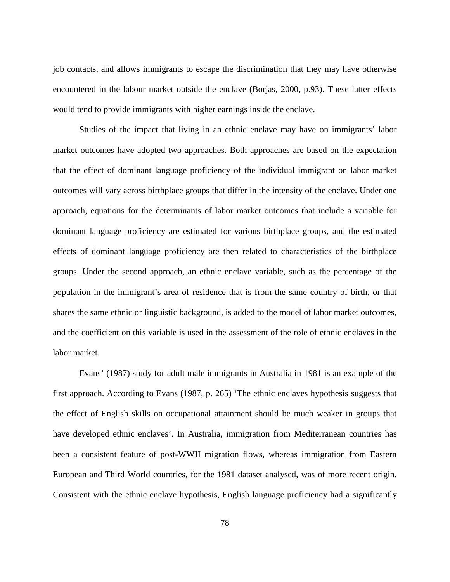job contacts, and allows immigrants to escape the discrimination that they may have otherwise encountered in the labour market outside the enclave (Borjas, 2000, p.93). These latter effects would tend to provide immigrants with higher earnings inside the enclave.

Studies of the impact that living in an ethnic enclave may have on immigrants' labor market outcomes have adopted two approaches. Both approaches are based on the expectation that the effect of dominant language proficiency of the individual immigrant on labor market outcomes will vary across birthplace groups that differ in the intensity of the enclave. Under one approach, equations for the determinants of labor market outcomes that include a variable for dominant language proficiency are estimated for various birthplace groups, and the estimated effects of dominant language proficiency are then related to characteristics of the birthplace groups. Under the second approach, an ethnic enclave variable, such as the percentage of the population in the immigrant's area of residence that is from the same country of birth, or that shares the same ethnic or linguistic background, is added to the model of labor market outcomes, and the coefficient on this variable is used in the assessment of the role of ethnic enclaves in the labor market.

Evans' (1987) study for adult male immigrants in Australia in 1981 is an example of the first approach. According to Evans (1987, p. 265) 'The ethnic enclaves hypothesis suggests that the effect of English skills on occupational attainment should be much weaker in groups that have developed ethnic enclaves'. In Australia, immigration from Mediterranean countries has been a consistent feature of post-WWII migration flows, whereas immigration from Eastern European and Third World countries, for the 1981 dataset analysed, was of more recent origin. Consistent with the ethnic enclave hypothesis, English language proficiency had a significantly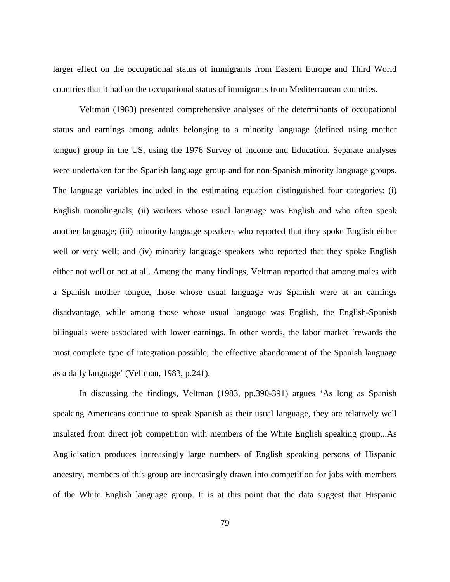larger effect on the occupational status of immigrants from Eastern Europe and Third World countries that it had on the occupational status of immigrants from Mediterranean countries.

Veltman (1983) presented comprehensive analyses of the determinants of occupational status and earnings among adults belonging to a minority language (defined using mother tongue) group in the US, using the 1976 Survey of Income and Education. Separate analyses were undertaken for the Spanish language group and for non-Spanish minority language groups. The language variables included in the estimating equation distinguished four categories: (i) English monolinguals; (ii) workers whose usual language was English and who often speak another language; (iii) minority language speakers who reported that they spoke English either well or very well; and (iv) minority language speakers who reported that they spoke English either not well or not at all. Among the many findings, Veltman reported that among males with a Spanish mother tongue, those whose usual language was Spanish were at an earnings disadvantage, while among those whose usual language was English, the English-Spanish bilinguals were associated with lower earnings. In other words, the labor market 'rewards the most complete type of integration possible, the effective abandonment of the Spanish language as a daily language' (Veltman, 1983, p.241).

In discussing the findings, Veltman (1983, pp.390-391) argues 'As long as Spanish speaking Americans continue to speak Spanish as their usual language, they are relatively well insulated from direct job competition with members of the White English speaking group...As Anglicisation produces increasingly large numbers of English speaking persons of Hispanic ancestry, members of this group are increasingly drawn into competition for jobs with members of the White English language group. It is at this point that the data suggest that Hispanic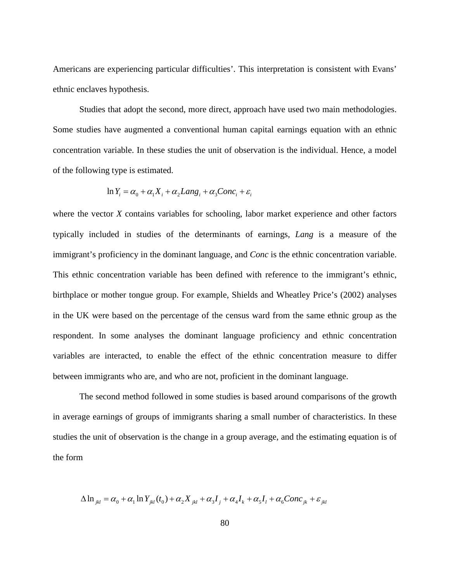Americans are experiencing particular difficulties'. This interpretation is consistent with Evans' ethnic enclaves hypothesis.

Studies that adopt the second, more direct, approach have used two main methodologies. Some studies have augmented a conventional human capital earnings equation with an ethnic concentration variable. In these studies the unit of observation is the individual. Hence, a model of the following type is estimated.

$$
\ln Y_i = \alpha_0 + \alpha_1 X_i + \alpha_2 Lang_i + \alpha_3 Conc_i + \varepsilon_i
$$

where the vector *X* contains variables for schooling, labor market experience and other factors typically included in studies of the determinants of earnings, *Lang* is a measure of the immigrant's proficiency in the dominant language, and *Conc* is the ethnic concentration variable. This ethnic concentration variable has been defined with reference to the immigrant's ethnic, birthplace or mother tongue group. For example, Shields and Wheatley Price's (2002) analyses in the UK were based on the percentage of the census ward from the same ethnic group as the respondent. In some analyses the dominant language proficiency and ethnic concentration variables are interacted, to enable the effect of the ethnic concentration measure to differ between immigrants who are, and who are not, proficient in the dominant language.

The second method followed in some studies is based around comparisons of the growth in average earnings of groups of immigrants sharing a small number of characteristics. In these studies the unit of observation is the change in a group average, and the estimating equation is of the form

$$
\Delta \ln_{jkl} = \alpha_0 + \alpha_1 \ln Y_{jkl}(t_0) + \alpha_2 X_{jkl} + \alpha_3 I_j + \alpha_4 I_k + \alpha_5 I_l + \alpha_6 Conv_{jk} + \varepsilon_{jkl}
$$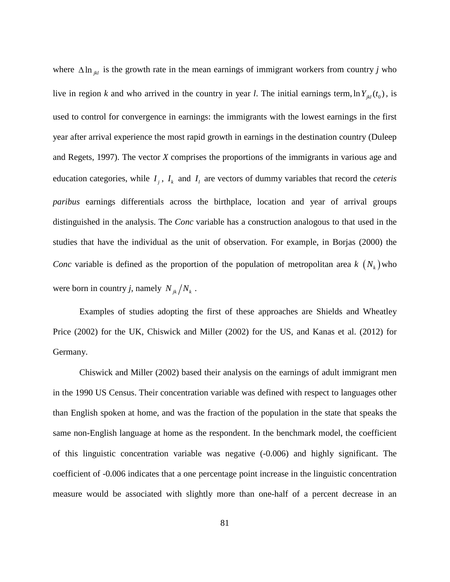where  $\Delta \ln_{ikl}$  is the growth rate in the mean earnings of immigrant workers from country *j* who live in region *k* and who arrived in the country in year *l*. The initial earnings term,  $\ln Y_{jkl}(t_0)$ , is used to control for convergence in earnings: the immigrants with the lowest earnings in the first year after arrival experience the most rapid growth in earnings in the destination country (Duleep and Regets, 1997). The vector *X* comprises the proportions of the immigrants in various age and education categories, while  $I_i$ ,  $I_k$  and  $I_l$  are vectors of dummy variables that record the *ceteris paribus* earnings differentials across the birthplace, location and year of arrival groups distinguished in the analysis. The *Conc* variable has a construction analogous to that used in the studies that have the individual as the unit of observation. For example, in Borjas (2000) the *Conc* variable is defined as the proportion of the population of metropolitan area  $k \left(N_k\right)$  who were born in country *j*, namely  $N_{jk} / N_k$ .

Examples of studies adopting the first of these approaches are Shields and Wheatley Price (2002) for the UK, Chiswick and Miller (2002) for the US, and Kanas et al. (2012) for Germany.

Chiswick and Miller (2002) based their analysis on the earnings of adult immigrant men in the 1990 US Census. Their concentration variable was defined with respect to languages other than English spoken at home, and was the fraction of the population in the state that speaks the same non-English language at home as the respondent. In the benchmark model, the coefficient of this linguistic concentration variable was negative (-0.006) and highly significant. The coefficient of -0.006 indicates that a one percentage point increase in the linguistic concentration measure would be associated with slightly more than one-half of a percent decrease in an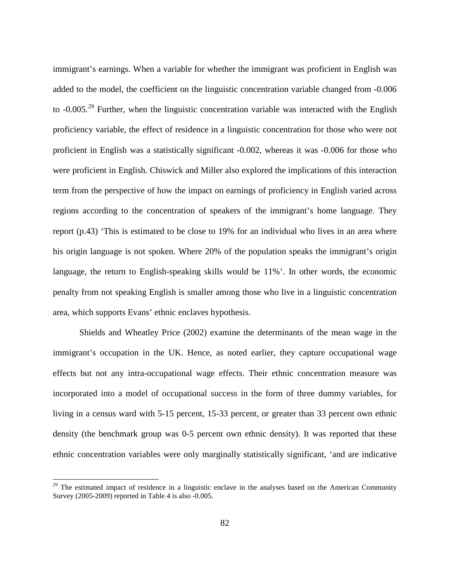immigrant's earnings. When a variable for whether the immigrant was proficient in English was added to the model, the coefficient on the linguistic concentration variable changed from -0.006 to  $-0.005$ <sup>[29](#page-74-0)</sup> Further, when the linguistic concentration variable was interacted with the English proficiency variable, the effect of residence in a linguistic concentration for those who were not proficient in English was a statistically significant -0.002, whereas it was -0.006 for those who were proficient in English. Chiswick and Miller also explored the implications of this interaction term from the perspective of how the impact on earnings of proficiency in English varied across regions according to the concentration of speakers of the immigrant's home language. They report (p.43) 'This is estimated to be close to 19% for an individual who lives in an area where his origin language is not spoken. Where 20% of the population speaks the immigrant's origin language, the return to English-speaking skills would be 11%'. In other words, the economic penalty from not speaking English is smaller among those who live in a linguistic concentration area, which supports Evans' ethnic enclaves hypothesis.

Shields and Wheatley Price (2002) examine the determinants of the mean wage in the immigrant's occupation in the UK. Hence, as noted earlier, they capture occupational wage effects but not any intra-occupational wage effects. Their ethnic concentration measure was incorporated into a model of occupational success in the form of three dummy variables, for living in a census ward with 5-15 percent, 15-33 percent, or greater than 33 percent own ethnic density (the benchmark group was 0-5 percent own ethnic density). It was reported that these ethnic concentration variables were only marginally statistically significant, 'and are indicative

<span id="page-82-0"></span> $29$  The estimated impact of residence in a linguistic enclave in the analyses based on the American Community Survey (2005-2009) reported in Table 4 is also -0.005.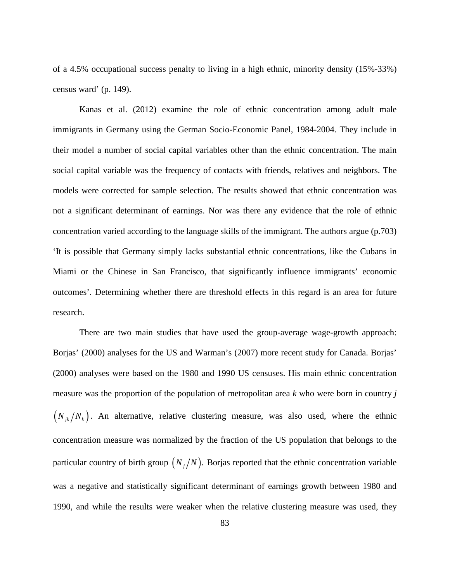of a 4.5% occupational success penalty to living in a high ethnic, minority density (15%-33%) census ward' (p. 149).

Kanas et al. (2012) examine the role of ethnic concentration among adult male immigrants in Germany using the German Socio-Economic Panel, 1984-2004. They include in their model a number of social capital variables other than the ethnic concentration. The main social capital variable was the frequency of contacts with friends, relatives and neighbors. The models were corrected for sample selection. The results showed that ethnic concentration was not a significant determinant of earnings. Nor was there any evidence that the role of ethnic concentration varied according to the language skills of the immigrant. The authors argue (p.703) 'It is possible that Germany simply lacks substantial ethnic concentrations, like the Cubans in Miami or the Chinese in San Francisco, that significantly influence immigrants' economic outcomes'. Determining whether there are threshold effects in this regard is an area for future research.

There are two main studies that have used the group-average wage-growth approach: Borjas' (2000) analyses for the US and Warman's (2007) more recent study for Canada. Borjas' (2000) analyses were based on the 1980 and 1990 US censuses. His main ethnic concentration measure was the proportion of the population of metropolitan area *k* who were born in country *j*  $(N_{jk}/N_k)$ . An alternative, relative clustering measure, was also used, where the ethnic concentration measure was normalized by the fraction of the US population that belongs to the particular country of birth group  $\left( N_j/N \right)$ . Borjas reported that the ethnic concentration variable was a negative and statistically significant determinant of earnings growth between 1980 and 1990, and while the results were weaker when the relative clustering measure was used, they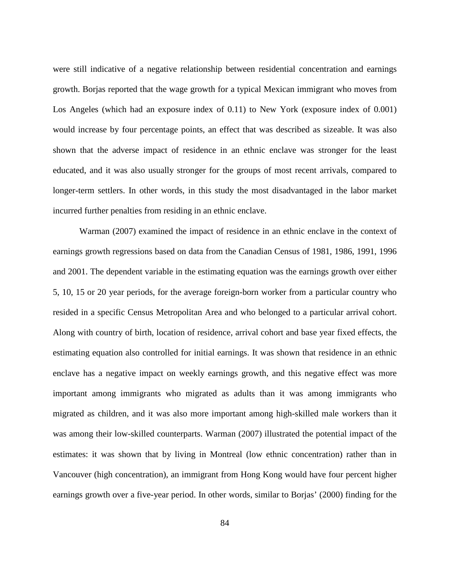were still indicative of a negative relationship between residential concentration and earnings growth. Borjas reported that the wage growth for a typical Mexican immigrant who moves from Los Angeles (which had an exposure index of 0.11) to New York (exposure index of 0.001) would increase by four percentage points, an effect that was described as sizeable. It was also shown that the adverse impact of residence in an ethnic enclave was stronger for the least educated, and it was also usually stronger for the groups of most recent arrivals, compared to longer-term settlers. In other words, in this study the most disadvantaged in the labor market incurred further penalties from residing in an ethnic enclave.

Warman (2007) examined the impact of residence in an ethnic enclave in the context of earnings growth regressions based on data from the Canadian Census of 1981, 1986, 1991, 1996 and 2001. The dependent variable in the estimating equation was the earnings growth over either 5, 10, 15 or 20 year periods, for the average foreign-born worker from a particular country who resided in a specific Census Metropolitan Area and who belonged to a particular arrival cohort. Along with country of birth, location of residence, arrival cohort and base year fixed effects, the estimating equation also controlled for initial earnings. It was shown that residence in an ethnic enclave has a negative impact on weekly earnings growth, and this negative effect was more important among immigrants who migrated as adults than it was among immigrants who migrated as children, and it was also more important among high-skilled male workers than it was among their low-skilled counterparts. Warman (2007) illustrated the potential impact of the estimates: it was shown that by living in Montreal (low ethnic concentration) rather than in Vancouver (high concentration), an immigrant from Hong Kong would have four percent higher earnings growth over a five-year period. In other words, similar to Borjas' (2000) finding for the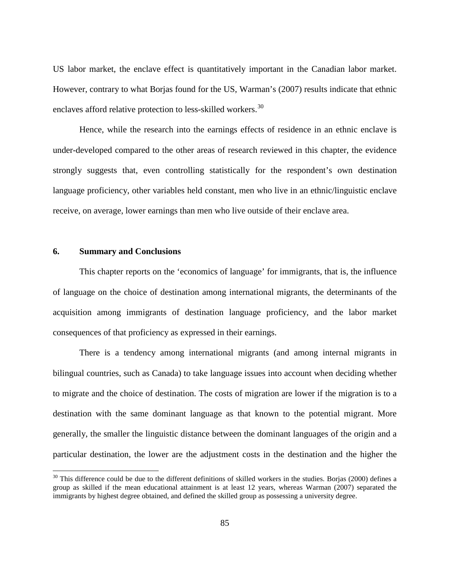US labor market, the enclave effect is quantitatively important in the Canadian labor market. However, contrary to what Borjas found for the US, Warman's (2007) results indicate that ethnic enclaves afford relative protection to less-skilled workers.<sup>[30](#page-82-0)</sup>

Hence, while the research into the earnings effects of residence in an ethnic enclave is under-developed compared to the other areas of research reviewed in this chapter, the evidence strongly suggests that, even controlling statistically for the respondent's own destination language proficiency, other variables held constant, men who live in an ethnic/linguistic enclave receive, on average, lower earnings than men who live outside of their enclave area.

## **6. Summary and Conclusions**

This chapter reports on the 'economics of language' for immigrants, that is, the influence of language on the choice of destination among international migrants, the determinants of the acquisition among immigrants of destination language proficiency, and the labor market consequences of that proficiency as expressed in their earnings.

There is a tendency among international migrants (and among internal migrants in bilingual countries, such as Canada) to take language issues into account when deciding whether to migrate and the choice of destination. The costs of migration are lower if the migration is to a destination with the same dominant language as that known to the potential migrant. More generally, the smaller the linguistic distance between the dominant languages of the origin and a particular destination, the lower are the adjustment costs in the destination and the higher the

 $30$  This difference could be due to the different definitions of skilled workers in the studies. Borjas (2000) defines a group as skilled if the mean educational attainment is at least 12 years, whereas Warman (2007) separated the immigrants by highest degree obtained, and defined the skilled group as possessing a university degree.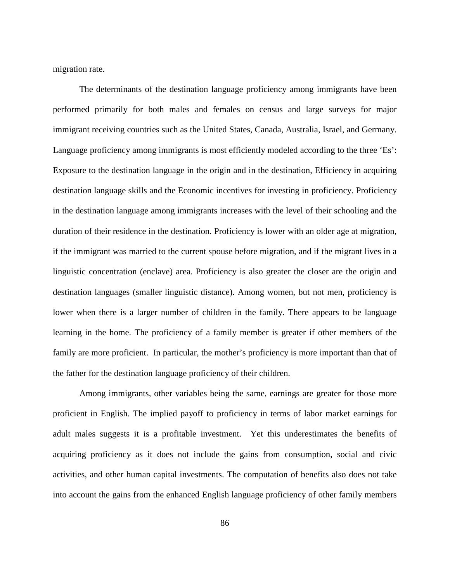migration rate.

The determinants of the destination language proficiency among immigrants have been performed primarily for both males and females on census and large surveys for major immigrant receiving countries such as the United States, Canada, Australia, Israel, and Germany. Language proficiency among immigrants is most efficiently modeled according to the three 'Es': Exposure to the destination language in the origin and in the destination, Efficiency in acquiring destination language skills and the Economic incentives for investing in proficiency. Proficiency in the destination language among immigrants increases with the level of their schooling and the duration of their residence in the destination. Proficiency is lower with an older age at migration, if the immigrant was married to the current spouse before migration, and if the migrant lives in a linguistic concentration (enclave) area. Proficiency is also greater the closer are the origin and destination languages (smaller linguistic distance). Among women, but not men, proficiency is lower when there is a larger number of children in the family. There appears to be language learning in the home. The proficiency of a family member is greater if other members of the family are more proficient. In particular, the mother's proficiency is more important than that of the father for the destination language proficiency of their children.

Among immigrants, other variables being the same, earnings are greater for those more proficient in English. The implied payoff to proficiency in terms of labor market earnings for adult males suggests it is a profitable investment. Yet this underestimates the benefits of acquiring proficiency as it does not include the gains from consumption, social and civic activities, and other human capital investments. The computation of benefits also does not take into account the gains from the enhanced English language proficiency of other family members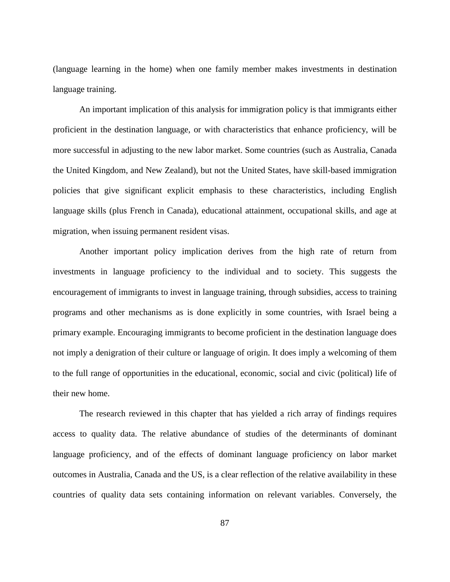(language learning in the home) when one family member makes investments in destination language training.

An important implication of this analysis for immigration policy is that immigrants either proficient in the destination language, or with characteristics that enhance proficiency, will be more successful in adjusting to the new labor market. Some countries (such as Australia, Canada the United Kingdom, and New Zealand), but not the United States, have skill-based immigration policies that give significant explicit emphasis to these characteristics, including English language skills (plus French in Canada), educational attainment, occupational skills, and age at migration, when issuing permanent resident visas.

Another important policy implication derives from the high rate of return from investments in language proficiency to the individual and to society. This suggests the encouragement of immigrants to invest in language training, through subsidies, access to training programs and other mechanisms as is done explicitly in some countries, with Israel being a primary example. Encouraging immigrants to become proficient in the destination language does not imply a denigration of their culture or language of origin. It does imply a welcoming of them to the full range of opportunities in the educational, economic, social and civic (political) life of their new home.

The research reviewed in this chapter that has yielded a rich array of findings requires access to quality data. The relative abundance of studies of the determinants of dominant language proficiency, and of the effects of dominant language proficiency on labor market outcomes in Australia, Canada and the US, is a clear reflection of the relative availability in these countries of quality data sets containing information on relevant variables. Conversely, the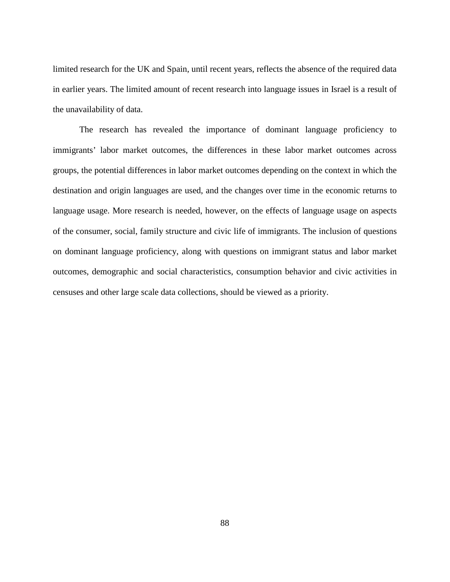limited research for the UK and Spain, until recent years, reflects the absence of the required data in earlier years. The limited amount of recent research into language issues in Israel is a result of the unavailability of data.

The research has revealed the importance of dominant language proficiency to immigrants' labor market outcomes, the differences in these labor market outcomes across groups, the potential differences in labor market outcomes depending on the context in which the destination and origin languages are used, and the changes over time in the economic returns to language usage. More research is needed, however, on the effects of language usage on aspects of the consumer, social, family structure and civic life of immigrants. The inclusion of questions on dominant language proficiency, along with questions on immigrant status and labor market outcomes, demographic and social characteristics, consumption behavior and civic activities in censuses and other large scale data collections, should be viewed as a priority.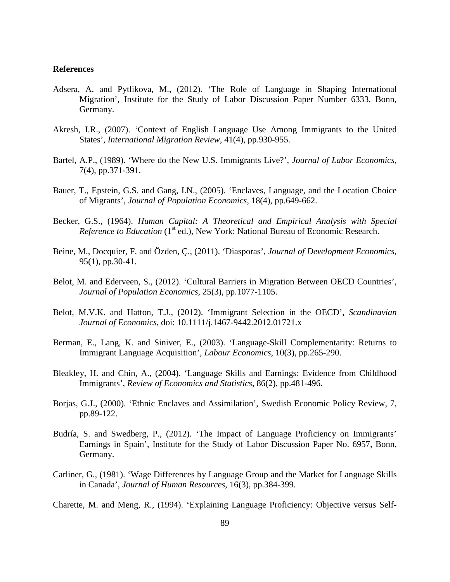## **References**

- Adsera, A. and Pytlikova, M., (2012). 'The Role of Language in Shaping International Migration', Institute for the Study of Labor Discussion Paper Number 6333, Bonn, Germany.
- Akresh, I.R., (2007). 'Context of English Language Use Among Immigrants to the United States'*, International Migration Review*, 41(4), pp.930-955.
- Bartel, A.P., (1989). 'Where do the New U.S. Immigrants Live?', *Journal of Labor Economics*, 7(4), pp.371-391.
- Bauer, T., Epstein, G.S. and Gang, I.N., (2005). 'Enclaves, Language, and the Location Choice of Migrants', *Journal of Population Economics*, 18(4), pp.649-662.
- Becker, G.S., (1964). *Human Capital: A Theoretical and Empirical Analysis with Special Reference to Education* (1<sup>st</sup> ed.), New York: National Bureau of Economic Research.
- Beine, M., Docquier, F. and Özden, Ç., (2011). 'Diasporas', *Journal of Development Economics*, 95(1), pp.30-41.
- Belot, M. and Ederveen, S., (2012). 'Cultural Barriers in Migration Between OECD Countries', *Journal of Population Economics*, 25(3), pp.1077-1105.
- Belot, M.V.K. and Hatton, T.J., (2012). 'Immigrant Selection in the OECD', *Scandinavian Journal of Economics*, doi: 10.1111/j.1467-9442.2012.01721.x
- Berman, E., Lang, K. and Siniver, E., (2003). 'Language-Skill Complementarity: Returns to Immigrant Language Acquisition', *Labour Economics*, 10(3), pp.265-290.
- Bleakley, H. and Chin, A., (2004). 'Language Skills and Earnings: Evidence from Childhood Immigrants', *Review of Economics and Statistics*, 86(2), pp.481-496.
- Borjas, G.J., (2000). 'Ethnic Enclaves and Assimilation', Swedish Economic Policy Review, 7, pp.89-122.
- Budría, S. and Swedberg, P., (2012). 'The Impact of Language Proficiency on Immigrants' Earnings in Spain', Institute for the Study of Labor Discussion Paper No. 6957, Bonn, Germany.
- Carliner, G., (1981). 'Wage Differences by Language Group and the Market for Language Skills in Canada', *Journal of Human Resources*, 16(3), pp.384-399.

Charette, M. and Meng, R., (1994). 'Explaining Language Proficiency: Objective versus Self-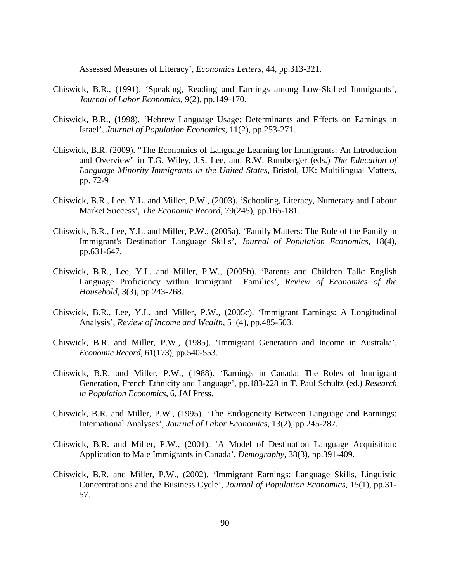Assessed Measures of Literacy', *Economics Letters*, 44, pp.313-321.

- Chiswick, B.R., (1991). 'Speaking, Reading and Earnings among Low-Skilled Immigrants', *Journal of Labor Economics*, 9(2), pp.149-170.
- Chiswick, B.R., (1998). 'Hebrew Language Usage: Determinants and Effects on Earnings in Israel', *Journal of Population Economics*, 11(2), pp.253-271.
- Chiswick, B.R. (2009). "The Economics of Language Learning for Immigrants: An Introduction and Overview" in T.G. Wiley, J.S. Lee, and R.W. Rumberger (eds.) *The Education of Language Minority Immigrants in the United States*, Bristol, UK: Multilingual Matter*s,*  pp. 72-91
- Chiswick, B.R., Lee, Y.L. and Miller, P.W., (2003). 'Schooling, Literacy, Numeracy and Labour Market Success', *The Economic Record*, 79(245), pp.165-181.
- Chiswick, B.R., Lee, Y.L. and Miller, P.W., (2005a). 'Family Matters: The Role of the Family in Immigrant's Destination Language Skills', *Journal of Population Economics*, 18(4), pp.631-647.
- Chiswick, B.R., Lee, Y.L. and Miller, P.W., (2005b). 'Parents and Children Talk: English Language Proficiency within Immigrant Families', *Review of Economics of the Household*, 3(3), pp.243-268.
- Chiswick, B.R., Lee, Y.L. and Miller, P.W., (2005c). 'Immigrant Earnings: A Longitudinal Analysis', *Review of Income and Wealth*, 51(4), pp.485-503.
- Chiswick, B.R. and Miller, P.W., (1985). 'Immigrant Generation and Income in Australia', *Economic Record*, 61(173), pp.540-553.
- Chiswick, B.R. and Miller, P.W., (1988). 'Earnings in Canada: The Roles of Immigrant Generation, French Ethnicity and Language', pp.183-228 in T. Paul Schultz (ed.) *Research in Population Economics*, 6, JAI Press.
- Chiswick, B.R. and Miller, P.W., (1995). 'The Endogeneity Between Language and Earnings: International Analyses', *Journal of Labor Economics*, 13(2), pp.245-287.
- Chiswick, B.R. and Miller, P.W., (2001). 'A Model of Destination Language Acquisition: Application to Male Immigrants in Canada', *Demography*, 38(3), pp.391-409.
- Chiswick, B.R. and Miller, P.W., (2002). 'Immigrant Earnings: Language Skills, Linguistic Concentrations and the Business Cycle', *Journal of Population Economics*, 15(1), pp.31- 57.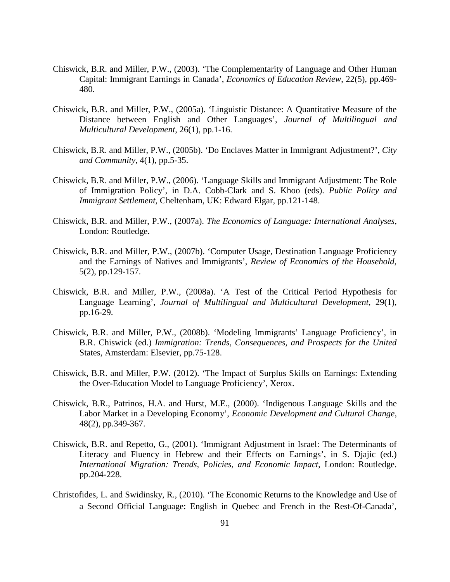- Chiswick, B.R. and Miller, P.W., (2003). 'The Complementarity of Language and Other Human Capital: Immigrant Earnings in Canada', *Economics of Education Review*, 22(5), pp.469- 480.
- Chiswick, B.R. and Miller, P.W., (2005a). 'Linguistic Distance: A Quantitative Measure of the Distance between English and Other Languages', *Journal of Multilingual and Multicultural Development*, 26(1), pp.1-16.
- Chiswick, B.R. and Miller, P.W., (2005b). 'Do Enclaves Matter in Immigrant Adjustment?', *City and Community*, 4(1), pp.5-35.
- Chiswick, B.R. and Miller, P.W., (2006). 'Language Skills and Immigrant Adjustment: The Role of Immigration Policy', in D.A. Cobb-Clark and S. Khoo (eds). *Public Policy and Immigrant Settlement*, Cheltenham, UK: Edward Elgar, pp.121-148.
- Chiswick, B.R. and Miller, P.W., (2007a). *The Economics of Language: International Analyses*, London: Routledge.
- Chiswick, B.R. and Miller, P.W., (2007b). 'Computer Usage, Destination Language Proficiency and the Earnings of Natives and Immigrants', *Review of Economics of the Household*, 5(2), pp.129-157.
- Chiswick, B.R. and Miller, P.W., (2008a). 'A Test of the Critical Period Hypothesis for Language Learning', *Journal of Multilingual and Multicultural Development*, 29(1), pp.16-29.
- Chiswick, B.R. and Miller, P.W., (2008b). 'Modeling Immigrants' Language Proficiency', in B.R. Chiswick (ed.) *Immigration: Trends, Consequences, and Prospects for the United*  States, Amsterdam: Elsevier, pp.75-128.
- Chiswick, B.R. and Miller, P.W. (2012). 'The Impact of Surplus Skills on Earnings: Extending the Over-Education Model to Language Proficiency', Xerox.
- Chiswick, B.R., Patrinos, H.A. and Hurst, M.E., (2000). 'Indigenous Language Skills and the Labor Market in a Developing Economy', *Economic Development and Cultural Change*, 48(2), pp.349-367.
- Chiswick, B.R. and Repetto, G., (2001). 'Immigrant Adjustment in Israel: The Determinants of Literacy and Fluency in Hebrew and their Effects on Earnings', in S. Djajic (ed.) *International Migration: Trends, Policies, and Economic Impact*, London: Routledge. pp.204-228.
- Christofides, L. and Swidinsky, R., (2010). 'The Economic Returns to the Knowledge and Use of a Second Official Language: English in Quebec and French in the Rest-Of-Canada',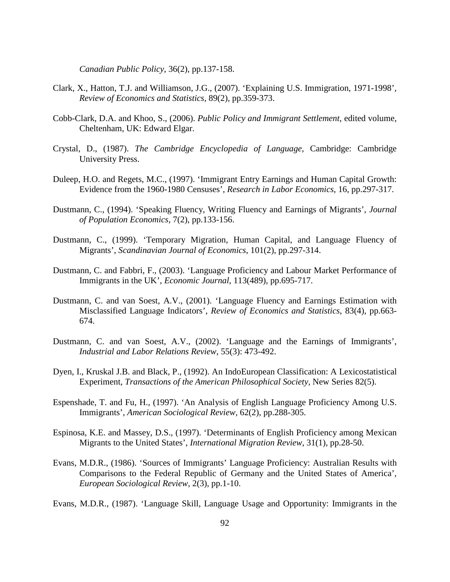*Canadian Public Policy*, 36(2), pp.137-158.

- Clark, X., Hatton, T.J. and Williamson, J.G., (2007). 'Explaining U.S. Immigration, 1971-1998', *Review of Economics and Statistics*, 89(2), pp.359-373.
- Cobb-Clark, D.A. and Khoo, S., (2006). *Public Policy and Immigrant Settlement*, edited volume, Cheltenham, UK: Edward Elgar.
- Crystal, D., (1987). *The Cambridge Encyclopedia of Language*, Cambridge: Cambridge University Press.
- Duleep, H.O. and Regets, M.C., (1997). 'Immigrant Entry Earnings and Human Capital Growth: Evidence from the 1960-1980 Censuses', *Research in Labor Economics*, 16, pp.297-317.
- Dustmann, C., (1994). 'Speaking Fluency, Writing Fluency and Earnings of Migrants', *Journal of Population Economics*, 7(2), pp.133-156.
- Dustmann, C., (1999). 'Temporary Migration, Human Capital, and Language Fluency of Migrants', *Scandinavian Journal of Economics*, 101(2), pp.297-314.
- Dustmann, C. and Fabbri, F., (2003). 'Language Proficiency and Labour Market Performance of Immigrants in the UK', *Economic Journal*, 113(489), pp.695-717.
- Dustmann, C. and van Soest, A.V., (2001). 'Language Fluency and Earnings Estimation with Misclassified Language Indicators', *Review of Economics and Statistics*, 83(4), pp.663- 674.
- Dustmann, C. and van Soest, A.V., (2002). 'Language and the Earnings of Immigrants', *Industrial and Labor Relations Review*, 55(3): 473-492.
- Dyen, I., Kruskal J.B. and Black, P., (1992). An IndoEuropean Classification: A Lexicostatistical Experiment, *Transactions of the American Philosophical Society*, New Series 82(5).
- Espenshade, T. and Fu, H., (1997). 'An Analysis of English Language Proficiency Among U.S. Immigrants', *American Sociological Review*, 62(2), pp.288-305.
- Espinosa, K.E. and Massey, D.S., (1997). 'Determinants of English Proficiency among Mexican Migrants to the United States', *International Migration Review*, 31(1), pp.28-50.
- Evans, M.D.R., (1986). 'Sources of Immigrants' Language Proficiency: Australian Results with Comparisons to the Federal Republic of Germany and the United States of America', *European Sociological Review*, 2(3), pp.1-10.

Evans, M.D.R., (1987). 'Language Skill, Language Usage and Opportunity: Immigrants in the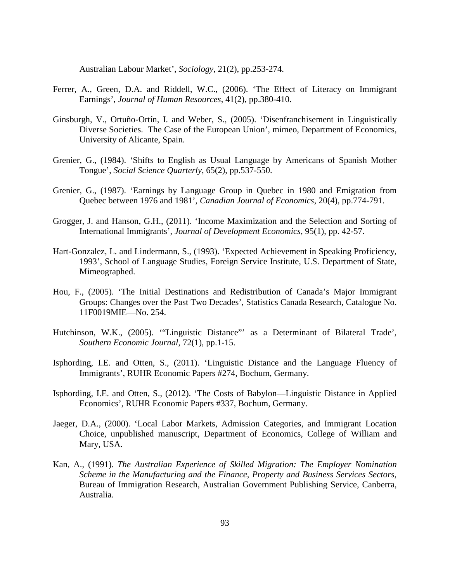Australian Labour Market', *Sociology*, 21(2), pp.253-274.

- Ferrer, A., Green, D.A. and Riddell, W.C., (2006). 'The Effect of Literacy on Immigrant Earnings', *Journal of Human Resources*, 41(2), pp.380-410.
- Ginsburgh, V., Ortuño-Ortín, I. and Weber, S., (2005). 'Disenfranchisement in Linguistically Diverse Societies. The Case of the European Union', mimeo, Department of Economics, University of Alicante, Spain.
- Grenier, G., (1984). 'Shifts to English as Usual Language by Americans of Spanish Mother Tongue', *Social Science Quarterly*, 65(2), pp.537-550.
- Grenier, G., (1987). 'Earnings by Language Group in Quebec in 1980 and Emigration from Quebec between 1976 and 1981', *Canadian Journal of Economics*, 20(4), pp.774-791.
- Grogger, J. and Hanson, G.H., (2011). 'Income Maximization and the Selection and Sorting of International Immigrants', *Journal of Development Economics*, 95(1), pp. 42-57.
- Hart-Gonzalez, L. and Lindermann, S., (1993). 'Expected Achievement in Speaking Proficiency, 1993', School of Language Studies, Foreign Service Institute, U.S. Department of State, Mimeographed.
- Hou, F., (2005). 'The Initial Destinations and Redistribution of Canada's Major Immigrant Groups: Changes over the Past Two Decades', Statistics Canada Research, Catalogue No. 11F0019MIE—No. 254.
- Hutchinson, W.K., (2005). '"Linguistic Distance"' as a Determinant of Bilateral Trade', *Southern Economic Journal*, 72(1), pp.1-15.
- Isphording, I.E. and Otten, S., (2011). 'Linguistic Distance and the Language Fluency of Immigrants', RUHR Economic Papers #274, Bochum, Germany.
- Isphording, I.E. and Otten, S., (2012). 'The Costs of Babylon—Linguistic Distance in Applied Economics', RUHR Economic Papers #337, Bochum, Germany.
- Jaeger, D.A., (2000). 'Local Labor Markets, Admission Categories, and Immigrant Location Choice, unpublished manuscript, Department of Economics, College of William and Mary, USA.
- Kan, A., (1991). *The Australian Experience of Skilled Migration: The Employer Nomination Scheme in the Manufacturing and the Finance, Property and Business Services Sectors*, Bureau of Immigration Research, Australian Government Publishing Service, Canberra, Australia.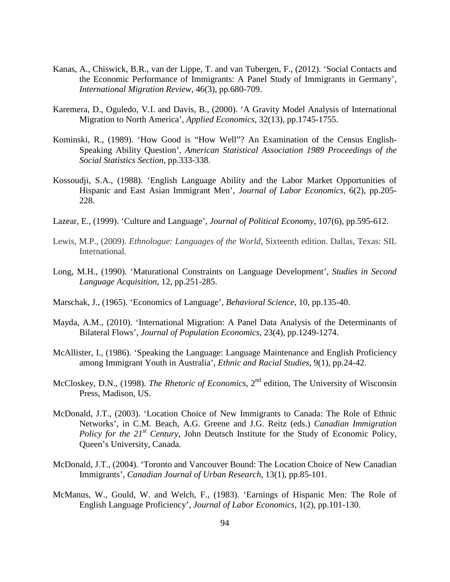- Kanas, A., Chiswick, B.R., van der Lippe, T. and van Tubergen, F., (2012). 'Social Contacts and the Economic Performance of Immigrants: A Panel Study of Immigrants in Germany', *International Migration Review*, 46(3), pp.680-709.
- Karemera, D., Oguledo, V.I. and Davis, B., (2000). 'A Gravity Model Analysis of International Migration to North America', *Applied Economics*, 32(13), pp.1745-1755.
- Kominski, R., (1989). 'How Good is "How Well"? An Examination of the Census English-Speaking Ability Question', *American Statistical Association 1989 Proceedings of the Social Statistics Section*, pp.333-338.
- Kossoudji, S.A., (1988). 'English Language Ability and the Labor Market Opportunities of Hispanic and East Asian Immigrant Men', *Journal of Labor Economics*, 6(2), pp.205- 228.
- Lazear, E., (1999). 'Culture and Language', *Journal of Political Economy*, 107(6), pp.595-612.
- Lewis, M.P., (2009). *Ethnologue: Languages of the World*, Sixteenth edition. Dallas, Texas: SIL International.
- Long, M.H., (1990). 'Maturational Constraints on Language Development', *Studies in Second Language Acquisition*, 12, pp.251-285.
- Marschak, J., (1965). 'Economics of Language', *Behavioral Science*, 10, pp.135-40.
- Mayda, A.M., (2010). 'International Migration: A Panel Data Analysis of the Determinants of Bilateral Flows', *Journal of Population Economics*, 23(4), pp.1249-1274.
- McAllister, I., (1986). 'Speaking the Language: Language Maintenance and English Proficiency among Immigrant Youth in Australia', *Ethnic and Racial Studies*, 9(1), pp.24-42.
- McCloskey, D.N., (1998). *The Rhetoric of Economics*, 2<sup>nd</sup> edition, The University of Wisconsin Press, Madison, US.
- McDonald, J.T., (2003). 'Location Choice of New Immigrants to Canada: The Role of Ethnic Networks', in C.M. Beach, A.G. Greene and J.G. Reitz (eds.) *Canadian Immigration Policy for the 21st Century*, John Deutsch Institute for the Study of Economic Policy, Queen's University, Canada.
- McDonald, J.T., (2004). 'Toronto and Vancouver Bound: The Location Choice of New Canadian Immigrants', *Canadian Journal of Urban Research*, 13(1), pp.85-101.
- McManus, W., Gould, W. and Welch, F., (1983). 'Earnings of Hispanic Men: The Role of English Language Proficiency', *Journal of Labor Economics*, 1(2), pp.101-130.